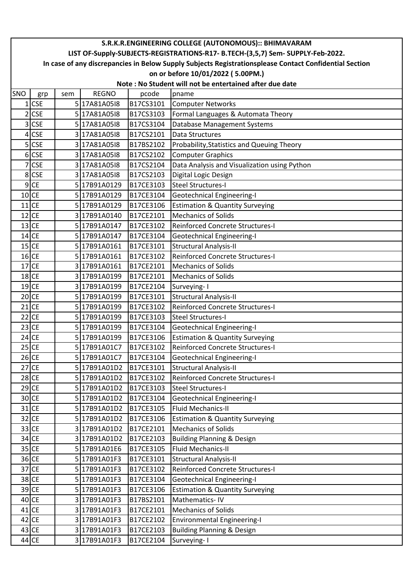|     | S.R.K.R.ENGINEERING COLLEGE (AUTONOMOUS):: BHIMAVARAM                                                  |     |              |           |                                              |  |  |  |  |  |  |
|-----|--------------------------------------------------------------------------------------------------------|-----|--------------|-----------|----------------------------------------------|--|--|--|--|--|--|
|     | LIST OF-Supply-SUBJECTS-REGISTRATIONS-R17- B.TECH-(3,5,7) Sem- SUPPLY-Feb-2022.                        |     |              |           |                                              |  |  |  |  |  |  |
|     | In case of any discrepancies in Below Supply Subjects Registrationsplease Contact Confidential Section |     |              |           |                                              |  |  |  |  |  |  |
|     |                                                                                                        |     |              |           | on or before 10/01/2022 (5.00PM.)            |  |  |  |  |  |  |
|     | Note: No Student will not be entertained after due date                                                |     |              |           |                                              |  |  |  |  |  |  |
| SNO | grp                                                                                                    | sem | <b>REGNO</b> | pcode     | pname                                        |  |  |  |  |  |  |
|     | $1$ CSE                                                                                                |     | 5 17A81A0518 | B17CS3101 | <b>Computer Networks</b>                     |  |  |  |  |  |  |
|     | $2$ CSE                                                                                                |     | 5 17A81A0518 | B17CS3103 | Formal Languages & Automata Theory           |  |  |  |  |  |  |
| 3   | <b>CSE</b>                                                                                             |     | 5 17A81A0518 | B17CS3104 | Database Management Systems                  |  |  |  |  |  |  |
| 4   | <b>CSE</b>                                                                                             |     | 3 17A81A0518 | B17CS2101 | Data Structures                              |  |  |  |  |  |  |
|     | $5$ CSE                                                                                                |     | 3 17A81A0518 | B17BS2102 | Probability, Statistics and Queuing Theory   |  |  |  |  |  |  |
|     | $6$ CSE                                                                                                |     | 3 17A81A0518 | B17CS2102 | <b>Computer Graphics</b>                     |  |  |  |  |  |  |
|     | 7 CSE                                                                                                  |     | 3 17A81A0518 | B17CS2104 | Data Analysis and Visualization using Python |  |  |  |  |  |  |
|     | 8 CSE                                                                                                  |     | 3 17A81A0518 | B17CS2103 | Digital Logic Design                         |  |  |  |  |  |  |
|     | $9$ CE                                                                                                 |     | 517B91A0129  | B17CE3103 | <b>Steel Structures-I</b>                    |  |  |  |  |  |  |
|     | $10$ CE                                                                                                |     | 5 17B91A0129 | B17CE3104 | <b>Geotechnical Engineering-I</b>            |  |  |  |  |  |  |
|     | $11$ CE                                                                                                |     | 517B91A0129  | B17CE3106 | <b>Estimation &amp; Quantity Surveying</b>   |  |  |  |  |  |  |
|     | $12$ CE                                                                                                |     | 3 17B91A0140 | B17CE2101 | <b>Mechanics of Solids</b>                   |  |  |  |  |  |  |
|     | $13$ CE                                                                                                |     | 5 17B91A0147 | B17CE3102 | <b>Reinforced Concrete Structures-I</b>      |  |  |  |  |  |  |
|     | $14$ CE                                                                                                |     | 5 17B91A0147 | B17CE3104 | <b>Geotechnical Engineering-I</b>            |  |  |  |  |  |  |
|     | $15$ CE                                                                                                |     | 5 17B91A0161 | B17CE3101 | <b>Structural Analysis-II</b>                |  |  |  |  |  |  |
|     | $16$ CE                                                                                                |     | 5 17B91A0161 | B17CE3102 | Reinforced Concrete Structures-I             |  |  |  |  |  |  |
|     | $17$ CE                                                                                                |     | 3 17B91A0161 | B17CE2101 | <b>Mechanics of Solids</b>                   |  |  |  |  |  |  |
|     | $18$ CE                                                                                                |     | 3 17B91A0199 | B17CE2101 | <b>Mechanics of Solids</b>                   |  |  |  |  |  |  |
|     | $19$ CE                                                                                                |     | 3 17B91A0199 | B17CE2104 | Surveying-I                                  |  |  |  |  |  |  |
|     | $20$ CE                                                                                                |     | 5 17B91A0199 | B17CE3101 | Structural Analysis-II                       |  |  |  |  |  |  |
|     | $21$ CE                                                                                                |     | 5 17B91A0199 | B17CE3102 | Reinforced Concrete Structures-I             |  |  |  |  |  |  |
|     | $22$ CE                                                                                                |     | 5 17B91A0199 | B17CE3103 | <b>Steel Structures-I</b>                    |  |  |  |  |  |  |
|     | $23$ CE                                                                                                |     | 5 17B91A0199 | B17CE3104 | <b>Geotechnical Engineering-I</b>            |  |  |  |  |  |  |
|     | $24$ CE                                                                                                |     | 5 17B91A0199 | B17CE3106 | <b>Estimation &amp; Quantity Surveying</b>   |  |  |  |  |  |  |
|     | 25 CE                                                                                                  |     | 5 17B91A01C7 | B17CE3102 | Reinforced Concrete Structures-I             |  |  |  |  |  |  |
|     | $26$ CE                                                                                                |     | 5 17B91A01C7 | B17CE3104 | <b>Geotechnical Engineering-I</b>            |  |  |  |  |  |  |
|     | $27$ CE                                                                                                |     | 5 17B91A01D2 | B17CE3101 | <b>Structural Analysis-II</b>                |  |  |  |  |  |  |
|     | $28$ CE                                                                                                |     | 5 17B91A01D2 | B17CE3102 | Reinforced Concrete Structures-I             |  |  |  |  |  |  |
|     | $29$ CE                                                                                                |     | 5 17B91A01D2 | B17CE3103 | Steel Structures-I                           |  |  |  |  |  |  |
|     | $30$ CE                                                                                                |     | 5 17B91A01D2 | B17CE3104 | <b>Geotechnical Engineering-I</b>            |  |  |  |  |  |  |
|     | $31$ CE                                                                                                |     | 5 17B91A01D2 | B17CE3105 | <b>Fluid Mechanics-II</b>                    |  |  |  |  |  |  |
|     | $32$ CE                                                                                                |     | 5 17B91A01D2 | B17CE3106 | <b>Estimation &amp; Quantity Surveying</b>   |  |  |  |  |  |  |
|     | $33$ CE                                                                                                |     | 3 17B91A01D2 | B17CE2101 | <b>Mechanics of Solids</b>                   |  |  |  |  |  |  |
|     | $34$ CE                                                                                                |     | 317B91A01D2  | B17CE2103 | <b>Building Planning &amp; Design</b>        |  |  |  |  |  |  |
|     | $35$ CE                                                                                                |     | 5 17B91A01E6 | B17CE3105 | Fluid Mechanics-II                           |  |  |  |  |  |  |
|     | $36$ CE                                                                                                |     | 5 17B91A01F3 | B17CE3101 | <b>Structural Analysis-II</b>                |  |  |  |  |  |  |
|     | $37$ CE                                                                                                |     | 5 17B91A01F3 | B17CE3102 | Reinforced Concrete Structures-I             |  |  |  |  |  |  |
|     | 38 CE                                                                                                  |     | 5 17B91A01F3 | B17CE3104 | <b>Geotechnical Engineering-I</b>            |  |  |  |  |  |  |
|     | $39$ CE                                                                                                |     | 5 17B91A01F3 | B17CE3106 | <b>Estimation &amp; Quantity Surveying</b>   |  |  |  |  |  |  |
|     | $40$ CE                                                                                                |     | 3 17B91A01F3 | B17BS2101 | Mathematics-IV                               |  |  |  |  |  |  |
|     | $41$ CE                                                                                                |     | 3 17B91A01F3 | B17CE2101 | <b>Mechanics of Solids</b>                   |  |  |  |  |  |  |
|     | $42$ CE                                                                                                |     | 3 17B91A01F3 | B17CE2102 | <b>Environmental Engineering-I</b>           |  |  |  |  |  |  |
|     | $43$ CE                                                                                                |     | 3 17B91A01F3 | B17CE2103 | <b>Building Planning &amp; Design</b>        |  |  |  |  |  |  |
|     | $44$ CE                                                                                                |     | 3 17B91A01F3 | B17CE2104 | Surveying-1                                  |  |  |  |  |  |  |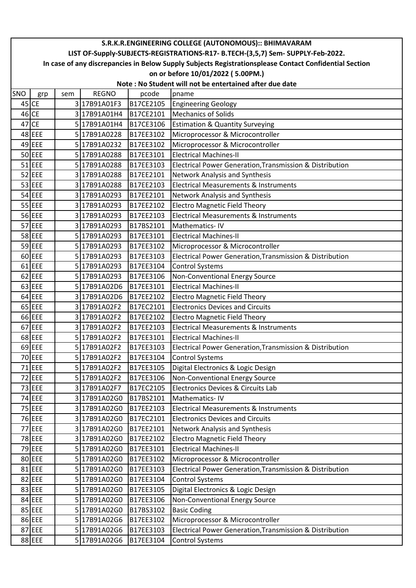|         | S.R.K.R.ENGINEERING COLLEGE (AUTONOMOUS):: BHIMAVARAM                                                                                       |     |              |                        |                                                                      |  |  |  |  |  |  |
|---------|---------------------------------------------------------------------------------------------------------------------------------------------|-----|--------------|------------------------|----------------------------------------------------------------------|--|--|--|--|--|--|
|         | LIST OF-Supply-SUBJECTS-REGISTRATIONS-R17- B.TECH-(3,5,7) Sem- SUPPLY-Feb-2022.                                                             |     |              |                        |                                                                      |  |  |  |  |  |  |
|         | In case of any discrepancies in Below Supply Subjects Registrationsplease Contact Confidential Section<br>on or before 10/01/2022 (5.00PM.) |     |              |                        |                                                                      |  |  |  |  |  |  |
|         | Note: No Student will not be entertained after due date                                                                                     |     |              |                        |                                                                      |  |  |  |  |  |  |
| SNO     |                                                                                                                                             |     | <b>REGNO</b> |                        |                                                                      |  |  |  |  |  |  |
| $45$ CE | grp                                                                                                                                         | sem | 317B91A01F3  | pcode                  | pname                                                                |  |  |  |  |  |  |
| $46$ CE |                                                                                                                                             |     | 3 17B91A01H4 | B17CE2105<br>B17CE2101 | <b>Engineering Geology</b><br><b>Mechanics of Solids</b>             |  |  |  |  |  |  |
|         | $47$ CE                                                                                                                                     |     | 5 17B91A01H4 | B17CE3106              |                                                                      |  |  |  |  |  |  |
|         | $48$ EEE                                                                                                                                    |     | 5 17B91A0228 | B17EE3102              | <b>Estimation &amp; Quantity Surveying</b>                           |  |  |  |  |  |  |
|         | $49$ EEE                                                                                                                                    |     | 5 17B91A0232 | B17EE3102              | Microprocessor & Microcontroller<br>Microprocessor & Microcontroller |  |  |  |  |  |  |
|         | $50$ EEE                                                                                                                                    |     | 517B91A0288  | B17EE3101              | <b>Electrical Machines-II</b>                                        |  |  |  |  |  |  |
|         | $51$ EEE                                                                                                                                    |     | 5 17B91A0288 | B17EE3103              | Electrical Power Generation, Transmission & Distribution             |  |  |  |  |  |  |
|         | $52$ EEE                                                                                                                                    |     | 3 17B91A0288 | B17EE2101              | Network Analysis and Synthesis                                       |  |  |  |  |  |  |
|         | $53$ EEE                                                                                                                                    |     | 317B91A0288  | B17EE2103              | <b>Electrical Measurements &amp; Instruments</b>                     |  |  |  |  |  |  |
|         | $54$ EEE                                                                                                                                    |     | 317B91A0293  | B17EE2101              | Network Analysis and Synthesis                                       |  |  |  |  |  |  |
|         | $55$ EEE                                                                                                                                    |     | 3 17B91A0293 | B17EE2102              | <b>Electro Magnetic Field Theory</b>                                 |  |  |  |  |  |  |
|         | 56 EEE                                                                                                                                      |     | 3 17B91A0293 | B17EE2103              | <b>Electrical Measurements &amp; Instruments</b>                     |  |  |  |  |  |  |
|         | $57$ EEE                                                                                                                                    |     | 3 17B91A0293 | B17BS2101              | Mathematics-IV                                                       |  |  |  |  |  |  |
|         | 58 EEE                                                                                                                                      |     | 5 17B91A0293 | B17EE3101              | <b>Electrical Machines-II</b>                                        |  |  |  |  |  |  |
|         | $59$ EEE                                                                                                                                    |     | 5 17B91A0293 | B17EE3102              | Microprocessor & Microcontroller                                     |  |  |  |  |  |  |
|         | $60$ EEE                                                                                                                                    |     | 5 17B91A0293 | B17EE3103              | Electrical Power Generation, Transmission & Distribution             |  |  |  |  |  |  |
|         | $61$ EEE                                                                                                                                    |     | 5 17B91A0293 | B17EE3104              | <b>Control Systems</b>                                               |  |  |  |  |  |  |
|         | $62$ EEE                                                                                                                                    |     | 5 17B91A0293 | B17EE3106              | Non-Conventional Energy Source                                       |  |  |  |  |  |  |
|         | $63$ EEE                                                                                                                                    |     | 5 17B91A02D6 | B17EE3101              | <b>Electrical Machines-II</b>                                        |  |  |  |  |  |  |
|         | $64$ EEE                                                                                                                                    |     | 3 17B91A02D6 | B17EE2102              | <b>Electro Magnetic Field Theory</b>                                 |  |  |  |  |  |  |
|         | $65$ EEE                                                                                                                                    |     | 3 17B91A02F2 | B17EC2101              | <b>Electronics Devices and Circuits</b>                              |  |  |  |  |  |  |
|         | $66$ EEE                                                                                                                                    |     | 3 17B91A02F2 | B17EE2102              | <b>Electro Magnetic Field Theory</b>                                 |  |  |  |  |  |  |
|         | $67$ EEE                                                                                                                                    |     | 3 17B91A02F2 | B17EE2103              | <b>Electrical Measurements &amp; Instruments</b>                     |  |  |  |  |  |  |
|         | $68$ EEE                                                                                                                                    |     | 5 17B91A02F2 | B17EE3101              | <b>Electrical Machines-II</b>                                        |  |  |  |  |  |  |
|         | 69 EEE                                                                                                                                      |     | 517B91A02F2  | B17EE3103              | Electrical Power Generation, Transmission & Distribution             |  |  |  |  |  |  |
|         | 70 EEE                                                                                                                                      |     | 5 17B91A02F2 | B17EE3104              | <b>Control Systems</b>                                               |  |  |  |  |  |  |
|         | $71$ EEE                                                                                                                                    |     | 5 17B91A02F2 | B17EE3105              | Digital Electronics & Logic Design                                   |  |  |  |  |  |  |
|         | $72$ EEE                                                                                                                                    |     | 5 17B91A02F2 | B17EE3106              | Non-Conventional Energy Source                                       |  |  |  |  |  |  |
|         | $73$ EEE                                                                                                                                    |     | 3 17B91A02F7 | B17EC2105              | Electronics Devices & Circuits Lab                                   |  |  |  |  |  |  |
|         | 74 EEE                                                                                                                                      |     | 317B91A02G0  | B17BS2101              | Mathematics-IV                                                       |  |  |  |  |  |  |
|         | 75 EEE                                                                                                                                      |     | 3 17B91A02G0 | B17EE2103              | <b>Electrical Measurements &amp; Instruments</b>                     |  |  |  |  |  |  |
|         | 76 EEE                                                                                                                                      |     | 3 17B91A02G0 | B17EC2101              | <b>Electronics Devices and Circuits</b>                              |  |  |  |  |  |  |
|         | 77 EEE                                                                                                                                      |     | 3 17B91A02G0 | B17EE2101              | Network Analysis and Synthesis                                       |  |  |  |  |  |  |
|         | 78 EEE                                                                                                                                      |     | 3 17B91A02G0 | B17EE2102              | <b>Electro Magnetic Field Theory</b>                                 |  |  |  |  |  |  |
|         | $79$ EEE                                                                                                                                    |     | 5 17B91A02G0 | B17EE3101              | <b>Electrical Machines-II</b>                                        |  |  |  |  |  |  |
|         | 80 EEE                                                                                                                                      |     | 5 17B91A02G0 | B17EE3102              | Microprocessor & Microcontroller                                     |  |  |  |  |  |  |
|         | $81$ EEE                                                                                                                                    |     | 5 17B91A02G0 | B17EE3103              | Electrical Power Generation, Transmission & Distribution             |  |  |  |  |  |  |
|         | 82 EEE                                                                                                                                      |     | 5 17B91A02G0 | B17EE3104              | <b>Control Systems</b>                                               |  |  |  |  |  |  |
|         | 83 EEE                                                                                                                                      |     | 5 17B91A02G0 | B17EE3105              | Digital Electronics & Logic Design                                   |  |  |  |  |  |  |
|         | 84 EEE                                                                                                                                      |     | 5 17B91A02G0 | B17EE3106              | Non-Conventional Energy Source                                       |  |  |  |  |  |  |
|         | 85 EEE                                                                                                                                      |     | 5 17B91A02G0 | B17BS3102              | <b>Basic Coding</b>                                                  |  |  |  |  |  |  |
|         | 86 EEE                                                                                                                                      |     | 5 17B91A02G6 | B17EE3102              | Microprocessor & Microcontroller                                     |  |  |  |  |  |  |
|         | 87 EEE                                                                                                                                      |     | 5 17B91A02G6 | B17EE3103              | Electrical Power Generation, Transmission & Distribution             |  |  |  |  |  |  |
|         | 88 EEE                                                                                                                                      |     | 5 17B91A02G6 | B17EE3104              | <b>Control Systems</b>                                               |  |  |  |  |  |  |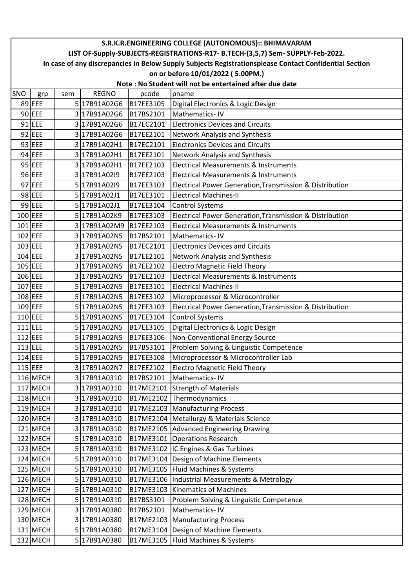|     | S.R.K.R.ENGINEERING COLLEGE (AUTONOMOUS):: BHIMAVARAM                                                  |     |              |           |                                                          |  |  |  |  |  |  |
|-----|--------------------------------------------------------------------------------------------------------|-----|--------------|-----------|----------------------------------------------------------|--|--|--|--|--|--|
|     | LIST OF-Supply-SUBJECTS-REGISTRATIONS-R17- B.TECH-(3,5,7) Sem- SUPPLY-Feb-2022.                        |     |              |           |                                                          |  |  |  |  |  |  |
|     | In case of any discrepancies in Below Supply Subjects Registrationsplease Contact Confidential Section |     |              |           |                                                          |  |  |  |  |  |  |
|     |                                                                                                        |     |              |           | on or before 10/01/2022 (5.00PM.)                        |  |  |  |  |  |  |
|     | Note: No Student will not be entertained after due date                                                |     |              |           |                                                          |  |  |  |  |  |  |
| SNO | grp                                                                                                    | sem | <b>REGNO</b> | pcode     | pname                                                    |  |  |  |  |  |  |
|     | 89 EEE                                                                                                 |     | 5 17B91A02G6 | B17EE3105 | Digital Electronics & Logic Design                       |  |  |  |  |  |  |
|     | $90$ EEE                                                                                               |     | 3 17B91A02G6 | B17BS2101 | Mathematics-IV                                           |  |  |  |  |  |  |
|     | $91$ EEE                                                                                               |     | 3 17B91A02G6 | B17EC2101 | <b>Electronics Devices and Circuits</b>                  |  |  |  |  |  |  |
|     | $92$ EEE                                                                                               |     | 3 17B91A02G6 | B17EE2101 | Network Analysis and Synthesis                           |  |  |  |  |  |  |
|     | 93 EEE                                                                                                 |     | 3 17B91A02H1 | B17EC2101 | <b>Electronics Devices and Circuits</b>                  |  |  |  |  |  |  |
|     | 94 EEE                                                                                                 |     | 3 17B91A02H1 | B17EE2101 | Network Analysis and Synthesis                           |  |  |  |  |  |  |
|     | $95$ EEE                                                                                               |     | 3 17B91A02H1 | B17EE2103 | <b>Electrical Measurements &amp; Instruments</b>         |  |  |  |  |  |  |
|     | 96 EEE                                                                                                 |     | 3 17B91A02I9 | B17EE2103 | <b>Electrical Measurements &amp; Instruments</b>         |  |  |  |  |  |  |
|     | 97 EEE                                                                                                 |     | 5 17B91A02I9 | B17EE3103 | Electrical Power Generation, Transmission & Distribution |  |  |  |  |  |  |
|     | 98 EEE                                                                                                 |     | 5 17B91A02J1 | B17EE3101 | <b>Electrical Machines-II</b>                            |  |  |  |  |  |  |
|     | 99 EEE                                                                                                 |     | 5 17B91A02J1 | B17EE3104 | <b>Control Systems</b>                                   |  |  |  |  |  |  |
|     | 100 EEE                                                                                                |     | 5 17B91A02K9 | B17EE3103 | Electrical Power Generation, Transmission & Distribution |  |  |  |  |  |  |
|     | 101 EEE                                                                                                |     | 3 17B91A02M9 | B17EE2103 | <b>Electrical Measurements &amp; Instruments</b>         |  |  |  |  |  |  |
|     | 102 EEE                                                                                                |     | 3 17B91A02N5 | B17BS2101 | Mathematics-IV                                           |  |  |  |  |  |  |
|     | 103 EEE                                                                                                |     | 3 17B91A02N5 | B17EC2101 | <b>Electronics Devices and Circuits</b>                  |  |  |  |  |  |  |
|     | 104 EEE                                                                                                |     | 3 17B91A02N5 | B17EE2101 | Network Analysis and Synthesis                           |  |  |  |  |  |  |
|     | 105 EEE                                                                                                |     | 3 17B91A02N5 | B17EE2102 | <b>Electro Magnetic Field Theory</b>                     |  |  |  |  |  |  |
|     | 106 EEE                                                                                                |     | 3 17B91A02N5 | B17EE2103 | <b>Electrical Measurements &amp; Instruments</b>         |  |  |  |  |  |  |
|     | 107 EEE                                                                                                |     | 5 17B91A02N5 | B17EE3101 | <b>Electrical Machines-II</b>                            |  |  |  |  |  |  |
|     | 108 EEE                                                                                                |     | 5 17B91A02N5 | B17EE3102 | Microprocessor & Microcontroller                         |  |  |  |  |  |  |
|     | $109$ EEE                                                                                              |     | 5 17B91A02N5 | B17EE3103 | Electrical Power Generation, Transmission & Distribution |  |  |  |  |  |  |
|     | $110$ EEE                                                                                              |     | 5 17B91A02N5 | B17EE3104 | <b>Control Systems</b>                                   |  |  |  |  |  |  |
|     | $111$ EEE                                                                                              |     | 5 17B91A02N5 | B17EE3105 | Digital Electronics & Logic Design                       |  |  |  |  |  |  |
|     | $112$ EEE                                                                                              |     | 5 17B91A02N5 | B17EE3106 | Non-Conventional Energy Source                           |  |  |  |  |  |  |
|     | 113 EEE                                                                                                |     | 5 17B91A02N5 | B17BS3101 | Problem Solving & Linguistic Competence                  |  |  |  |  |  |  |
|     | 114 EEE                                                                                                |     | 5 17B91A02N5 | B17EE3108 | Microprocessor & Microcontroller Lab                     |  |  |  |  |  |  |
|     | 115 EEE                                                                                                |     | 3 17B91A02N7 | B17EE2102 | <b>Electro Magnetic Field Theory</b>                     |  |  |  |  |  |  |
|     | 116 MECH                                                                                               |     | 3 17B91A0310 | B17BS2101 | Mathematics-IV                                           |  |  |  |  |  |  |
|     | 117 MECH                                                                                               |     | 317B91A0310  | B17ME2101 | <b>Strength of Materials</b>                             |  |  |  |  |  |  |
|     | 118 MECH                                                                                               |     | 317B91A0310  | B17ME2102 | Thermodynamics                                           |  |  |  |  |  |  |
|     | 119 MECH                                                                                               |     | 3 17B91A0310 | B17ME2103 | Manufacturing Process                                    |  |  |  |  |  |  |
|     | 120 MECH                                                                                               |     | 3 17B91A0310 | B17ME2104 | Metallurgy & Materials Science                           |  |  |  |  |  |  |
|     | 121 MECH                                                                                               |     | 317B91A0310  | B17ME2105 | Advanced Engineering Drawing                             |  |  |  |  |  |  |
|     | 122 MECH                                                                                               |     | 517B91A0310  | B17ME3101 | <b>Operations Research</b>                               |  |  |  |  |  |  |
|     | 123 MECH                                                                                               |     | 5 17B91A0310 |           | B17ME3102 IC Engines & Gas Turbines                      |  |  |  |  |  |  |
|     | 124 MECH                                                                                               |     | 5 17B91A0310 | B17ME3104 | Design of Machine Elements                               |  |  |  |  |  |  |
|     | 125 MECH                                                                                               |     | 5 17B91A0310 | B17ME3105 | Fluid Machines & Systems                                 |  |  |  |  |  |  |
|     | 126 MECH                                                                                               |     | 5 17B91A0310 | B17ME3106 | Industrial Measurements & Metrology                      |  |  |  |  |  |  |
|     | 127 MECH                                                                                               |     | 5 17B91A0310 | B17ME3103 | <b>Kinematics of Machines</b>                            |  |  |  |  |  |  |
|     | 128 MECH                                                                                               |     | 5 17B91A0310 | B17BS3101 | Problem Solving & Linguistic Competence                  |  |  |  |  |  |  |
|     | 129 MECH                                                                                               |     | 317B91A0380  | B17BS2101 | Mathematics-IV                                           |  |  |  |  |  |  |
|     | 130 MECH                                                                                               |     | 3 17B91A0380 | B17ME2103 | Manufacturing Process                                    |  |  |  |  |  |  |
|     | $131$ MECH                                                                                             |     | 5 17B91A0380 | B17ME3104 | Design of Machine Elements                               |  |  |  |  |  |  |
|     | 132 MECH                                                                                               |     | 5 17B91A0380 | B17ME3105 | Fluid Machines & Systems                                 |  |  |  |  |  |  |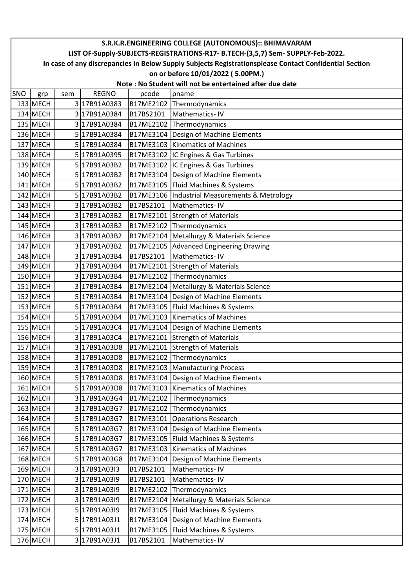|     | S.R.K.R.ENGINEERING COLLEGE (AUTONOMOUS):: BHIMAVARAM                                                                                       |     |                              |                        |                                                        |  |  |  |  |  |  |
|-----|---------------------------------------------------------------------------------------------------------------------------------------------|-----|------------------------------|------------------------|--------------------------------------------------------|--|--|--|--|--|--|
|     | LIST OF-Supply-SUBJECTS-REGISTRATIONS-R17- B.TECH-(3,5,7) Sem- SUPPLY-Feb-2022.                                                             |     |                              |                        |                                                        |  |  |  |  |  |  |
|     | In case of any discrepancies in Below Supply Subjects Registrationsplease Contact Confidential Section<br>on or before 10/01/2022 (5.00PM.) |     |                              |                        |                                                        |  |  |  |  |  |  |
|     | Note: No Student will not be entertained after due date                                                                                     |     |                              |                        |                                                        |  |  |  |  |  |  |
| SNO | grp                                                                                                                                         | sem | <b>REGNO</b>                 | pcode                  | pname                                                  |  |  |  |  |  |  |
|     | 133 MECH                                                                                                                                    |     | 3 17B91A0383                 | B17ME2102              | Thermodynamics                                         |  |  |  |  |  |  |
|     | 134 MECH                                                                                                                                    |     | 3 17B91A0384                 | B17BS2101              | Mathematics-IV                                         |  |  |  |  |  |  |
|     | 135 MECH                                                                                                                                    |     | 3 17B91A0384                 | B17ME2102              | Thermodynamics                                         |  |  |  |  |  |  |
|     | 136 MECH                                                                                                                                    |     | 5 17B91A0384                 | B17ME3104              | Design of Machine Elements                             |  |  |  |  |  |  |
|     | 137 MECH                                                                                                                                    |     | 5 17B91A0384                 | B17ME3103              | Kinematics of Machines                                 |  |  |  |  |  |  |
|     | 138 MECH                                                                                                                                    |     | 5 17B91A0395                 |                        | B17ME3102  IC Engines & Gas Turbines                   |  |  |  |  |  |  |
|     | 139 MECH                                                                                                                                    |     | 5 17B91A03B2                 |                        | B17ME3102 IC Engines & Gas Turbines                    |  |  |  |  |  |  |
|     | 140 MECH                                                                                                                                    |     | 5 17B91A03B2                 | B17ME3104              | Design of Machine Elements                             |  |  |  |  |  |  |
|     | $141$ MECH                                                                                                                                  |     | 5 17B91A03B2                 | B17ME3105              | Fluid Machines & Systems                               |  |  |  |  |  |  |
|     | 142 MECH                                                                                                                                    |     | 5 17B91A03B2                 | B17ME3106              | Industrial Measurements & Metrology                    |  |  |  |  |  |  |
|     | 143 MECH                                                                                                                                    |     | 3 17B91A03B2                 | B17BS2101              | Mathematics-IV                                         |  |  |  |  |  |  |
|     | 144 MECH                                                                                                                                    |     | 3 17B91A03B2                 | B17ME2101              | <b>Strength of Materials</b>                           |  |  |  |  |  |  |
|     | 145 MECH                                                                                                                                    |     | 3 17B91A03B2                 | B17ME2102              | Thermodynamics                                         |  |  |  |  |  |  |
|     | 146 MECH                                                                                                                                    |     | 3 17B91A03B2                 | B17ME2104              | Metallurgy & Materials Science                         |  |  |  |  |  |  |
|     | 147 MECH                                                                                                                                    |     | 3 17B91A03B2                 | B17ME2105              | <b>Advanced Engineering Drawing</b>                    |  |  |  |  |  |  |
|     | 148 MECH                                                                                                                                    |     | 317B91A03B4                  | B17BS2101              | Mathematics-IV                                         |  |  |  |  |  |  |
|     | 149 MECH                                                                                                                                    |     | 3 17B91A03B4                 | B17ME2101              | <b>Strength of Materials</b>                           |  |  |  |  |  |  |
|     | 150 MECH                                                                                                                                    |     | 3 17B91A03B4                 | B17ME2102              | Thermodynamics                                         |  |  |  |  |  |  |
|     | 151 MECH                                                                                                                                    |     | 3 17B91A03B4                 | B17ME2104              | Metallurgy & Materials Science                         |  |  |  |  |  |  |
|     | 152 MECH                                                                                                                                    |     | 5 17B91A03B4                 | B17ME3104              | Design of Machine Elements                             |  |  |  |  |  |  |
|     | 153 MECH                                                                                                                                    |     | 5 17B91A03B4                 | B17ME3105              | Fluid Machines & Systems                               |  |  |  |  |  |  |
|     | 154 MECH                                                                                                                                    |     | 5 17B91A03B4                 | B17ME3103              | <b>Kinematics of Machines</b>                          |  |  |  |  |  |  |
|     | 155 MECH                                                                                                                                    |     | 5 17B91A03C4                 | B17ME3104              | Design of Machine Elements                             |  |  |  |  |  |  |
|     | 156 MECH                                                                                                                                    |     | 3 17B91A03C4                 | B17ME2101              | <b>Strength of Materials</b>                           |  |  |  |  |  |  |
|     | 157 MECH                                                                                                                                    |     | 3 17B91A03D8                 |                        | B17ME2101 Strength of Materials                        |  |  |  |  |  |  |
|     | 158 MECH                                                                                                                                    |     | 3 17B91A03D8                 | B17ME2102              | Thermodynamics                                         |  |  |  |  |  |  |
|     | 159 MECH                                                                                                                                    |     | 3 17B91A03D8                 | B17ME2103              | <b>Manufacturing Process</b>                           |  |  |  |  |  |  |
|     | 160 MECH                                                                                                                                    |     | 5 17B91A03D8                 | B17ME3104              | Design of Machine Elements                             |  |  |  |  |  |  |
|     | 161 MECH                                                                                                                                    |     | 5 17B91A03D8                 | B17ME3103              | <b>Kinematics of Machines</b>                          |  |  |  |  |  |  |
|     | 162 MECH                                                                                                                                    |     | 3 17B91A03G4                 | B17ME2102              | Thermodynamics                                         |  |  |  |  |  |  |
|     | 163 MECH                                                                                                                                    |     | 3 17B91A03G7                 | B17ME2102              | Thermodynamics                                         |  |  |  |  |  |  |
|     | 164 MECH                                                                                                                                    |     | 5 17B91A03G7                 | B17ME3101              | Operations Research                                    |  |  |  |  |  |  |
|     | 165 MECH                                                                                                                                    |     | 5 17B91A03G7                 | B17ME3104              | Design of Machine Elements                             |  |  |  |  |  |  |
|     | 166 MECH                                                                                                                                    |     | 5 17B91A03G7                 | B17ME3105              | Fluid Machines & Systems                               |  |  |  |  |  |  |
|     | 167 MECH                                                                                                                                    |     | 5 17B91A03G7                 | B17ME3103              | <b>Kinematics of Machines</b>                          |  |  |  |  |  |  |
|     | 168 MECH                                                                                                                                    |     | 5 17B91A03G8                 | B17ME3104              | Design of Machine Elements                             |  |  |  |  |  |  |
|     | 169 MECH                                                                                                                                    |     | 3 17B91A0313                 | B17BS2101              | Mathematics-IV                                         |  |  |  |  |  |  |
|     | 170 MECH                                                                                                                                    |     | 3 17B91A03I9                 | B17BS2101              | Mathematics-IV                                         |  |  |  |  |  |  |
|     | 171 MECH                                                                                                                                    |     | 3 17B91A03I9                 | B17ME2102              | Thermodynamics                                         |  |  |  |  |  |  |
|     | 172 MECH                                                                                                                                    |     | 3 17B91A03I9<br>5 17B91A03I9 | B17ME2104              | Metallurgy & Materials Science                         |  |  |  |  |  |  |
|     | 173 MECH<br>174 MECH                                                                                                                        |     | 5 17B91A03J1                 | B17ME3105<br>B17ME3104 | Fluid Machines & Systems                               |  |  |  |  |  |  |
|     | 175 MECH                                                                                                                                    |     | 5 17B91A03J1                 | B17ME3105              | Design of Machine Elements<br>Fluid Machines & Systems |  |  |  |  |  |  |
|     | 176 MECH                                                                                                                                    |     | 3 17B91A03J1                 | B17BS2101              | Mathematics-IV                                         |  |  |  |  |  |  |
|     |                                                                                                                                             |     |                              |                        |                                                        |  |  |  |  |  |  |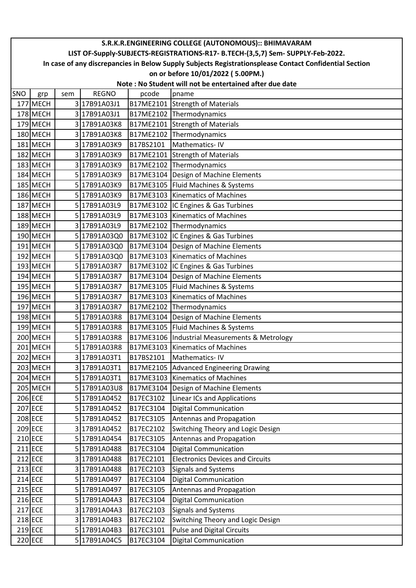|     | S.R.K.R.ENGINEERING COLLEGE (AUTONOMOUS):: BHIMAVARAM                                                  |     |              |           |                                         |  |  |  |  |  |
|-----|--------------------------------------------------------------------------------------------------------|-----|--------------|-----------|-----------------------------------------|--|--|--|--|--|
|     | LIST OF-Supply-SUBJECTS-REGISTRATIONS-R17- B.TECH-(3,5,7) Sem- SUPPLY-Feb-2022.                        |     |              |           |                                         |  |  |  |  |  |
|     | In case of any discrepancies in Below Supply Subjects Registrationsplease Contact Confidential Section |     |              |           |                                         |  |  |  |  |  |
|     | on or before 10/01/2022 (5.00PM.)                                                                      |     |              |           |                                         |  |  |  |  |  |
|     | Note: No Student will not be entertained after due date                                                |     |              |           |                                         |  |  |  |  |  |
| SNO | grp                                                                                                    | sem | <b>REGNO</b> | pcode     | pname                                   |  |  |  |  |  |
|     | 177 MECH                                                                                               |     | 3 17B91A03J1 | B17ME2101 | <b>Strength of Materials</b>            |  |  |  |  |  |
|     | 178 MECH                                                                                               |     | 3 17B91A03J1 |           | B17ME2102 Thermodynamics                |  |  |  |  |  |
|     | 179 MECH                                                                                               |     | 3 17B91A03K8 | B17ME2101 | <b>Strength of Materials</b>            |  |  |  |  |  |
|     | 180 MECH                                                                                               |     | 3 17B91A03K8 | B17ME2102 | Thermodynamics                          |  |  |  |  |  |
|     | 181 MECH                                                                                               |     | 3 17B91A03K9 | B17BS2101 | Mathematics-IV                          |  |  |  |  |  |
|     | 182 MECH                                                                                               |     | 3 17B91A03K9 | B17ME2101 | <b>Strength of Materials</b>            |  |  |  |  |  |
|     | $183$ MECH                                                                                             |     | 3 17B91A03K9 | B17ME2102 | Thermodynamics                          |  |  |  |  |  |
|     | 184 MECH                                                                                               |     | 5 17B91A03K9 | B17ME3104 | Design of Machine Elements              |  |  |  |  |  |
|     | 185 MECH                                                                                               |     | 5 17B91A03K9 | B17ME3105 | Fluid Machines & Systems                |  |  |  |  |  |
|     | 186 MECH                                                                                               |     | 5 17B91A03K9 | B17ME3103 | <b>Kinematics of Machines</b>           |  |  |  |  |  |
|     | 187 MECH                                                                                               |     | 5 17B91A03L9 | B17ME3102 | IC Engines & Gas Turbines               |  |  |  |  |  |
|     | 188 MECH                                                                                               |     | 5 17B91A03L9 | B17ME3103 | Kinematics of Machines                  |  |  |  |  |  |
|     | 189 MECH                                                                                               |     | 3 17B91A03L9 |           | B17ME2102 Thermodynamics                |  |  |  |  |  |
|     | 190 MECH                                                                                               |     | 5 17B91A03Q0 |           | B17ME3102  IC Engines & Gas Turbines    |  |  |  |  |  |
|     | 191 MECH                                                                                               |     | 5 17B91A03Q0 | B17ME3104 | Design of Machine Elements              |  |  |  |  |  |
|     | 192 MECH                                                                                               |     | 5 17B91A03Q0 | B17ME3103 | <b>Kinematics of Machines</b>           |  |  |  |  |  |
|     | 193 MECH                                                                                               |     | 5 17B91A03R7 |           | B17ME3102  IC Engines & Gas Turbines    |  |  |  |  |  |
|     | 194 MECH                                                                                               |     | 5 17B91A03R7 | B17ME3104 | Design of Machine Elements              |  |  |  |  |  |
|     | 195 MECH                                                                                               |     | 5 17B91A03R7 | B17ME3105 | Fluid Machines & Systems                |  |  |  |  |  |
|     | 196 MECH                                                                                               |     | 5 17B91A03R7 | B17ME3103 | <b>Kinematics of Machines</b>           |  |  |  |  |  |
|     | 197 MECH                                                                                               |     | 3 17B91A03R7 | B17ME2102 | Thermodynamics                          |  |  |  |  |  |
|     | 198 MECH                                                                                               |     | 5 17B91A03R8 | B17ME3104 | Design of Machine Elements              |  |  |  |  |  |
|     | 199 MECH                                                                                               |     | 5 17B91A03R8 | B17ME3105 | Fluid Machines & Systems                |  |  |  |  |  |
|     | 200 MECH                                                                                               |     | 5 17B91A03R8 | B17ME3106 | Industrial Measurements & Metrology     |  |  |  |  |  |
|     | 201 MECH                                                                                               |     | 5 17B91A03R8 |           | B17ME3103 Kinematics of Machines        |  |  |  |  |  |
|     | 202 MECH                                                                                               |     | 3 17B91A03T1 | B17BS2101 | Mathematics-IV                          |  |  |  |  |  |
|     | 203 MECH                                                                                               |     | 3 17B91A03T1 | B17ME2105 | <b>Advanced Engineering Drawing</b>     |  |  |  |  |  |
|     | 204 MECH                                                                                               |     | 5 17B91A03T1 | B17ME3103 | <b>Kinematics of Machines</b>           |  |  |  |  |  |
|     | 205 MECH                                                                                               |     | 5 17B91A03U8 | B17ME3104 | Design of Machine Elements              |  |  |  |  |  |
|     | 206 ECE                                                                                                |     | 5 17B91A0452 | B17EC3102 | Linear ICs and Applications             |  |  |  |  |  |
|     | 207 ECE                                                                                                |     | 5 17B91A0452 | B17EC3104 | <b>Digital Communication</b>            |  |  |  |  |  |
|     | 208 ECE                                                                                                |     | 5 17B91A0452 | B17EC3105 | Antennas and Propagation                |  |  |  |  |  |
|     | 209 ECE                                                                                                |     | 3 17B91A0452 | B17EC2102 | Switching Theory and Logic Design       |  |  |  |  |  |
|     | 210 ECE                                                                                                |     | 5 17B91A0454 | B17EC3105 | Antennas and Propagation                |  |  |  |  |  |
|     | 211 ECE                                                                                                |     | 5 17B91A0488 | B17EC3104 | <b>Digital Communication</b>            |  |  |  |  |  |
|     | 212 ECE                                                                                                |     | 3 17B91A0488 | B17EC2101 | <b>Electronics Devices and Circuits</b> |  |  |  |  |  |
|     | 213 ECE                                                                                                |     | 3 17B91A0488 | B17EC2103 | Signals and Systems                     |  |  |  |  |  |
|     | $214$ ECE                                                                                              |     | 5 17B91A0497 | B17EC3104 | <b>Digital Communication</b>            |  |  |  |  |  |
|     | 215 ECE                                                                                                |     | 5 17B91A0497 | B17EC3105 | Antennas and Propagation                |  |  |  |  |  |
|     | 216 ECE                                                                                                |     | 5 17B91A04A3 | B17EC3104 | <b>Digital Communication</b>            |  |  |  |  |  |
|     | 217 ECE                                                                                                |     | 3 17B91A04A3 | B17EC2103 | <b>Signals and Systems</b>              |  |  |  |  |  |
|     | 218 ECE                                                                                                |     | 3 17B91A04B3 | B17EC2102 | Switching Theory and Logic Design       |  |  |  |  |  |
|     | 219 ECE                                                                                                |     | 5 17B91A04B3 | B17EC3101 | <b>Pulse and Digital Circuits</b>       |  |  |  |  |  |
|     | 220 ECE                                                                                                |     | 5 17B91A04C5 | B17EC3104 | <b>Digital Communication</b>            |  |  |  |  |  |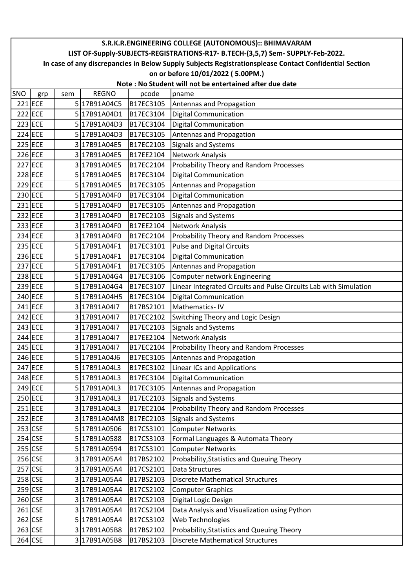|         | S.R.K.R.ENGINEERING COLLEGE (AUTONOMOUS):: BHIMAVARAM                                                  |     |              |           |                                                                   |  |  |  |  |  |
|---------|--------------------------------------------------------------------------------------------------------|-----|--------------|-----------|-------------------------------------------------------------------|--|--|--|--|--|
|         | LIST OF-Supply-SUBJECTS-REGISTRATIONS-R17- B.TECH-(3,5,7) Sem- SUPPLY-Feb-2022.                        |     |              |           |                                                                   |  |  |  |  |  |
|         | In case of any discrepancies in Below Supply Subjects Registrationsplease Contact Confidential Section |     |              |           |                                                                   |  |  |  |  |  |
|         | on or before 10/01/2022 (5.00PM.)                                                                      |     |              |           |                                                                   |  |  |  |  |  |
|         | Note: No Student will not be entertained after due date                                                |     |              |           |                                                                   |  |  |  |  |  |
| SNO     | grp                                                                                                    | sem | <b>REGNO</b> | pcode     | pname                                                             |  |  |  |  |  |
|         | $221$ ECE                                                                                              |     | 5 17B91A04C5 | B17EC3105 | Antennas and Propagation                                          |  |  |  |  |  |
|         | 222 ECE                                                                                                |     | 5 17B91A04D1 | B17EC3104 | <b>Digital Communication</b>                                      |  |  |  |  |  |
|         | $223$ ECE                                                                                              |     | 5 17B91A04D3 | B17EC3104 | <b>Digital Communication</b>                                      |  |  |  |  |  |
|         | 224 ECE                                                                                                |     | 5 17B91A04D3 | B17EC3105 | Antennas and Propagation                                          |  |  |  |  |  |
|         | 225 ECE                                                                                                |     | 3 17B91A04E5 | B17EC2103 | Signals and Systems                                               |  |  |  |  |  |
|         | 226 ECE                                                                                                |     | 3 17B91A04E5 | B17EE2104 | Network Analysis                                                  |  |  |  |  |  |
|         | $227$ ECE                                                                                              |     | 3 17B91A04E5 | B17EC2104 | Probability Theory and Random Processes                           |  |  |  |  |  |
|         | 228 ECE                                                                                                |     | 5 17B91A04E5 | B17EC3104 | <b>Digital Communication</b>                                      |  |  |  |  |  |
|         | $229$ ECE                                                                                              |     | 5 17B91A04E5 | B17EC3105 | Antennas and Propagation                                          |  |  |  |  |  |
|         | 230 ECE                                                                                                |     | 5 17B91A04F0 | B17EC3104 | <b>Digital Communication</b>                                      |  |  |  |  |  |
|         | 231 ECE                                                                                                |     | 5 17B91A04F0 | B17EC3105 | Antennas and Propagation                                          |  |  |  |  |  |
|         | 232 ECE                                                                                                |     | 3 17B91A04F0 | B17EC2103 | <b>Signals and Systems</b>                                        |  |  |  |  |  |
|         | 233 ECE                                                                                                |     | 3 17B91A04F0 | B17EE2104 | Network Analysis                                                  |  |  |  |  |  |
|         | 234 ECE                                                                                                |     | 3 17B91A04F0 | B17EC2104 | Probability Theory and Random Processes                           |  |  |  |  |  |
|         | 235 ECE                                                                                                |     | 5 17B91A04F1 | B17EC3101 | <b>Pulse and Digital Circuits</b>                                 |  |  |  |  |  |
|         | 236 ECE                                                                                                |     | 5 17B91A04F1 | B17EC3104 | <b>Digital Communication</b>                                      |  |  |  |  |  |
|         | 237 ECE                                                                                                |     | 5 17B91A04F1 | B17EC3105 | Antennas and Propagation                                          |  |  |  |  |  |
|         | 238 ECE                                                                                                |     | 5 17B91A04G4 | B17EC3106 | Computer network Engineering                                      |  |  |  |  |  |
|         | 239 ECE                                                                                                |     | 5 17B91A04G4 | B17EC3107 | Linear Integrated Circuits and Pulse Circuits Lab with Simulation |  |  |  |  |  |
|         | 240 ECE                                                                                                |     | 5 17B91A04H5 | B17EC3104 | <b>Digital Communication</b>                                      |  |  |  |  |  |
|         | 241 ECE                                                                                                |     | 3 17B91A0417 | B17BS2101 | Mathematics-IV                                                    |  |  |  |  |  |
|         | $242$ ECE                                                                                              |     | 3 17B91A04I7 | B17EC2102 | Switching Theory and Logic Design                                 |  |  |  |  |  |
|         | 243 ECE                                                                                                |     | 3 17B91A04I7 | B17EC2103 | <b>Signals and Systems</b>                                        |  |  |  |  |  |
|         | 244 ECE                                                                                                |     | 3 17B91A04I7 | B17EE2104 | Network Analysis                                                  |  |  |  |  |  |
|         | 245 ECE                                                                                                |     | 3 17B91A04I7 | B17EC2104 | Probability Theory and Random Processes                           |  |  |  |  |  |
|         | 246 ECE                                                                                                |     | 5 17B91A04J6 | B17EC3105 | Antennas and Propagation                                          |  |  |  |  |  |
|         | 247 ECE                                                                                                |     | 5 17B91A04L3 | B17EC3102 | <b>Linear ICs and Applications</b>                                |  |  |  |  |  |
|         | 248 ECE                                                                                                |     | 5 17B91A04L3 | B17EC3104 | <b>Digital Communication</b>                                      |  |  |  |  |  |
|         | 249 ECE                                                                                                |     | 5 17B91A04L3 | B17EC3105 | Antennas and Propagation                                          |  |  |  |  |  |
|         | 250 ECE                                                                                                |     | 3 17B91A04L3 | B17EC2103 | <b>Signals and Systems</b>                                        |  |  |  |  |  |
|         | $251$ ECE                                                                                              |     | 317B91A04L3  | B17EC2104 | Probability Theory and Random Processes                           |  |  |  |  |  |
|         | 252 ECE                                                                                                |     | 3 17B91A04M8 | B17EC2103 | <b>Signals and Systems</b>                                        |  |  |  |  |  |
| 253 CSE |                                                                                                        |     | 5 17B91A0506 | B17CS3101 | <b>Computer Networks</b>                                          |  |  |  |  |  |
|         | $254$ CSE                                                                                              |     | 5 17B91A0588 | B17CS3103 | Formal Languages & Automata Theory                                |  |  |  |  |  |
|         | $255$ CSE                                                                                              |     | 5 17B91A0594 | B17CS3101 | <b>Computer Networks</b>                                          |  |  |  |  |  |
|         | 256 CSE                                                                                                |     | 3 17B91A05A4 | B17BS2102 | Probability, Statistics and Queuing Theory                        |  |  |  |  |  |
|         | $257$ CSE                                                                                              |     | 3 17B91A05A4 | B17CS2101 | Data Structures                                                   |  |  |  |  |  |
|         | 258 CSE                                                                                                |     | 3 17B91A05A4 | B17BS2103 | <b>Discrete Mathematical Structures</b>                           |  |  |  |  |  |
|         | $259$ CSE                                                                                              |     | 3 17B91A05A4 | B17CS2102 | <b>Computer Graphics</b>                                          |  |  |  |  |  |
|         | 260 CSE                                                                                                |     | 3 17B91A05A4 | B17CS2103 | Digital Logic Design                                              |  |  |  |  |  |
|         | $261$ CSE                                                                                              |     | 3 17B91A05A4 | B17CS2104 | Data Analysis and Visualization using Python                      |  |  |  |  |  |
|         | $262$ CSE                                                                                              |     | 5 17B91A05A4 | B17CS3102 | Web Technologies                                                  |  |  |  |  |  |
|         | 263 CSE                                                                                                |     | 3 17B91A05B8 | B17BS2102 | Probability, Statistics and Queuing Theory                        |  |  |  |  |  |
|         | 264 CSE                                                                                                |     | 3 17B91A05B8 | B17BS2103 | <b>Discrete Mathematical Structures</b>                           |  |  |  |  |  |
|         |                                                                                                        |     |              |           |                                                                   |  |  |  |  |  |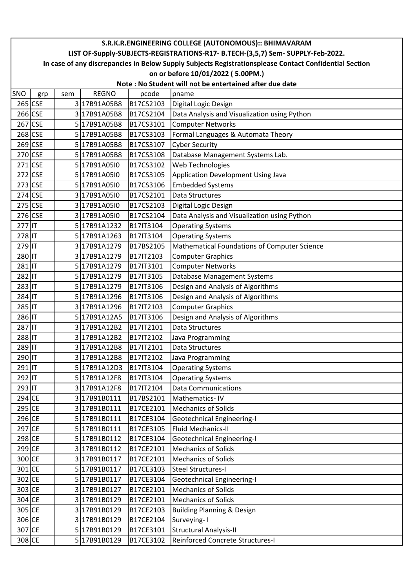|          | S.R.K.R.ENGINEERING COLLEGE (AUTONOMOUS):: BHIMAVARAM                                                  |     |              |                  |                                              |  |  |  |  |  |
|----------|--------------------------------------------------------------------------------------------------------|-----|--------------|------------------|----------------------------------------------|--|--|--|--|--|
|          | LIST OF-Supply-SUBJECTS-REGISTRATIONS-R17- B.TECH-(3,5,7) Sem- SUPPLY-Feb-2022.                        |     |              |                  |                                              |  |  |  |  |  |
|          | In case of any discrepancies in Below Supply Subjects Registrationsplease Contact Confidential Section |     |              |                  |                                              |  |  |  |  |  |
|          | on or before 10/01/2022 (5.00PM.)                                                                      |     |              |                  |                                              |  |  |  |  |  |
|          | Note: No Student will not be entertained after due date                                                |     |              |                  |                                              |  |  |  |  |  |
| SNO      | grp                                                                                                    | sem | <b>REGNO</b> | pcode            | pname                                        |  |  |  |  |  |
|          | 265 CSE                                                                                                |     | 3 17B91A05B8 | B17CS2103        | Digital Logic Design                         |  |  |  |  |  |
|          | 266 CSE                                                                                                |     | 3 17B91A05B8 | B17CS2104        | Data Analysis and Visualization using Python |  |  |  |  |  |
|          | 267 CSE                                                                                                |     | 5 17B91A05B8 | B17CS3101        | <b>Computer Networks</b>                     |  |  |  |  |  |
|          | $268$ CSE                                                                                              |     | 5 17B91A05B8 | B17CS3103        | Formal Languages & Automata Theory           |  |  |  |  |  |
|          | 269 CSE                                                                                                |     | 5 17B91A05B8 | B17CS3107        | <b>Cyber Security</b>                        |  |  |  |  |  |
|          | 270 CSE                                                                                                |     | 5 17B91A05B8 | B17CS3108        | Database Management Systems Lab.             |  |  |  |  |  |
|          | 271 CSE                                                                                                |     | 5 17B91A05I0 | B17CS3102        | Web Technologies                             |  |  |  |  |  |
|          | 272 CSE                                                                                                |     | 5 17B91A05I0 | B17CS3105        | Application Development Using Java           |  |  |  |  |  |
|          | 273 CSE                                                                                                |     | 5 17B91A05I0 | B17CS3106        | <b>Embedded Systems</b>                      |  |  |  |  |  |
|          | $274$ CSE                                                                                              |     | 3 17B91A05I0 | B17CS2101        | Data Structures                              |  |  |  |  |  |
|          | $275$ CSE                                                                                              |     | 3 17B91A05I0 | B17CS2103        | Digital Logic Design                         |  |  |  |  |  |
|          | 276 CSE                                                                                                |     | 3 17B91A05I0 | B17CS2104        | Data Analysis and Visualization using Python |  |  |  |  |  |
| 277 IT   |                                                                                                        |     | 5 17B91A1232 | B17IT3104        | <b>Operating Systems</b>                     |  |  |  |  |  |
| 278 IT   |                                                                                                        |     | 5 17B91A1263 | B17IT3104        | <b>Operating Systems</b>                     |  |  |  |  |  |
| 279 IT   |                                                                                                        |     | 3 17B91A1279 | B17BS2105        | Mathematical Foundations of Computer Science |  |  |  |  |  |
| 280 IT   |                                                                                                        |     | 317B91A1279  | B17IT2103        | <b>Computer Graphics</b>                     |  |  |  |  |  |
| $281$ IT |                                                                                                        |     | 5 17B91A1279 | B17IT3101        | <b>Computer Networks</b>                     |  |  |  |  |  |
| 282 IT   |                                                                                                        |     | 5 17B91A1279 | B17IT3105        | Database Management Systems                  |  |  |  |  |  |
| 283 IT   |                                                                                                        |     | 517B91A1279  | B17IT3106        | Design and Analysis of Algorithms            |  |  |  |  |  |
| 284 IT   |                                                                                                        |     | 5 17B91A1296 | B17IT3106        | Design and Analysis of Algorithms            |  |  |  |  |  |
| 285 IT   |                                                                                                        |     | 3 17B91A1296 | <b>B17IT2103</b> | <b>Computer Graphics</b>                     |  |  |  |  |  |
| 286 IT   |                                                                                                        |     | 5 17B91A12A5 | B17IT3106        | Design and Analysis of Algorithms            |  |  |  |  |  |
| 287 IT   |                                                                                                        |     | 3 17B91A12B2 | B17IT2101        | Data Structures                              |  |  |  |  |  |
| 288 IT   |                                                                                                        |     | 3 17B91A12B2 | B17IT2102        | Java Programming                             |  |  |  |  |  |
| 289 IT   |                                                                                                        |     | 3 17B91A12B8 | B17IT2101        | Data Structures                              |  |  |  |  |  |
| $290$ IT |                                                                                                        |     | 3 17B91A12B8 | B17IT2102        | Java Programming                             |  |  |  |  |  |
| 291 IT   |                                                                                                        |     | 5 17B91A12D3 | B17IT3104        | <b>Operating Systems</b>                     |  |  |  |  |  |
| 292 IT   |                                                                                                        |     | 5 17B91A12F8 | B17IT3104        | <b>Operating Systems</b>                     |  |  |  |  |  |
| 293 IT   |                                                                                                        |     | 3 17B91A12F8 | B17IT2104        | <b>Data Communications</b>                   |  |  |  |  |  |
| 294 CE   |                                                                                                        |     | 317B91B0111  | B17BS2101        | Mathematics-IV                               |  |  |  |  |  |
| 295 CE   |                                                                                                        |     | 3 17B91B0111 | B17CE2101        | <b>Mechanics of Solids</b>                   |  |  |  |  |  |
| 296 CE   |                                                                                                        |     | 5 17B91B0111 | B17CE3104        | <b>Geotechnical Engineering-I</b>            |  |  |  |  |  |
| $297$ CE |                                                                                                        |     | 5 17B91B0111 | B17CE3105        | <b>Fluid Mechanics-II</b>                    |  |  |  |  |  |
| 298 CE   |                                                                                                        |     | 5 17B91B0112 | B17CE3104        | <b>Geotechnical Engineering-I</b>            |  |  |  |  |  |
| $299$ CE |                                                                                                        |     | 317B91B0112  | B17CE2101        | <b>Mechanics of Solids</b>                   |  |  |  |  |  |
| 300 CE   |                                                                                                        |     | 317B91B0117  | B17CE2101        | <b>Mechanics of Solids</b>                   |  |  |  |  |  |
| $301$ CE |                                                                                                        |     | 5 17B91B0117 | B17CE3103        | <b>Steel Structures-I</b>                    |  |  |  |  |  |
| 302 CE   |                                                                                                        |     | 5 17B91B0117 | B17CE3104        | Geotechnical Engineering-I                   |  |  |  |  |  |
| 303 CE   |                                                                                                        |     | 3 17B91B0127 | B17CE2101        | <b>Mechanics of Solids</b>                   |  |  |  |  |  |
| 304 CE   |                                                                                                        |     | 3 17B91B0129 | B17CE2101        | <b>Mechanics of Solids</b>                   |  |  |  |  |  |
| 305 CE   |                                                                                                        |     | 3 17B91B0129 | B17CE2103        | <b>Building Planning &amp; Design</b>        |  |  |  |  |  |
| 306 CE   |                                                                                                        |     | 317B91B0129  | B17CE2104        | Surveying-1                                  |  |  |  |  |  |
| 307 CE   |                                                                                                        |     | 5 17B91B0129 | B17CE3101        | <b>Structural Analysis-II</b>                |  |  |  |  |  |
| 308 CE   |                                                                                                        |     | 5 17B91B0129 | B17CE3102        | Reinforced Concrete Structures-I             |  |  |  |  |  |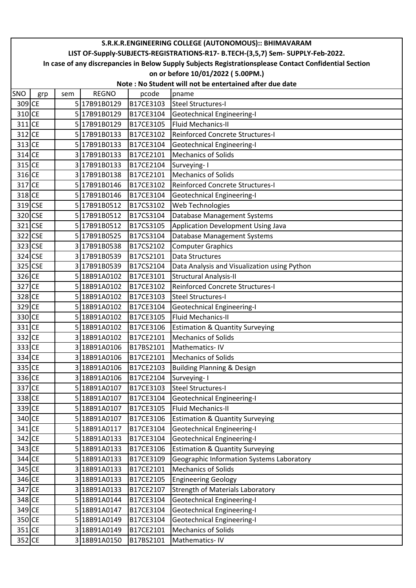|          | S.R.K.R.ENGINEERING COLLEGE (AUTONOMOUS):: BHIMAVARAM                                                  |     |              |           |                                              |  |  |  |  |  |
|----------|--------------------------------------------------------------------------------------------------------|-----|--------------|-----------|----------------------------------------------|--|--|--|--|--|
|          | LIST OF-Supply-SUBJECTS-REGISTRATIONS-R17- B.TECH-(3,5,7) Sem- SUPPLY-Feb-2022.                        |     |              |           |                                              |  |  |  |  |  |
|          | In case of any discrepancies in Below Supply Subjects Registrationsplease Contact Confidential Section |     |              |           |                                              |  |  |  |  |  |
|          | on or before 10/01/2022 (5.00PM.)                                                                      |     |              |           |                                              |  |  |  |  |  |
|          | Note: No Student will not be entertained after due date                                                |     |              |           |                                              |  |  |  |  |  |
| SNO      | grp                                                                                                    | sem | <b>REGNO</b> | pcode     | pname                                        |  |  |  |  |  |
| 309 CE   |                                                                                                        |     | 5 17B91B0129 | B17CE3103 | <b>Steel Structures-I</b>                    |  |  |  |  |  |
| 310 CE   |                                                                                                        |     | 5 17B91B0129 | B17CE3104 | <b>Geotechnical Engineering-I</b>            |  |  |  |  |  |
| $311$ CE |                                                                                                        |     | 517B91B0129  | B17CE3105 | <b>Fluid Mechanics-II</b>                    |  |  |  |  |  |
| $312$ CE |                                                                                                        |     | 5 17B91B0133 | B17CE3102 | <b>Reinforced Concrete Structures-I</b>      |  |  |  |  |  |
| 313 CE   |                                                                                                        |     | 5 17B91B0133 | B17CE3104 | <b>Geotechnical Engineering-I</b>            |  |  |  |  |  |
| 314 CE   |                                                                                                        |     | 3 17B91B0133 | B17CE2101 | <b>Mechanics of Solids</b>                   |  |  |  |  |  |
| 315 CE   |                                                                                                        |     | 317B91B0133  | B17CE2104 | Surveying-I                                  |  |  |  |  |  |
| 316 CE   |                                                                                                        |     | 317B91B0138  | B17CE2101 | <b>Mechanics of Solids</b>                   |  |  |  |  |  |
| 317 CE   |                                                                                                        |     | 5 17B91B0146 | B17CE3102 | Reinforced Concrete Structures-I             |  |  |  |  |  |
| 318 CE   |                                                                                                        |     | 5 17B91B0146 | B17CE3104 | <b>Geotechnical Engineering-I</b>            |  |  |  |  |  |
|          | 319 CSE                                                                                                |     | 5 17B91B0512 | B17CS3102 | Web Technologies                             |  |  |  |  |  |
|          | 320 CSE                                                                                                |     | 5 17B91B0512 | B17CS3104 | Database Management Systems                  |  |  |  |  |  |
|          | 321 CSE                                                                                                |     | 5 17B91B0512 | B17CS3105 | Application Development Using Java           |  |  |  |  |  |
|          | 322 CSE                                                                                                |     | 5 17B91B0525 | B17CS3104 | Database Management Systems                  |  |  |  |  |  |
|          | 323 CSE                                                                                                |     | 3 17B91B0538 | B17CS2102 | <b>Computer Graphics</b>                     |  |  |  |  |  |
|          | 324 CSE                                                                                                |     | 317B91B0539  | B17CS2101 | Data Structures                              |  |  |  |  |  |
|          | 325 CSE                                                                                                |     | 317B91B0539  | B17CS2104 | Data Analysis and Visualization using Python |  |  |  |  |  |
| 326 CE   |                                                                                                        |     | 5 18B91A0102 | B17CE3101 | <b>Structural Analysis-II</b>                |  |  |  |  |  |
| 327 CE   |                                                                                                        |     | 5 18B91A0102 | B17CE3102 | <b>Reinforced Concrete Structures-I</b>      |  |  |  |  |  |
| 328 CE   |                                                                                                        |     | 5 18B91A0102 | B17CE3103 | <b>Steel Structures-I</b>                    |  |  |  |  |  |
| 329 CE   |                                                                                                        |     | 5 18B91A0102 | B17CE3104 | <b>Geotechnical Engineering-I</b>            |  |  |  |  |  |
| 330 CE   |                                                                                                        |     | 5 18B91A0102 | B17CE3105 | <b>Fluid Mechanics-II</b>                    |  |  |  |  |  |
| $331$ CE |                                                                                                        |     | 5 18B91A0102 | B17CE3106 | <b>Estimation &amp; Quantity Surveying</b>   |  |  |  |  |  |
| 332 CE   |                                                                                                        |     | 3 18B91A0102 | B17CE2101 | <b>Mechanics of Solids</b>                   |  |  |  |  |  |
| 333 CE   |                                                                                                        |     | 3 18B91A0106 | B17BS2101 | Mathematics-IV                               |  |  |  |  |  |
| 334 CE   |                                                                                                        |     | 3 18B91A0106 | B17CE2101 | <b>Mechanics of Solids</b>                   |  |  |  |  |  |
| 335 CE   |                                                                                                        |     | 3 18B91A0106 | B17CE2103 | <b>Building Planning &amp; Design</b>        |  |  |  |  |  |
| 336 CE   |                                                                                                        |     | 3 18B91A0106 | B17CE2104 | Surveying-1                                  |  |  |  |  |  |
| 337 CE   |                                                                                                        |     | 5 18B91A0107 | B17CE3103 | Steel Structures-I                           |  |  |  |  |  |
| 338 CE   |                                                                                                        |     | 5 18B91A0107 | B17CE3104 | <b>Geotechnical Engineering-I</b>            |  |  |  |  |  |
| 339 CE   |                                                                                                        |     | 5 18B91A0107 | B17CE3105 | <b>Fluid Mechanics-II</b>                    |  |  |  |  |  |
| 340 CE   |                                                                                                        |     | 5 18B91A0107 | B17CE3106 | <b>Estimation &amp; Quantity Surveying</b>   |  |  |  |  |  |
| $341$ CE |                                                                                                        |     | 5 18B91A0117 | B17CE3104 | <b>Geotechnical Engineering-I</b>            |  |  |  |  |  |
| 342 CE   |                                                                                                        |     | 5 18B91A0133 | B17CE3104 | <b>Geotechnical Engineering-I</b>            |  |  |  |  |  |
| 343 CE   |                                                                                                        |     | 5 18B91A0133 | B17CE3106 | <b>Estimation &amp; Quantity Surveying</b>   |  |  |  |  |  |
| 344 CE   |                                                                                                        |     | 5 18B91A0133 | B17CE3109 | Geographic Information Systems Laboratory    |  |  |  |  |  |
| 345 CE   |                                                                                                        |     | 3 18B91A0133 | B17CE2101 | <b>Mechanics of Solids</b>                   |  |  |  |  |  |
| 346 CE   |                                                                                                        |     | 3 18B91A0133 | B17CE2105 | <b>Engineering Geology</b>                   |  |  |  |  |  |
| 347 CE   |                                                                                                        |     | 3 18B91A0133 | B17CE2107 | <b>Strength of Materials Laboratory</b>      |  |  |  |  |  |
| 348 CE   |                                                                                                        |     | 5 18B91A0144 | B17CE3104 | <b>Geotechnical Engineering-I</b>            |  |  |  |  |  |
| 349 CE   |                                                                                                        |     | 5 18B91A0147 | B17CE3104 | <b>Geotechnical Engineering-I</b>            |  |  |  |  |  |
| 350 CE   |                                                                                                        |     | 5 18B91A0149 | B17CE3104 | <b>Geotechnical Engineering-I</b>            |  |  |  |  |  |
| $351$ CE |                                                                                                        |     | 3 18B91A0149 | B17CE2101 | <b>Mechanics of Solids</b>                   |  |  |  |  |  |
| 352 CE   |                                                                                                        |     | 3 18B91A0150 | B17BS2101 | Mathematics-IV                               |  |  |  |  |  |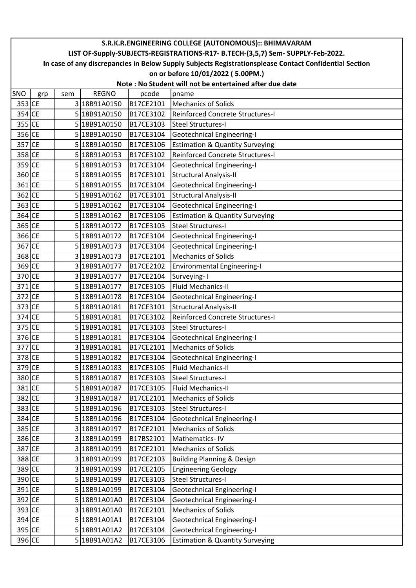|          | S.R.K.R.ENGINEERING COLLEGE (AUTONOMOUS):: BHIMAVARAM                                                  |     |              |           |                                            |  |  |  |  |  |  |
|----------|--------------------------------------------------------------------------------------------------------|-----|--------------|-----------|--------------------------------------------|--|--|--|--|--|--|
|          | LIST OF-Supply-SUBJECTS-REGISTRATIONS-R17- B.TECH-(3,5,7) Sem- SUPPLY-Feb-2022.                        |     |              |           |                                            |  |  |  |  |  |  |
|          | In case of any discrepancies in Below Supply Subjects Registrationsplease Contact Confidential Section |     |              |           |                                            |  |  |  |  |  |  |
|          |                                                                                                        |     |              |           | on or before 10/01/2022 (5.00PM.)          |  |  |  |  |  |  |
|          | Note: No Student will not be entertained after due date                                                |     |              |           |                                            |  |  |  |  |  |  |
| SNO      | grp                                                                                                    | sem | <b>REGNO</b> | pcode     | pname                                      |  |  |  |  |  |  |
| 353 CE   |                                                                                                        |     | 3 18B91A0150 | B17CE2101 | <b>Mechanics of Solids</b>                 |  |  |  |  |  |  |
| 354 CE   |                                                                                                        |     | 5 18B91A0150 | B17CE3102 | <b>Reinforced Concrete Structures-I</b>    |  |  |  |  |  |  |
| 355 CE   |                                                                                                        |     | 5 18B91A0150 | B17CE3103 | <b>Steel Structures-I</b>                  |  |  |  |  |  |  |
| 356 CE   |                                                                                                        |     | 5 18B91A0150 | B17CE3104 | <b>Geotechnical Engineering-I</b>          |  |  |  |  |  |  |
| 357 CE   |                                                                                                        |     | 5 18B91A0150 | B17CE3106 | <b>Estimation &amp; Quantity Surveying</b> |  |  |  |  |  |  |
| 358 CE   |                                                                                                        |     | 5 18B91A0153 | B17CE3102 | Reinforced Concrete Structures-I           |  |  |  |  |  |  |
| 359 CE   |                                                                                                        |     | 5 18B91A0153 | B17CE3104 | <b>Geotechnical Engineering-I</b>          |  |  |  |  |  |  |
| 360 CE   |                                                                                                        |     | 5 18B91A0155 | B17CE3101 | <b>Structural Analysis-II</b>              |  |  |  |  |  |  |
| 361 CE   |                                                                                                        |     | 5 18B91A0155 | B17CE3104 | <b>Geotechnical Engineering-I</b>          |  |  |  |  |  |  |
| 362 CE   |                                                                                                        |     | 5 18B91A0162 | B17CE3101 | <b>Structural Analysis-II</b>              |  |  |  |  |  |  |
| 363 CE   |                                                                                                        |     | 5 18B91A0162 | B17CE3104 | <b>Geotechnical Engineering-I</b>          |  |  |  |  |  |  |
| 364 CE   |                                                                                                        |     | 5 18B91A0162 | B17CE3106 | <b>Estimation &amp; Quantity Surveying</b> |  |  |  |  |  |  |
| 365 CE   |                                                                                                        |     | 5 18B91A0172 | B17CE3103 | <b>Steel Structures-I</b>                  |  |  |  |  |  |  |
| 366 CE   |                                                                                                        |     | 5 18B91A0172 | B17CE3104 | <b>Geotechnical Engineering-I</b>          |  |  |  |  |  |  |
| 367 CE   |                                                                                                        |     | 5 18B91A0173 | B17CE3104 | <b>Geotechnical Engineering-I</b>          |  |  |  |  |  |  |
| 368 CE   |                                                                                                        |     | 3 18B91A0173 | B17CE2101 | <b>Mechanics of Solids</b>                 |  |  |  |  |  |  |
| 369 CE   |                                                                                                        |     | 3 18B91A0177 | B17CE2102 | <b>Environmental Engineering-I</b>         |  |  |  |  |  |  |
| 370 CE   |                                                                                                        |     | 3 18B91A0177 | B17CE2104 | Surveying-1                                |  |  |  |  |  |  |
| $371$ CE |                                                                                                        |     | 5 18B91A0177 | B17CE3105 | <b>Fluid Mechanics-II</b>                  |  |  |  |  |  |  |
| 372 CE   |                                                                                                        |     | 5 18B91A0178 | B17CE3104 | Geotechnical Engineering-I                 |  |  |  |  |  |  |
| 373 CE   |                                                                                                        |     | 5 18B91A0181 | B17CE3101 | <b>Structural Analysis-II</b>              |  |  |  |  |  |  |
| 374 CE   |                                                                                                        |     | 5 18B91A0181 | B17CE3102 | <b>Reinforced Concrete Structures-I</b>    |  |  |  |  |  |  |
| 375 CE   |                                                                                                        |     | 5 18B91A0181 | B17CE3103 | <b>Steel Structures-I</b>                  |  |  |  |  |  |  |
| 376 CE   |                                                                                                        |     | 5 18B91A0181 | B17CE3104 | Geotechnical Engineering-I                 |  |  |  |  |  |  |
| 377 CE   |                                                                                                        |     | 3 18B91A0181 | B17CE2101 | <b>Mechanics of Solids</b>                 |  |  |  |  |  |  |
| 378 CE   |                                                                                                        |     | 5 18B91A0182 | B17CE3104 | <b>Geotechnical Engineering-I</b>          |  |  |  |  |  |  |
| 379 CE   |                                                                                                        |     | 5 18B91A0183 | B17CE3105 | <b>Fluid Mechanics-II</b>                  |  |  |  |  |  |  |
| 380 CE   |                                                                                                        |     | 5 18B91A0187 | B17CE3103 | <b>Steel Structures-I</b>                  |  |  |  |  |  |  |
| 381 CE   |                                                                                                        |     | 5 18B91A0187 | B17CE3105 | Fluid Mechanics-II                         |  |  |  |  |  |  |
| 382 CE   |                                                                                                        |     | 3 18B91A0187 | B17CE2101 | <b>Mechanics of Solids</b>                 |  |  |  |  |  |  |
| 383 CE   |                                                                                                        |     | 5 18B91A0196 | B17CE3103 | <b>Steel Structures-I</b>                  |  |  |  |  |  |  |
| 384 CE   |                                                                                                        |     | 5 18B91A0196 | B17CE3104 | <b>Geotechnical Engineering-I</b>          |  |  |  |  |  |  |
| 385 CE   |                                                                                                        |     | 3 18B91A0197 | B17CE2101 | <b>Mechanics of Solids</b>                 |  |  |  |  |  |  |
| 386 CE   |                                                                                                        |     | 3 18B91A0199 | B17BS2101 | Mathematics-IV                             |  |  |  |  |  |  |
| 387 CE   |                                                                                                        |     | 3 18B91A0199 | B17CE2101 | <b>Mechanics of Solids</b>                 |  |  |  |  |  |  |
| 388 CE   |                                                                                                        |     | 3 18B91A0199 | B17CE2103 | <b>Building Planning &amp; Design</b>      |  |  |  |  |  |  |
| 389 CE   |                                                                                                        |     | 3 18B91A0199 | B17CE2105 | <b>Engineering Geology</b>                 |  |  |  |  |  |  |
| 390 CE   |                                                                                                        |     | 5 18B91A0199 | B17CE3103 | <b>Steel Structures-I</b>                  |  |  |  |  |  |  |
| 391 CE   |                                                                                                        |     | 5 18B91A0199 | B17CE3104 | <b>Geotechnical Engineering-I</b>          |  |  |  |  |  |  |
| 392 CE   |                                                                                                        |     | 5 18B91A01A0 | B17CE3104 | <b>Geotechnical Engineering-I</b>          |  |  |  |  |  |  |
| 393 CE   |                                                                                                        |     | 3 18B91A01A0 | B17CE2101 | <b>Mechanics of Solids</b>                 |  |  |  |  |  |  |
| 394 CE   |                                                                                                        |     | 5 18B91A01A1 | B17CE3104 | <b>Geotechnical Engineering-I</b>          |  |  |  |  |  |  |
| 395 CE   |                                                                                                        |     | 5 18B91A01A2 | B17CE3104 | <b>Geotechnical Engineering-I</b>          |  |  |  |  |  |  |
| 396 CE   |                                                                                                        |     | 5 18B91A01A2 | B17CE3106 | <b>Estimation &amp; Quantity Surveying</b> |  |  |  |  |  |  |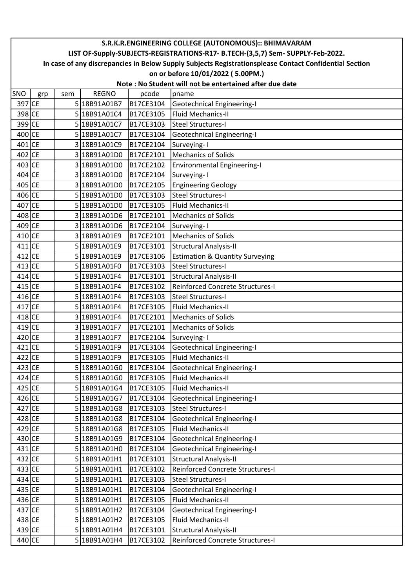|            | S.R.K.R.ENGINEERING COLLEGE (AUTONOMOUS):: BHIMAVARAM                                                  |     |              |           |                                            |  |  |  |  |  |
|------------|--------------------------------------------------------------------------------------------------------|-----|--------------|-----------|--------------------------------------------|--|--|--|--|--|
|            | LIST OF-Supply-SUBJECTS-REGISTRATIONS-R17- B.TECH-(3,5,7) Sem- SUPPLY-Feb-2022.                        |     |              |           |                                            |  |  |  |  |  |
|            | In case of any discrepancies in Below Supply Subjects Registrationsplease Contact Confidential Section |     |              |           |                                            |  |  |  |  |  |
|            | on or before 10/01/2022 (5.00PM.)                                                                      |     |              |           |                                            |  |  |  |  |  |
|            | Note: No Student will not be entertained after due date                                                |     |              |           |                                            |  |  |  |  |  |
| <b>SNO</b> | grp                                                                                                    | sem | <b>REGNO</b> | pcode     | pname                                      |  |  |  |  |  |
| 397 CE     |                                                                                                        |     | 5 18B91A01B7 | B17CE3104 | Geotechnical Engineering-I                 |  |  |  |  |  |
| 398 CE     |                                                                                                        |     | 5 18B91A01C4 | B17CE3105 | Fluid Mechanics-II                         |  |  |  |  |  |
| 399 CE     |                                                                                                        |     | 5 18B91A01C7 | B17CE3103 | <b>Steel Structures-I</b>                  |  |  |  |  |  |
| 400 CE     |                                                                                                        |     | 5 18B91A01C7 | B17CE3104 | <b>Geotechnical Engineering-I</b>          |  |  |  |  |  |
| 401 CE     |                                                                                                        |     | 3 18B91A01C9 | B17CE2104 | Surveying-I                                |  |  |  |  |  |
| 402 CE     |                                                                                                        |     | 3 18B91A01D0 | B17CE2101 | <b>Mechanics of Solids</b>                 |  |  |  |  |  |
| $403$ CE   |                                                                                                        |     | 3 18B91A01D0 | B17CE2102 | <b>Environmental Engineering-I</b>         |  |  |  |  |  |
| 404 CE     |                                                                                                        |     | 3 18B91A01D0 | B17CE2104 | Surveying-1                                |  |  |  |  |  |
| 405 CE     |                                                                                                        |     | 3 18B91A01D0 | B17CE2105 | <b>Engineering Geology</b>                 |  |  |  |  |  |
| 406 CE     |                                                                                                        |     | 5 18B91A01D0 | B17CE3103 | <b>Steel Structures-I</b>                  |  |  |  |  |  |
| 407 CE     |                                                                                                        |     | 5 18B91A01D0 | B17CE3105 | <b>Fluid Mechanics-II</b>                  |  |  |  |  |  |
| 408 CE     |                                                                                                        |     | 3 18B91A01D6 | B17CE2101 | <b>Mechanics of Solids</b>                 |  |  |  |  |  |
| 409 CE     |                                                                                                        |     | 3 18B91A01D6 | B17CE2104 | Surveying-1                                |  |  |  |  |  |
| 410 CE     |                                                                                                        |     | 3 18B91A01E9 | B17CE2101 | <b>Mechanics of Solids</b>                 |  |  |  |  |  |
| $411$ CE   |                                                                                                        |     | 5 18B91A01E9 | B17CE3101 | <b>Structural Analysis-II</b>              |  |  |  |  |  |
| $412$ CE   |                                                                                                        |     | 5 18B91A01E9 | B17CE3106 | <b>Estimation &amp; Quantity Surveying</b> |  |  |  |  |  |
| 413 CE     |                                                                                                        |     | 5 18B91A01F0 | B17CE3103 | <b>Steel Structures-I</b>                  |  |  |  |  |  |
| 414 CE     |                                                                                                        |     | 5 18B91A01F4 | B17CE3101 | <b>Structural Analysis-II</b>              |  |  |  |  |  |
| $415$ CE   |                                                                                                        |     | 5 18B91A01F4 | B17CE3102 | Reinforced Concrete Structures-I           |  |  |  |  |  |
| 416 CE     |                                                                                                        |     | 5 18B91A01F4 | B17CE3103 | <b>Steel Structures-I</b>                  |  |  |  |  |  |
| 417 CE     |                                                                                                        |     | 5 18B91A01F4 | B17CE3105 | <b>Fluid Mechanics-II</b>                  |  |  |  |  |  |
| 418 CE     |                                                                                                        |     | 3 18B91A01F4 | B17CE2101 | <b>Mechanics of Solids</b>                 |  |  |  |  |  |
| $419$ CE   |                                                                                                        |     | 3 18B91A01F7 | B17CE2101 | <b>Mechanics of Solids</b>                 |  |  |  |  |  |
| 420 CE     |                                                                                                        |     | 3 18B91A01F7 | B17CE2104 | Surveying-I                                |  |  |  |  |  |
| $421$ CE   |                                                                                                        |     | 5 18B91A01F9 | B17CE3104 | Geotechnical Engineering-I                 |  |  |  |  |  |
| 422 CE     |                                                                                                        |     | 5 18B91A01F9 | B17CE3105 | <b>Fluid Mechanics-II</b>                  |  |  |  |  |  |
| 423 CE     |                                                                                                        |     | 5 18B91A01G0 | B17CE3104 | <b>Geotechnical Engineering-I</b>          |  |  |  |  |  |
| 424 CE     |                                                                                                        |     | 5 18B91A01G0 | B17CE3105 | <b>Fluid Mechanics-II</b>                  |  |  |  |  |  |
| 425 CE     |                                                                                                        |     | 5 18B91A01G4 | B17CE3105 | <b>Fluid Mechanics-II</b>                  |  |  |  |  |  |
| 426 CE     |                                                                                                        |     | 5 18B91A01G7 | B17CE3104 | Geotechnical Engineering-I                 |  |  |  |  |  |
| 427 CE     |                                                                                                        |     | 5 18B91A01G8 | B17CE3103 | <b>Steel Structures-I</b>                  |  |  |  |  |  |
| 428 CE     |                                                                                                        |     | 5 18B91A01G8 | B17CE3104 | <b>Geotechnical Engineering-I</b>          |  |  |  |  |  |
| $429$ CE   |                                                                                                        |     | 5 18B91A01G8 | B17CE3105 | <b>Fluid Mechanics-II</b>                  |  |  |  |  |  |
| 430 CE     |                                                                                                        |     | 5 18B91A01G9 | B17CE3104 | <b>Geotechnical Engineering-I</b>          |  |  |  |  |  |
| $431$ CE   |                                                                                                        |     | 5 18B91A01H0 | B17CE3104 | <b>Geotechnical Engineering-I</b>          |  |  |  |  |  |
| 432 CE     |                                                                                                        |     | 5 18B91A01H1 | B17CE3101 | <b>Structural Analysis-II</b>              |  |  |  |  |  |
| 433 CE     |                                                                                                        |     | 5 18B91A01H1 | B17CE3102 | Reinforced Concrete Structures-I           |  |  |  |  |  |
| 434 CE     |                                                                                                        |     | 5 18B91A01H1 | B17CE3103 | <b>Steel Structures-I</b>                  |  |  |  |  |  |
| 435 CE     |                                                                                                        |     | 5 18B91A01H1 | B17CE3104 | <b>Geotechnical Engineering-I</b>          |  |  |  |  |  |
| 436 CE     |                                                                                                        |     | 5 18B91A01H1 | B17CE3105 | <b>Fluid Mechanics-II</b>                  |  |  |  |  |  |
| 437 CE     |                                                                                                        |     | 5 18B91A01H2 | B17CE3104 | Geotechnical Engineering-I                 |  |  |  |  |  |
| 438 CE     |                                                                                                        |     | 5 18B91A01H2 | B17CE3105 | <b>Fluid Mechanics-II</b>                  |  |  |  |  |  |
| 439 CE     |                                                                                                        |     | 5 18B91A01H4 | B17CE3101 | <b>Structural Analysis-II</b>              |  |  |  |  |  |
| 440 CE     |                                                                                                        |     | 5 18B91A01H4 | B17CE3102 | Reinforced Concrete Structures-I           |  |  |  |  |  |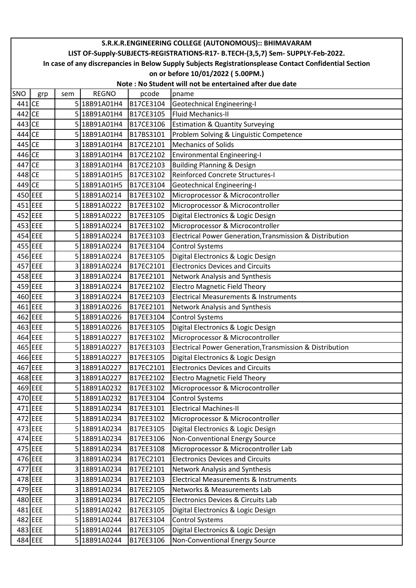|        | S.R.K.R.ENGINEERING COLLEGE (AUTONOMOUS):: BHIMAVARAM                                                  |     |              |           |                                                                     |  |  |  |  |  |
|--------|--------------------------------------------------------------------------------------------------------|-----|--------------|-----------|---------------------------------------------------------------------|--|--|--|--|--|
|        | LIST OF-Supply-SUBJECTS-REGISTRATIONS-R17- B.TECH-(3,5,7) Sem- SUPPLY-Feb-2022.                        |     |              |           |                                                                     |  |  |  |  |  |
|        | In case of any discrepancies in Below Supply Subjects Registrationsplease Contact Confidential Section |     |              |           |                                                                     |  |  |  |  |  |
|        | on or before 10/01/2022 (5.00PM.)                                                                      |     |              |           |                                                                     |  |  |  |  |  |
|        | Note: No Student will not be entertained after due date                                                |     |              |           |                                                                     |  |  |  |  |  |
| SNO    | grp                                                                                                    | sem | <b>REGNO</b> | pcode     | pname                                                               |  |  |  |  |  |
| 441 CE |                                                                                                        |     | 5 18B91A01H4 | B17CE3104 | Geotechnical Engineering-I                                          |  |  |  |  |  |
| 442 CE |                                                                                                        |     | 5 18B91A01H4 | B17CE3105 | <b>Fluid Mechanics-II</b>                                           |  |  |  |  |  |
| 443 CE |                                                                                                        |     | 5 18B91A01H4 | B17CE3106 | <b>Estimation &amp; Quantity Surveying</b>                          |  |  |  |  |  |
| 444 CE |                                                                                                        |     | 5 18B91A01H4 | B17BS3101 | Problem Solving & Linguistic Competence                             |  |  |  |  |  |
| 445 CE |                                                                                                        |     | 3 18B91A01H4 | B17CE2101 | <b>Mechanics of Solids</b>                                          |  |  |  |  |  |
| 446 CE |                                                                                                        |     | 3 18B91A01H4 | B17CE2102 | <b>Environmental Engineering-I</b>                                  |  |  |  |  |  |
| 447 CE |                                                                                                        |     | 3 18B91A01H4 | B17CE2103 | <b>Building Planning &amp; Design</b>                               |  |  |  |  |  |
| 448 CE |                                                                                                        |     | 5 18B91A01H5 | B17CE3102 | <b>Reinforced Concrete Structures-I</b>                             |  |  |  |  |  |
| 449 CE |                                                                                                        |     | 5 18B91A01H5 | B17CE3104 | Geotechnical Engineering-I                                          |  |  |  |  |  |
|        | 450 EEE                                                                                                |     | 5 18B91A0214 | B17EE3102 | Microprocessor & Microcontroller                                    |  |  |  |  |  |
|        | 451 EEE                                                                                                |     | 5 18B91A0222 | B17EE3102 | Microprocessor & Microcontroller                                    |  |  |  |  |  |
|        | 452 EEE                                                                                                |     | 5 18B91A0222 | B17EE3105 | Digital Electronics & Logic Design                                  |  |  |  |  |  |
|        | 453 EEE                                                                                                |     | 5 18B91A0224 | B17EE3102 | Microprocessor & Microcontroller                                    |  |  |  |  |  |
|        | 454 EEE                                                                                                |     | 5 18B91A0224 | B17EE3103 | Electrical Power Generation, Transmission & Distribution            |  |  |  |  |  |
|        | 455 EEE                                                                                                |     | 5 18B91A0224 | B17EE3104 | <b>Control Systems</b>                                              |  |  |  |  |  |
|        | 456 EEE                                                                                                |     | 5 18B91A0224 | B17EE3105 | Digital Electronics & Logic Design                                  |  |  |  |  |  |
|        | 457 EEE                                                                                                |     | 3 18B91A0224 | B17EC2101 | <b>Electronics Devices and Circuits</b>                             |  |  |  |  |  |
|        | 458 EEE                                                                                                |     | 3 18B91A0224 | B17EE2101 | Network Analysis and Synthesis                                      |  |  |  |  |  |
|        | 459 EEE                                                                                                |     | 3 18B91A0224 | B17EE2102 | <b>Electro Magnetic Field Theory</b>                                |  |  |  |  |  |
|        | 460 EEE                                                                                                |     | 3 18B91A0224 | B17EE2103 | <b>Electrical Measurements &amp; Instruments</b>                    |  |  |  |  |  |
|        | 461 EEE                                                                                                |     | 3 18B91A0226 | B17EE2101 | Network Analysis and Synthesis                                      |  |  |  |  |  |
|        | 462 EEE                                                                                                |     | 5 18B91A0226 | B17EE3104 | <b>Control Systems</b>                                              |  |  |  |  |  |
|        | 463 EEE                                                                                                |     | 5 18B91A0226 | B17EE3105 | Digital Electronics & Logic Design                                  |  |  |  |  |  |
|        | 464 EEE                                                                                                |     | 5 18B91A0227 | B17EE3102 | Microprocessor & Microcontroller                                    |  |  |  |  |  |
|        | 465 EEE                                                                                                |     | 5 18B91A0227 | B17EE3103 | <b>Electrical Power Generation, Transmission &amp; Distribution</b> |  |  |  |  |  |
|        | 466 EEE                                                                                                |     | 5 18B91A0227 | B17EE3105 | Digital Electronics & Logic Design                                  |  |  |  |  |  |
|        | 467 EEE                                                                                                |     | 3 18B91A0227 | B17EC2101 | <b>Electronics Devices and Circuits</b>                             |  |  |  |  |  |
|        | 468 EEE                                                                                                |     | 318B91A0227  | B17EE2102 | <b>Electro Magnetic Field Theory</b>                                |  |  |  |  |  |
|        | 469 EEE                                                                                                |     | 5 18B91A0232 | B17EE3102 | Microprocessor & Microcontroller                                    |  |  |  |  |  |
|        | 470 EEE                                                                                                |     | 5 18B91A0232 | B17EE3104 | <b>Control Systems</b>                                              |  |  |  |  |  |
|        | 471 EEE                                                                                                |     | 5 18B91A0234 | B17EE3101 | <b>Electrical Machines-II</b>                                       |  |  |  |  |  |
|        | 472 EEE                                                                                                |     | 5 18B91A0234 | B17EE3102 | Microprocessor & Microcontroller                                    |  |  |  |  |  |
|        | 473 EEE                                                                                                |     | 5 18B91A0234 | B17EE3105 | Digital Electronics & Logic Design                                  |  |  |  |  |  |
|        | 474 EEE                                                                                                |     | 5 18B91A0234 | B17EE3106 | Non-Conventional Energy Source                                      |  |  |  |  |  |
|        | 475 EEE                                                                                                |     | 5 18B91A0234 | B17EE3108 | Microprocessor & Microcontroller Lab                                |  |  |  |  |  |
|        | 476 EEE                                                                                                |     | 3 18B91A0234 | B17EC2101 | <b>Electronics Devices and Circuits</b>                             |  |  |  |  |  |
|        | 477 EEE                                                                                                |     | 3 18B91A0234 | B17EE2101 | Network Analysis and Synthesis                                      |  |  |  |  |  |
|        | 478 EEE                                                                                                |     | 3 18B91A0234 | B17EE2103 | <b>Electrical Measurements &amp; Instruments</b>                    |  |  |  |  |  |
|        | 479 EEE                                                                                                |     | 3 18B91A0234 | B17EE2105 | Networks & Measurements Lab                                         |  |  |  |  |  |
|        | 480 EEE                                                                                                |     | 3 18B91A0234 | B17EC2105 | Electronics Devices & Circuits Lab                                  |  |  |  |  |  |
|        | 481 EEE                                                                                                |     | 5 18B91A0242 | B17EE3105 | Digital Electronics & Logic Design                                  |  |  |  |  |  |
|        | 482 EEE                                                                                                |     | 5 18B91A0244 | B17EE3104 | <b>Control Systems</b>                                              |  |  |  |  |  |
|        | 483 EEE                                                                                                |     | 5 18B91A0244 | B17EE3105 | Digital Electronics & Logic Design                                  |  |  |  |  |  |
|        | 484 EEE                                                                                                |     | 5 18B91A0244 | B17EE3106 | Non-Conventional Energy Source                                      |  |  |  |  |  |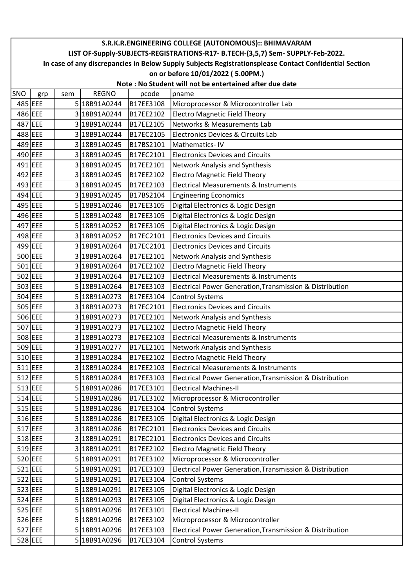|     | S.R.K.R.ENGINEERING COLLEGE (AUTONOMOUS):: BHIMAVARAM                                                  |     |              |           |                                                          |  |  |  |  |  |
|-----|--------------------------------------------------------------------------------------------------------|-----|--------------|-----------|----------------------------------------------------------|--|--|--|--|--|
|     | LIST OF-Supply-SUBJECTS-REGISTRATIONS-R17- B.TECH-(3,5,7) Sem- SUPPLY-Feb-2022.                        |     |              |           |                                                          |  |  |  |  |  |
|     | In case of any discrepancies in Below Supply Subjects Registrationsplease Contact Confidential Section |     |              |           |                                                          |  |  |  |  |  |
|     | on or before 10/01/2022 (5.00PM.)<br>Note: No Student will not be entertained after due date           |     |              |           |                                                          |  |  |  |  |  |
| SNO |                                                                                                        |     | <b>REGNO</b> | pcode     |                                                          |  |  |  |  |  |
|     | grp<br>485 EEE                                                                                         | sem | 5 18B91A0244 | B17EE3108 | pname<br>Microprocessor & Microcontroller Lab            |  |  |  |  |  |
|     | 486 EEE                                                                                                |     | 3 18B91A0244 | B17EE2102 | <b>Electro Magnetic Field Theory</b>                     |  |  |  |  |  |
|     | 487 EEE                                                                                                |     | 3 18B91A0244 | B17EE2105 | <b>Networks &amp; Measurements Lab</b>                   |  |  |  |  |  |
|     | 488 EEE                                                                                                |     | 3 18B91A0244 | B17EC2105 | Electronics Devices & Circuits Lab                       |  |  |  |  |  |
|     | 489 EEE                                                                                                |     | 3 18B91A0245 | B17BS2101 | Mathematics-IV                                           |  |  |  |  |  |
|     | 490 EEE                                                                                                |     | 3 18B91A0245 | B17EC2101 | <b>Electronics Devices and Circuits</b>                  |  |  |  |  |  |
|     | 491 EEE                                                                                                |     | 3 18B91A0245 | B17EE2101 | Network Analysis and Synthesis                           |  |  |  |  |  |
|     | 492 EEE                                                                                                |     | 3 18B91A0245 | B17EE2102 | <b>Electro Magnetic Field Theory</b>                     |  |  |  |  |  |
|     | 493 EEE                                                                                                |     | 3 18B91A0245 | B17EE2103 | <b>Electrical Measurements &amp; Instruments</b>         |  |  |  |  |  |
|     | 494 EEE                                                                                                |     | 3 18B91A0245 | B17BS2104 | <b>Engineering Economics</b>                             |  |  |  |  |  |
|     | 495 EEE                                                                                                |     | 5 18B91A0246 | B17EE3105 | Digital Electronics & Logic Design                       |  |  |  |  |  |
|     | 496 EEE                                                                                                |     | 5 18B91A0248 | B17EE3105 | Digital Electronics & Logic Design                       |  |  |  |  |  |
|     | 497 EEE                                                                                                |     | 5 18B91A0252 | B17EE3105 | Digital Electronics & Logic Design                       |  |  |  |  |  |
|     | 498 EEE                                                                                                |     | 3 18B91A0252 | B17EC2101 | <b>Electronics Devices and Circuits</b>                  |  |  |  |  |  |
|     | 499 EEE                                                                                                |     | 3 18B91A0264 | B17EC2101 | <b>Electronics Devices and Circuits</b>                  |  |  |  |  |  |
|     | 500 EEE                                                                                                |     | 3 18B91A0264 | B17EE2101 | Network Analysis and Synthesis                           |  |  |  |  |  |
|     | 501 EEE                                                                                                |     | 3 18B91A0264 | B17EE2102 | <b>Electro Magnetic Field Theory</b>                     |  |  |  |  |  |
|     | 502 EEE                                                                                                |     | 3 18B91A0264 | B17EE2103 | Electrical Measurements & Instruments                    |  |  |  |  |  |
|     | 503 EEE                                                                                                |     | 5 18B91A0264 | B17EE3103 | Electrical Power Generation, Transmission & Distribution |  |  |  |  |  |
|     | 504 EEE                                                                                                |     | 5 18B91A0273 | B17EE3104 | <b>Control Systems</b>                                   |  |  |  |  |  |
|     | 505 EEE                                                                                                |     | 3 18B91A0273 | B17EC2101 | <b>Electronics Devices and Circuits</b>                  |  |  |  |  |  |
|     | 506 EEE                                                                                                |     | 3 18B91A0273 | B17EE2101 | Network Analysis and Synthesis                           |  |  |  |  |  |
|     | 507 EEE                                                                                                |     | 3 18B91A0273 | B17EE2102 | <b>Electro Magnetic Field Theory</b>                     |  |  |  |  |  |
|     | 508 EEE                                                                                                |     | 3 18B91A0273 | B17EE2103 | <b>Electrical Measurements &amp; Instruments</b>         |  |  |  |  |  |
|     | 509 EEE                                                                                                |     | 3 18B91A0277 | B17EE2101 | Network Analysis and Synthesis                           |  |  |  |  |  |
|     | 510 EEE                                                                                                |     | 3 18B91A0284 | B17EE2102 | <b>Electro Magnetic Field Theory</b>                     |  |  |  |  |  |
|     | 511 EEE                                                                                                |     | 3 18B91A0284 | B17EE2103 | <b>Electrical Measurements &amp; Instruments</b>         |  |  |  |  |  |
|     | 512 EEE                                                                                                |     | 5 18B91A0284 | B17EE3103 | Electrical Power Generation, Transmission & Distribution |  |  |  |  |  |
|     | 513 EEE                                                                                                |     | 5 18B91A0286 | B17EE3101 | <b>Electrical Machines-II</b>                            |  |  |  |  |  |
|     | 514 EEE                                                                                                |     | 5 18B91A0286 | B17EE3102 | Microprocessor & Microcontroller                         |  |  |  |  |  |
|     | 515 EEE                                                                                                |     | 5 18B91A0286 | B17EE3104 | <b>Control Systems</b>                                   |  |  |  |  |  |
|     | 516 EEE                                                                                                |     | 5 18B91A0286 | B17EE3105 | Digital Electronics & Logic Design                       |  |  |  |  |  |
|     | 517 EEE                                                                                                |     | 3 18B91A0286 | B17EC2101 | <b>Electronics Devices and Circuits</b>                  |  |  |  |  |  |
|     | 518 EEE                                                                                                |     | 3 18B91A0291 | B17EC2101 | <b>Electronics Devices and Circuits</b>                  |  |  |  |  |  |
|     | 519 EEE                                                                                                |     | 3 18B91A0291 | B17EE2102 | <b>Electro Magnetic Field Theory</b>                     |  |  |  |  |  |
|     | 520 EEE                                                                                                |     | 5 18B91A0291 | B17EE3102 | Microprocessor & Microcontroller                         |  |  |  |  |  |
|     | 521 EEE                                                                                                |     | 5 18B91A0291 | B17EE3103 | Electrical Power Generation, Transmission & Distribution |  |  |  |  |  |
|     | 522 EEE                                                                                                |     | 5 18B91A0291 | B17EE3104 | <b>Control Systems</b>                                   |  |  |  |  |  |
|     | 523 EEE                                                                                                |     | 5 18B91A0291 | B17EE3105 | Digital Electronics & Logic Design                       |  |  |  |  |  |
|     | 524 EEE                                                                                                |     | 5 18B91A0293 | B17EE3105 | Digital Electronics & Logic Design                       |  |  |  |  |  |
|     | 525 EEE                                                                                                |     | 5 18B91A0296 | B17EE3101 | <b>Electrical Machines-II</b>                            |  |  |  |  |  |
|     | 526 EEE                                                                                                |     | 5 18B91A0296 | B17EE3102 | Microprocessor & Microcontroller                         |  |  |  |  |  |
|     | 527 EEE                                                                                                |     | 5 18B91A0296 | B17EE3103 | Electrical Power Generation, Transmission & Distribution |  |  |  |  |  |
|     | 528 EEE                                                                                                |     | 5 18B91A0296 | B17EE3104 | <b>Control Systems</b>                                   |  |  |  |  |  |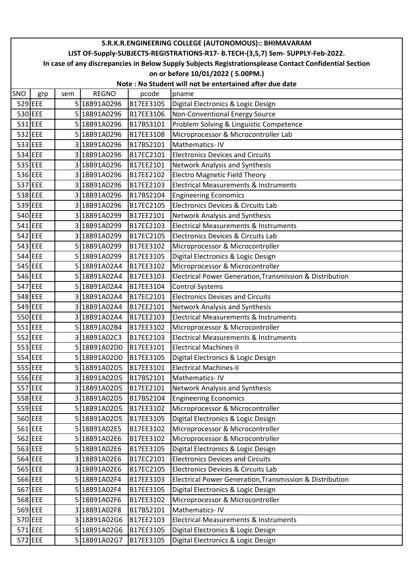|     | S.R.K.R.ENGINEERING COLLEGE (AUTONOMOUS):: BHIMAVARAM                                                  |     |              |           |                                                          |  |  |  |  |  |
|-----|--------------------------------------------------------------------------------------------------------|-----|--------------|-----------|----------------------------------------------------------|--|--|--|--|--|
|     | LIST OF-Supply-SUBJECTS-REGISTRATIONS-R17- B.TECH-(3,5,7) Sem- SUPPLY-Feb-2022.                        |     |              |           |                                                          |  |  |  |  |  |
|     | In case of any discrepancies in Below Supply Subjects Registrationsplease Contact Confidential Section |     |              |           |                                                          |  |  |  |  |  |
|     | on or before 10/01/2022 (5.00PM.)<br>Note: No Student will not be entertained after due date           |     |              |           |                                                          |  |  |  |  |  |
|     |                                                                                                        |     |              |           |                                                          |  |  |  |  |  |
| SNO | grp                                                                                                    | sem | <b>REGNO</b> | pcode     | pname                                                    |  |  |  |  |  |
|     | 529 EEE                                                                                                |     | 5 18B91A0296 | B17EE3105 | Digital Electronics & Logic Design                       |  |  |  |  |  |
|     | 530 EEE                                                                                                |     | 5 18B91A0296 | B17EE3106 | Non-Conventional Energy Source                           |  |  |  |  |  |
|     | 531 EEE                                                                                                |     | 5 18B91A0296 | B17BS3101 | Problem Solving & Linguistic Competence                  |  |  |  |  |  |
|     | 532 EEE                                                                                                |     | 5 18B91A0296 | B17EE3108 | Microprocessor & Microcontroller Lab                     |  |  |  |  |  |
|     | 533 EEE                                                                                                |     | 3 18B91A0296 | B17BS2101 | Mathematics-IV                                           |  |  |  |  |  |
|     | 534 EEE                                                                                                |     | 3 18B91A0296 | B17EC2101 | <b>Electronics Devices and Circuits</b>                  |  |  |  |  |  |
|     | 535 EEE                                                                                                |     | 3 18B91A0296 | B17EE2101 | Network Analysis and Synthesis                           |  |  |  |  |  |
|     | 536 EEE                                                                                                |     | 3 18B91A0296 | B17EE2102 | <b>Electro Magnetic Field Theory</b>                     |  |  |  |  |  |
|     | 537 EEE                                                                                                |     | 3 18B91A0296 | B17EE2103 | <b>Electrical Measurements &amp; Instruments</b>         |  |  |  |  |  |
|     | 538 EEE                                                                                                |     | 3 18B91A0296 | B17BS2104 | <b>Engineering Economics</b>                             |  |  |  |  |  |
|     | 539 EEE                                                                                                |     | 3 18B91A0296 | B17EC2105 | Electronics Devices & Circuits Lab                       |  |  |  |  |  |
|     | 540 EEE                                                                                                |     | 3 18B91A0299 | B17EE2101 | Network Analysis and Synthesis                           |  |  |  |  |  |
|     | $541$ EEE                                                                                              |     | 3 18B91A0299 | B17EE2103 | Electrical Measurements & Instruments                    |  |  |  |  |  |
|     | 542 EEE                                                                                                |     | 3 18B91A0299 | B17EC2105 | Electronics Devices & Circuits Lab                       |  |  |  |  |  |
|     | 543 EEE                                                                                                |     | 5 18B91A0299 | B17EE3102 | Microprocessor & Microcontroller                         |  |  |  |  |  |
|     | 544 EEE                                                                                                |     | 5 18B91A0299 | B17EE3105 | Digital Electronics & Logic Design                       |  |  |  |  |  |
|     | 545 EEE                                                                                                |     | 5 18B91A02A4 | B17EE3102 | Microprocessor & Microcontroller                         |  |  |  |  |  |
|     | 546 EEE                                                                                                |     | 5 18B91A02A4 | B17EE3103 | Electrical Power Generation, Transmission & Distribution |  |  |  |  |  |
|     | 547 EEE                                                                                                |     | 5 18B91A02A4 | B17EE3104 | <b>Control Systems</b>                                   |  |  |  |  |  |
|     | 548 EEE                                                                                                |     | 3 18B91A02A4 | B17EC2101 | <b>Electronics Devices and Circuits</b>                  |  |  |  |  |  |
|     | 549 EEE                                                                                                |     | 3 18B91A02A4 | B17EE2101 | <b>Network Analysis and Synthesis</b>                    |  |  |  |  |  |
|     | 550 EEE                                                                                                |     | 3 18B91A02A4 | B17EE2103 | <b>Electrical Measurements &amp; Instruments</b>         |  |  |  |  |  |
|     | 551 EEE                                                                                                |     | 5 18B91A02B4 | B17EE3102 | Microprocessor & Microcontroller                         |  |  |  |  |  |
|     | 552 EEE                                                                                                |     | 3 18B91A02C3 | B17EE2103 | Electrical Measurements & Instruments                    |  |  |  |  |  |
|     | 553 EEE                                                                                                |     | 5 18B91A02D0 | B17EE3101 | <b>Electrical Machines-II</b>                            |  |  |  |  |  |
|     | 554 EEE                                                                                                |     | 5 18B91A02D0 | B17EE3105 | Digital Electronics & Logic Design                       |  |  |  |  |  |
|     | 555 EEE                                                                                                |     | 5 18B91A02D5 | B17EE3101 | <b>Electrical Machines-II</b>                            |  |  |  |  |  |
|     | 556 EEE                                                                                                |     | 3 18B91A02D5 | B17BS2101 | Mathematics-IV                                           |  |  |  |  |  |
|     | 557 EEE                                                                                                |     | 3 18B91A02D5 | B17EE2101 | Network Analysis and Synthesis                           |  |  |  |  |  |
|     | 558 EEE                                                                                                |     | 3 18B91A02D5 | B17BS2104 | <b>Engineering Economics</b>                             |  |  |  |  |  |
|     | 559 EEE                                                                                                |     | 5 18B91A02D5 | B17EE3102 | Microprocessor & Microcontroller                         |  |  |  |  |  |
|     | 560 EEE                                                                                                |     | 5 18B91A02D5 | B17EE3105 | Digital Electronics & Logic Design                       |  |  |  |  |  |
|     | 561 EEE                                                                                                |     | 5 18B91A02E5 | B17EE3102 | Microprocessor & Microcontroller                         |  |  |  |  |  |
|     | 562 EEE                                                                                                |     | 5 18B91A02E6 | B17EE3102 | Microprocessor & Microcontroller                         |  |  |  |  |  |
|     | 563 EEE                                                                                                |     | 5 18B91A02E6 | B17EE3105 | Digital Electronics & Logic Design                       |  |  |  |  |  |
|     | 564 EEE                                                                                                |     | 3 18B91A02E6 | B17EC2101 | <b>Electronics Devices and Circuits</b>                  |  |  |  |  |  |
|     | 565 EEE                                                                                                |     | 3 18B91A02E6 | B17EC2105 | Electronics Devices & Circuits Lab                       |  |  |  |  |  |
|     | 566 EEE                                                                                                |     | 5 18B91A02F4 | B17EE3103 | Electrical Power Generation, Transmission & Distribution |  |  |  |  |  |
|     | 567 EEE                                                                                                |     | 5 18B91A02F4 | B17EE3105 | Digital Electronics & Logic Design                       |  |  |  |  |  |
|     | 568 EEE                                                                                                |     | 5 18B91A02F6 | B17EE3102 | Microprocessor & Microcontroller                         |  |  |  |  |  |
|     | 569 EEE                                                                                                |     | 3 18B91A02F8 | B17BS2101 | Mathematics-IV                                           |  |  |  |  |  |
|     | 570 EEE                                                                                                |     | 3 18B91A02G6 | B17EE2103 | <b>Electrical Measurements &amp; Instruments</b>         |  |  |  |  |  |
|     | 571 EEE                                                                                                |     | 5 18B91A02G6 | B17EE3105 | Digital Electronics & Logic Design                       |  |  |  |  |  |
|     | 572 EEE                                                                                                |     | 5 18B91A02G7 | B17EE3105 | Digital Electronics & Logic Design                       |  |  |  |  |  |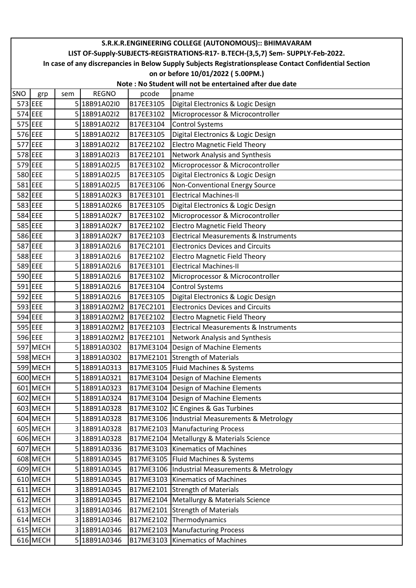|     | S.R.K.R.ENGINEERING COLLEGE (AUTONOMOUS):: BHIMAVARAM                                                                                       |     |              |           |                                                  |  |  |  |  |  |
|-----|---------------------------------------------------------------------------------------------------------------------------------------------|-----|--------------|-----------|--------------------------------------------------|--|--|--|--|--|
|     | LIST OF-Supply-SUBJECTS-REGISTRATIONS-R17- B.TECH-(3,5,7) Sem- SUPPLY-Feb-2022.                                                             |     |              |           |                                                  |  |  |  |  |  |
|     | In case of any discrepancies in Below Supply Subjects Registrationsplease Contact Confidential Section<br>on or before 10/01/2022 (5.00PM.) |     |              |           |                                                  |  |  |  |  |  |
|     | Note: No Student will not be entertained after due date                                                                                     |     |              |           |                                                  |  |  |  |  |  |
| SNO | grp                                                                                                                                         | sem | <b>REGNO</b> | pcode     | pname                                            |  |  |  |  |  |
|     | 573 EEE                                                                                                                                     |     | 5 18B91A02I0 | B17EE3105 | Digital Electronics & Logic Design               |  |  |  |  |  |
|     | 574 EEE                                                                                                                                     |     | 5 18B91A02I2 | B17EE3102 | Microprocessor & Microcontroller                 |  |  |  |  |  |
|     | 575 EEE                                                                                                                                     |     | 5 18B91A02I2 | B17EE3104 | <b>Control Systems</b>                           |  |  |  |  |  |
|     | 576 EEE                                                                                                                                     |     | 5 18B91A02I2 | B17EE3105 | Digital Electronics & Logic Design               |  |  |  |  |  |
|     | 577 EEE                                                                                                                                     |     | 3 18B91A02I2 | B17EE2102 | <b>Electro Magnetic Field Theory</b>             |  |  |  |  |  |
|     | 578 EEE                                                                                                                                     |     | 3 18B91A0213 | B17EE2101 | Network Analysis and Synthesis                   |  |  |  |  |  |
|     | 579 EEE                                                                                                                                     |     | 5 18B91A02J5 | B17EE3102 | Microprocessor & Microcontroller                 |  |  |  |  |  |
|     | 580 EEE                                                                                                                                     |     | 5 18B91A02J5 | B17EE3105 | Digital Electronics & Logic Design               |  |  |  |  |  |
|     | 581 EEE                                                                                                                                     |     | 5 18B91A02J5 | B17EE3106 | Non-Conventional Energy Source                   |  |  |  |  |  |
|     | 582 EEE                                                                                                                                     |     | 5 18B91A02K3 | B17EE3101 | <b>Electrical Machines-II</b>                    |  |  |  |  |  |
|     | 583 EEE                                                                                                                                     |     | 5 18B91A02K6 | B17EE3105 | Digital Electronics & Logic Design               |  |  |  |  |  |
|     | 584 EEE                                                                                                                                     |     | 5 18B91A02K7 | B17EE3102 | Microprocessor & Microcontroller                 |  |  |  |  |  |
|     | 585 EEE                                                                                                                                     |     | 3 18B91A02K7 | B17EE2102 | <b>Electro Magnetic Field Theory</b>             |  |  |  |  |  |
|     | 586 EEE                                                                                                                                     |     | 3 18B91A02K7 | B17EE2103 | <b>Electrical Measurements &amp; Instruments</b> |  |  |  |  |  |
|     | 587 EEE                                                                                                                                     |     | 3 18B91A02L6 | B17EC2101 | <b>Electronics Devices and Circuits</b>          |  |  |  |  |  |
|     | 588 EEE                                                                                                                                     |     | 3 18B91A02L6 | B17EE2102 | <b>Electro Magnetic Field Theory</b>             |  |  |  |  |  |
|     | 589 EEE                                                                                                                                     |     | 5 18B91A02L6 | B17EE3101 | <b>Electrical Machines-II</b>                    |  |  |  |  |  |
|     | 590 EEE                                                                                                                                     |     | 5 18B91A02L6 | B17EE3102 | Microprocessor & Microcontroller                 |  |  |  |  |  |
|     | 591 EEE                                                                                                                                     |     | 5 18B91A02L6 | B17EE3104 | <b>Control Systems</b>                           |  |  |  |  |  |
|     | 592 EEE                                                                                                                                     |     | 5 18B91A02L6 | B17EE3105 | Digital Electronics & Logic Design               |  |  |  |  |  |
|     | 593 EEE                                                                                                                                     |     | 3 18B91A02M2 | B17EC2101 | <b>Electronics Devices and Circuits</b>          |  |  |  |  |  |
|     | 594 EEE                                                                                                                                     |     | 3 18B91A02M2 | B17EE2102 | <b>Electro Magnetic Field Theory</b>             |  |  |  |  |  |
|     | 595 EEE                                                                                                                                     |     | 3 18B91A02M2 | B17EE2103 | <b>Electrical Measurements &amp; Instruments</b> |  |  |  |  |  |
|     | 596 EEE                                                                                                                                     |     | 3 18B91A02M2 | B17EE2101 | Network Analysis and Synthesis                   |  |  |  |  |  |
|     | 597 MECH                                                                                                                                    |     | 5 18B91A0302 | B17ME3104 | Design of Machine Elements                       |  |  |  |  |  |
|     | 598 MECH                                                                                                                                    |     | 3 18B91A0302 |           | B17ME2101 Strength of Materials                  |  |  |  |  |  |
|     | 599 MECH                                                                                                                                    |     | 5 18B91A0313 |           | B17ME3105   Fluid Machines & Systems             |  |  |  |  |  |
|     | 600 MECH                                                                                                                                    |     | 5 18B91A0321 |           | B17ME3104   Design of Machine Elements           |  |  |  |  |  |
|     | 601 MECH                                                                                                                                    |     | 5 18B91A0323 |           | B17ME3104   Design of Machine Elements           |  |  |  |  |  |
|     | 602 MECH                                                                                                                                    |     | 5 18B91A0324 |           | B17ME3104 Design of Machine Elements             |  |  |  |  |  |
|     | $603$ MECH                                                                                                                                  |     | 518B91A0328  |           | B17ME3102 IC Engines & Gas Turbines              |  |  |  |  |  |
|     | 604 MECH                                                                                                                                    |     | 5 18B91A0328 | B17ME3106 | Industrial Measurements & Metrology              |  |  |  |  |  |
|     | 605 MECH                                                                                                                                    |     | 3 18B91A0328 | B17ME2103 | <b>Manufacturing Process</b>                     |  |  |  |  |  |
|     | 606 MECH                                                                                                                                    |     | 3 18B91A0328 | B17ME2104 | Metallurgy & Materials Science                   |  |  |  |  |  |
|     | 607 MECH                                                                                                                                    |     | 5 18B91A0336 | B17ME3103 | Kinematics of Machines                           |  |  |  |  |  |
|     | 608 MECH                                                                                                                                    |     | 5 18B91A0345 |           | B17ME3105   Fluid Machines & Systems             |  |  |  |  |  |
|     | 609 MECH                                                                                                                                    |     | 5 18B91A0345 |           | B17ME3106  Industrial Measurements & Metrology   |  |  |  |  |  |
|     | $610$ MECH                                                                                                                                  |     | 5 18B91A0345 | B17ME3103 | <b>Kinematics of Machines</b>                    |  |  |  |  |  |
|     | $611$ MECH                                                                                                                                  |     | 3 18B91A0345 | B17ME2101 | <b>Strength of Materials</b>                     |  |  |  |  |  |
|     | $612$ MECH                                                                                                                                  |     | 3 18B91A0345 | B17ME2104 | Metallurgy & Materials Science                   |  |  |  |  |  |
|     | $613$ MECH                                                                                                                                  |     | 3 18B91A0346 | B17ME2101 | <b>Strength of Materials</b>                     |  |  |  |  |  |
|     | 614 MECH                                                                                                                                    |     | 3 18B91A0346 | B17ME2102 | Thermodynamics                                   |  |  |  |  |  |
|     | $615$ MECH                                                                                                                                  |     | 3 18B91A0346 | B17ME2103 | <b>Manufacturing Process</b>                     |  |  |  |  |  |
|     | $616$ MECH                                                                                                                                  |     | 5 18B91A0346 | B17ME3103 | <b>Kinematics of Machines</b>                    |  |  |  |  |  |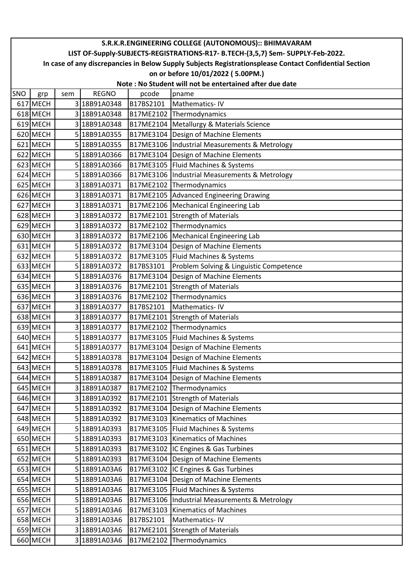|     | S.R.K.R.ENGINEERING COLLEGE (AUTONOMOUS):: BHIMAVARAM                                                                                       |     |                              |                        |                                                         |  |  |  |  |
|-----|---------------------------------------------------------------------------------------------------------------------------------------------|-----|------------------------------|------------------------|---------------------------------------------------------|--|--|--|--|
|     | LIST OF-Supply-SUBJECTS-REGISTRATIONS-R17- B.TECH-(3,5,7) Sem- SUPPLY-Feb-2022.                                                             |     |                              |                        |                                                         |  |  |  |  |
|     | In case of any discrepancies in Below Supply Subjects Registrationsplease Contact Confidential Section<br>on or before 10/01/2022 (5.00PM.) |     |                              |                        |                                                         |  |  |  |  |
|     |                                                                                                                                             |     |                              |                        |                                                         |  |  |  |  |
|     |                                                                                                                                             |     |                              |                        | Note: No Student will not be entertained after due date |  |  |  |  |
| SNO | grp                                                                                                                                         | sem | <b>REGNO</b>                 | pcode                  | pname                                                   |  |  |  |  |
|     | 617 MECH<br>$618$ MECH                                                                                                                      |     | 3 18B91A0348                 | B17BS2101              | Mathematics-IV                                          |  |  |  |  |
|     |                                                                                                                                             |     | 3 18B91A0348                 | B17ME2102<br>B17ME2104 | Thermodynamics                                          |  |  |  |  |
|     | $619$ MECH<br>620 MECH                                                                                                                      |     | 3 18B91A0348<br>5 18B91A0355 |                        | Metallurgy & Materials Science                          |  |  |  |  |
|     | 621 MECH                                                                                                                                    |     |                              | B17ME3104              | Design of Machine Elements                              |  |  |  |  |
|     | 622 MECH                                                                                                                                    |     | 5 18B91A0355<br>5 18B91A0366 | B17ME3106<br>B17ME3104 | Industrial Measurements & Metrology                     |  |  |  |  |
|     | 623 MECH                                                                                                                                    |     | 5 18B91A0366                 | B17ME3105              | Design of Machine Elements<br>Fluid Machines & Systems  |  |  |  |  |
|     | 624 MECH                                                                                                                                    |     | 5 18B91A0366                 | B17ME3106              | Industrial Measurements & Metrology                     |  |  |  |  |
|     | 625 MECH                                                                                                                                    |     | 3 18B91A0371                 | B17ME2102              | Thermodynamics                                          |  |  |  |  |
|     | 626 MECH                                                                                                                                    |     | 3 18B91A0371                 | B17ME2105              | Advanced Engineering Drawing                            |  |  |  |  |
|     | 627 MECH                                                                                                                                    |     | 3 18B91A0371                 | B17ME2106              | Mechanical Engineering Lab                              |  |  |  |  |
|     | 628 MECH                                                                                                                                    |     | 3 18B91A0372                 | B17ME2101              | <b>Strength of Materials</b>                            |  |  |  |  |
|     | $629$ MECH                                                                                                                                  |     | 3 18B91A0372                 | B17ME2102              | Thermodynamics                                          |  |  |  |  |
|     | 630 MECH                                                                                                                                    |     | 3 18B91A0372                 | B17ME2106              | Mechanical Engineering Lab                              |  |  |  |  |
|     | 631 MECH                                                                                                                                    |     | 5 18B91A0372                 | B17ME3104              | Design of Machine Elements                              |  |  |  |  |
|     | 632 MECH                                                                                                                                    |     | 5 18B91A0372                 | B17ME3105              | Fluid Machines & Systems                                |  |  |  |  |
|     | 633 MECH                                                                                                                                    |     | 5 18B91A0372                 | B17BS3101              | Problem Solving & Linguistic Competence                 |  |  |  |  |
|     | 634 MECH                                                                                                                                    |     | 5 18B91A0376                 | B17ME3104              | Design of Machine Elements                              |  |  |  |  |
|     | 635 MECH                                                                                                                                    |     | 3 18B91A0376                 | B17ME2101              | <b>Strength of Materials</b>                            |  |  |  |  |
|     | 636 MECH                                                                                                                                    |     | 3 18B91A0376                 | B17ME2102              | Thermodynamics                                          |  |  |  |  |
|     | 637 MECH                                                                                                                                    |     | 3 18B91A0377                 | B17BS2101              | Mathematics-IV                                          |  |  |  |  |
|     | 638 MECH                                                                                                                                    |     | 3 18B91A0377                 | B17ME2101              | <b>Strength of Materials</b>                            |  |  |  |  |
|     | 639 MECH                                                                                                                                    |     | 3 18B91A0377                 | B17ME2102              | Thermodynamics                                          |  |  |  |  |
|     | 640 MECH                                                                                                                                    |     | 5 18B91A0377                 |                        | B17ME3105   Fluid Machines & Systems                    |  |  |  |  |
|     | 641 MECH                                                                                                                                    |     | 5 18B91A0377                 |                        | B17ME3104   Design of Machine Elements                  |  |  |  |  |
|     | 642 MECH                                                                                                                                    |     | 5 18B91A0378                 |                        | B17ME3104   Design of Machine Elements                  |  |  |  |  |
|     | $643$ MECH                                                                                                                                  |     | 5 18B91A0378                 |                        | B17ME3105   Fluid Machines & Systems                    |  |  |  |  |
|     | $644$ MECH                                                                                                                                  |     | 5 18B91A0387                 |                        | B17ME3104 Design of Machine Elements                    |  |  |  |  |
|     | 645 MECH                                                                                                                                    |     | 3 18B91A0387                 |                        | B17ME2102 Thermodynamics                                |  |  |  |  |
|     | 646 MECH                                                                                                                                    |     | 3 18B91A0392                 |                        | B17ME2101 Strength of Materials                         |  |  |  |  |
|     | 647 MECH                                                                                                                                    |     | 5 18B91A0392                 | B17ME3104              | Design of Machine Elements                              |  |  |  |  |
|     | 648 MECH                                                                                                                                    |     | 5 18B91A0392                 | B17ME3103              | <b>Kinematics of Machines</b>                           |  |  |  |  |
|     | $649$ MECH                                                                                                                                  |     | 5 18B91A0393                 |                        | B17ME3105   Fluid Machines & Systems                    |  |  |  |  |
|     | 650 MECH                                                                                                                                    |     | 5 18B91A0393                 |                        | B17ME3103   Kinematics of Machines                      |  |  |  |  |
|     | 651 MECH                                                                                                                                    |     | 5 18B91A0393                 |                        | B17ME3102  IC Engines & Gas Turbines                    |  |  |  |  |
|     | 652 MECH                                                                                                                                    |     | 5 18B91A0393                 |                        | B17ME3104   Design of Machine Elements                  |  |  |  |  |
|     | 653 MECH                                                                                                                                    |     | 5 18B91A03A6                 |                        | B17ME3102  IC Engines & Gas Turbines                    |  |  |  |  |
|     | 654 MECH                                                                                                                                    |     | 5 18B91A03A6                 |                        | B17ME3104   Design of Machine Elements                  |  |  |  |  |
|     | 655 MECH                                                                                                                                    |     | 5 18B91A03A6                 | B17ME3105              | Fluid Machines & Systems                                |  |  |  |  |
|     | 656 MECH                                                                                                                                    |     | 5 18B91A03A6                 | B17ME3106              | Industrial Measurements & Metrology                     |  |  |  |  |
|     | 657 MECH                                                                                                                                    |     | 5 18B91A03A6                 | B17ME3103              | <b>Kinematics of Machines</b>                           |  |  |  |  |
|     | 658 MECH                                                                                                                                    |     | 3 18B91A03A6                 | B17BS2101              | Mathematics-IV                                          |  |  |  |  |
|     | 659 MECH                                                                                                                                    |     | 3 18B91A03A6                 | B17ME2101              | <b>Strength of Materials</b>                            |  |  |  |  |
|     | 660 MECH                                                                                                                                    |     | 3 18B91A03A6                 |                        | B17ME2102 Thermodynamics                                |  |  |  |  |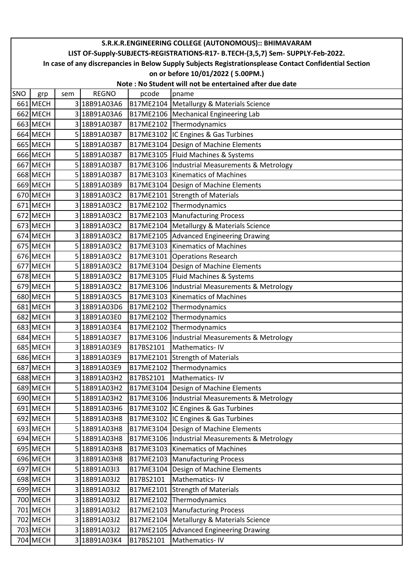|     | S.R.K.R.ENGINEERING COLLEGE (AUTONOMOUS):: BHIMAVARAM                                                                                                                                     |     |              |           |                                                         |  |  |  |  |
|-----|-------------------------------------------------------------------------------------------------------------------------------------------------------------------------------------------|-----|--------------|-----------|---------------------------------------------------------|--|--|--|--|
|     | LIST OF-Supply-SUBJECTS-REGISTRATIONS-R17- B.TECH-(3,5,7) Sem- SUPPLY-Feb-2022.<br>In case of any discrepancies in Below Supply Subjects Registrationsplease Contact Confidential Section |     |              |           |                                                         |  |  |  |  |
|     | on or before 10/01/2022 (5.00PM.)                                                                                                                                                         |     |              |           |                                                         |  |  |  |  |
|     |                                                                                                                                                                                           |     |              |           | Note: No Student will not be entertained after due date |  |  |  |  |
| SNO |                                                                                                                                                                                           | sem | <b>REGNO</b> | pcode     | pname                                                   |  |  |  |  |
|     | grp<br>661 MECH                                                                                                                                                                           |     | 3 18B91A03A6 | B17ME2104 | Metallurgy & Materials Science                          |  |  |  |  |
|     | 662 MECH                                                                                                                                                                                  |     | 3 18B91A03A6 |           | B17ME2106   Mechanical Engineering Lab                  |  |  |  |  |
|     | 663 MECH                                                                                                                                                                                  |     | 3 18B91A03B7 |           | B17ME2102 Thermodynamics                                |  |  |  |  |
|     | 664 MECH                                                                                                                                                                                  |     | 5 18B91A03B7 | B17ME3102 | IC Engines & Gas Turbines                               |  |  |  |  |
|     | 665 MECH                                                                                                                                                                                  |     | 5 18B91A03B7 | B17ME3104 | Design of Machine Elements                              |  |  |  |  |
|     | 666 MECH                                                                                                                                                                                  |     | 5 18B91A03B7 | B17ME3105 | Fluid Machines & Systems                                |  |  |  |  |
|     | 667 MECH                                                                                                                                                                                  |     | 5 18B91A03B7 |           | B17ME3106   Industrial Measurements & Metrology         |  |  |  |  |
|     | 668 MECH                                                                                                                                                                                  |     | 5 18B91A03B7 | B17ME3103 | <b>Kinematics of Machines</b>                           |  |  |  |  |
|     | 669 MECH                                                                                                                                                                                  |     | 5 18B91A03B9 | B17ME3104 | Design of Machine Elements                              |  |  |  |  |
|     | 670 MECH                                                                                                                                                                                  |     | 3 18B91A03C2 | B17ME2101 | <b>Strength of Materials</b>                            |  |  |  |  |
|     | 671 MECH                                                                                                                                                                                  |     | 3 18B91A03C2 | B17ME2102 | Thermodynamics                                          |  |  |  |  |
|     | 672 MECH                                                                                                                                                                                  |     | 3 18B91A03C2 | B17ME2103 | <b>Manufacturing Process</b>                            |  |  |  |  |
|     | 673 MECH                                                                                                                                                                                  |     | 3 18B91A03C2 | B17ME2104 | Metallurgy & Materials Science                          |  |  |  |  |
|     | $674$ MECH                                                                                                                                                                                |     | 3 18B91A03C2 | B17ME2105 | <b>Advanced Engineering Drawing</b>                     |  |  |  |  |
|     | 675 MECH                                                                                                                                                                                  |     | 5 18B91A03C2 | B17ME3103 | Kinematics of Machines                                  |  |  |  |  |
|     | 676 MECH                                                                                                                                                                                  |     | 5 18B91A03C2 | B17ME3101 | <b>Operations Research</b>                              |  |  |  |  |
|     | 677 MECH                                                                                                                                                                                  |     | 5 18B91A03C2 | B17ME3104 | Design of Machine Elements                              |  |  |  |  |
|     | 678 MECH                                                                                                                                                                                  |     | 5 18B91A03C2 | B17ME3105 | Fluid Machines & Systems                                |  |  |  |  |
|     | 679 MECH                                                                                                                                                                                  |     | 5 18B91A03C2 | B17ME3106 | Industrial Measurements & Metrology                     |  |  |  |  |
|     | 680 MECH                                                                                                                                                                                  |     | 5 18B91A03C5 | B17ME3103 | <b>Kinematics of Machines</b>                           |  |  |  |  |
|     | 681 MECH                                                                                                                                                                                  |     | 3 18B91A03D6 | B17ME2102 | Thermodynamics                                          |  |  |  |  |
|     | 682 MECH                                                                                                                                                                                  |     | 3 18B91A03E0 | B17ME2102 | Thermodynamics                                          |  |  |  |  |
|     | 683 MECH                                                                                                                                                                                  |     | 3 18B91A03E4 | B17ME2102 | Thermodynamics                                          |  |  |  |  |
|     | 684 MECH                                                                                                                                                                                  |     | 5 18B91A03E7 | B17ME3106 | Industrial Measurements & Metrology                     |  |  |  |  |
|     | 685 MECH                                                                                                                                                                                  |     | 3 18B91A03E9 | B17BS2101 | Mathematics-IV                                          |  |  |  |  |
|     | 686 MECH                                                                                                                                                                                  |     | 3 18B91A03E9 | B17ME2101 | <b>Strength of Materials</b>                            |  |  |  |  |
|     | 687 MECH                                                                                                                                                                                  |     | 3 18B91A03E9 | B17ME2102 | Thermodynamics                                          |  |  |  |  |
|     | 688 MECH                                                                                                                                                                                  |     | 3 18B91A03H2 | B17BS2101 | Mathematics-IV                                          |  |  |  |  |
|     | 689 MECH                                                                                                                                                                                  |     | 5 18B91A03H2 | B17ME3104 | Design of Machine Elements                              |  |  |  |  |
|     | 690 MECH                                                                                                                                                                                  |     | 5 18B91A03H2 | B17ME3106 | Industrial Measurements & Metrology                     |  |  |  |  |
|     | 691 MECH                                                                                                                                                                                  |     | 5 18B91A03H6 |           | B17ME3102 IC Engines & Gas Turbines                     |  |  |  |  |
|     | 692 MECH                                                                                                                                                                                  |     | 5 18B91A03H8 | B17ME3102 | IC Engines & Gas Turbines                               |  |  |  |  |
|     | $693$ MECH                                                                                                                                                                                |     | 5 18B91A03H8 | B17ME3104 | Design of Machine Elements                              |  |  |  |  |
|     | $694$ MECH                                                                                                                                                                                |     | 5 18B91A03H8 | B17ME3106 | Industrial Measurements & Metrology                     |  |  |  |  |
|     | 695 MECH                                                                                                                                                                                  |     | 5 18B91A03H8 | B17ME3103 | <b>Kinematics of Machines</b>                           |  |  |  |  |
|     | 696 MECH                                                                                                                                                                                  |     | 3 18B91A03H8 | B17ME2103 | <b>Manufacturing Process</b>                            |  |  |  |  |
|     | 697 MECH                                                                                                                                                                                  |     | 5 18B91A03I3 | B17ME3104 | Design of Machine Elements                              |  |  |  |  |
|     | 698 MECH                                                                                                                                                                                  |     | 3 18B91A03J2 | B17BS2101 | Mathematics-IV                                          |  |  |  |  |
|     | 699 MECH                                                                                                                                                                                  |     | 3 18B91A03J2 | B17ME2101 | <b>Strength of Materials</b>                            |  |  |  |  |
|     | 700 MECH                                                                                                                                                                                  |     | 3 18B91A03J2 | B17ME2102 | Thermodynamics                                          |  |  |  |  |
|     | 701 MECH                                                                                                                                                                                  |     | 3 18B91A03J2 | B17ME2103 | <b>Manufacturing Process</b>                            |  |  |  |  |
|     | 702 MECH                                                                                                                                                                                  |     | 3 18B91A03J2 | B17ME2104 | Metallurgy & Materials Science                          |  |  |  |  |
|     | 703 MECH                                                                                                                                                                                  |     | 3 18B91A03J2 | B17ME2105 | <b>Advanced Engineering Drawing</b>                     |  |  |  |  |
|     | 704 MECH                                                                                                                                                                                  |     | 3 18B91A03K4 | B17BS2101 | Mathematics-IV                                          |  |  |  |  |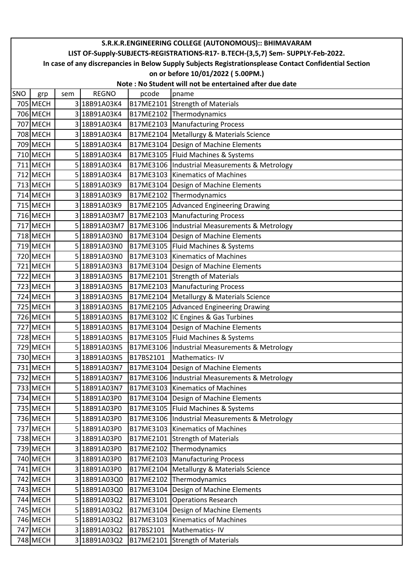|     | S.R.K.R.ENGINEERING COLLEGE (AUTONOMOUS):: BHIMAVARAM                                                                                                                                     |     |              |           |                                                         |  |  |  |  |  |
|-----|-------------------------------------------------------------------------------------------------------------------------------------------------------------------------------------------|-----|--------------|-----------|---------------------------------------------------------|--|--|--|--|--|
|     | LIST OF-Supply-SUBJECTS-REGISTRATIONS-R17- B.TECH-(3,5,7) Sem- SUPPLY-Feb-2022.<br>In case of any discrepancies in Below Supply Subjects Registrationsplease Contact Confidential Section |     |              |           |                                                         |  |  |  |  |  |
|     | on or before 10/01/2022 (5.00PM.)                                                                                                                                                         |     |              |           |                                                         |  |  |  |  |  |
|     |                                                                                                                                                                                           |     |              |           | Note: No Student will not be entertained after due date |  |  |  |  |  |
| SNO |                                                                                                                                                                                           | sem | <b>REGNO</b> | pcode     | pname                                                   |  |  |  |  |  |
|     | grp<br>705 MECH                                                                                                                                                                           |     | 3 18B91A03K4 | B17ME2101 | <b>Strength of Materials</b>                            |  |  |  |  |  |
|     | 706 MECH                                                                                                                                                                                  |     | 3 18B91A03K4 |           | B17ME2102 Thermodynamics                                |  |  |  |  |  |
|     | 707 MECH                                                                                                                                                                                  |     | 3 18B91A03K4 | B17ME2103 | <b>Manufacturing Process</b>                            |  |  |  |  |  |
|     | 708 MECH                                                                                                                                                                                  |     | 3 18B91A03K4 | B17ME2104 | Metallurgy & Materials Science                          |  |  |  |  |  |
|     | 709 MECH                                                                                                                                                                                  |     | 5 18B91A03K4 | B17ME3104 | Design of Machine Elements                              |  |  |  |  |  |
|     | 710 MECH                                                                                                                                                                                  |     | 5 18B91A03K4 | B17ME3105 | Fluid Machines & Systems                                |  |  |  |  |  |
|     | 711 MECH                                                                                                                                                                                  |     | 5 18B91A03K4 |           | B17ME3106   Industrial Measurements & Metrology         |  |  |  |  |  |
|     | 712 MECH                                                                                                                                                                                  |     | 5 18B91A03K4 | B17ME3103 | Kinematics of Machines                                  |  |  |  |  |  |
|     | $713$ MECH                                                                                                                                                                                |     | 5 18B91A03K9 | B17ME3104 | Design of Machine Elements                              |  |  |  |  |  |
|     | 714 MECH                                                                                                                                                                                  |     | 3 18B91A03K9 | B17ME2102 | Thermodynamics                                          |  |  |  |  |  |
|     | 715 MECH                                                                                                                                                                                  |     | 3 18B91A03K9 | B17ME2105 | <b>Advanced Engineering Drawing</b>                     |  |  |  |  |  |
|     | 716 MECH                                                                                                                                                                                  |     | 3 18B91A03M7 | B17ME2103 | <b>Manufacturing Process</b>                            |  |  |  |  |  |
|     | 717 MECH                                                                                                                                                                                  |     | 5 18B91A03M7 | B17ME3106 | Industrial Measurements & Metrology                     |  |  |  |  |  |
|     | 718 MECH                                                                                                                                                                                  |     | 5 18B91A03N0 | B17ME3104 | Design of Machine Elements                              |  |  |  |  |  |
|     | $719$ MECH                                                                                                                                                                                |     | 5 18B91A03N0 | B17ME3105 | Fluid Machines & Systems                                |  |  |  |  |  |
|     | 720 MECH                                                                                                                                                                                  |     | 5 18B91A03N0 | B17ME3103 | <b>Kinematics of Machines</b>                           |  |  |  |  |  |
|     | 721 MECH                                                                                                                                                                                  |     | 5 18B91A03N3 | B17ME3104 | Design of Machine Elements                              |  |  |  |  |  |
|     | 722 MECH                                                                                                                                                                                  |     | 3 18B91A03N5 | B17ME2101 | <b>Strength of Materials</b>                            |  |  |  |  |  |
|     | 723 MECH                                                                                                                                                                                  |     | 3 18B91A03N5 | B17ME2103 | <b>Manufacturing Process</b>                            |  |  |  |  |  |
|     | 724 MECH                                                                                                                                                                                  |     | 318B91A03N5  | B17ME2104 | Metallurgy & Materials Science                          |  |  |  |  |  |
|     | 725 MECH                                                                                                                                                                                  |     | 3 18B91A03N5 | B17ME2105 | <b>Advanced Engineering Drawing</b>                     |  |  |  |  |  |
|     | 726 MECH                                                                                                                                                                                  |     | 5 18B91A03N5 |           | B17ME3102  IC Engines & Gas Turbines                    |  |  |  |  |  |
|     | 727 MECH                                                                                                                                                                                  |     | 5 18B91A03N5 | B17ME3104 | Design of Machine Elements                              |  |  |  |  |  |
|     | 728 MECH                                                                                                                                                                                  |     | 5 18B91A03N5 |           | B17ME3105   Fluid Machines & Systems                    |  |  |  |  |  |
|     | 729 MECH                                                                                                                                                                                  |     | 5 18B91A03N5 |           | B17ME3106   Industrial Measurements & Metrology         |  |  |  |  |  |
|     | 730 MECH                                                                                                                                                                                  |     | 3 18B91A03N5 | B17BS2101 | Mathematics-IV                                          |  |  |  |  |  |
|     | 731 MECH                                                                                                                                                                                  |     | 5 18B91A03N7 | B17ME3104 | Design of Machine Elements                              |  |  |  |  |  |
|     | 732 MECH                                                                                                                                                                                  |     | 5 18B91A03N7 | B17ME3106 | Industrial Measurements & Metrology                     |  |  |  |  |  |
|     | 733 MECH                                                                                                                                                                                  |     | 5 18B91A03N7 | B17ME3103 | <b>Kinematics of Machines</b>                           |  |  |  |  |  |
|     | 734 MECH                                                                                                                                                                                  |     | 5 18B91A03P0 | B17ME3104 | Design of Machine Elements                              |  |  |  |  |  |
|     | 735 MECH                                                                                                                                                                                  |     | 5 18B91A03P0 | B17ME3105 | Fluid Machines & Systems                                |  |  |  |  |  |
|     | 736 MECH                                                                                                                                                                                  |     | 5 18B91A03P0 | B17ME3106 | Industrial Measurements & Metrology                     |  |  |  |  |  |
|     | 737 MECH                                                                                                                                                                                  |     | 5 18B91A03P0 | B17ME3103 | <b>Kinematics of Machines</b>                           |  |  |  |  |  |
|     | 738 MECH                                                                                                                                                                                  |     | 3 18B91A03P0 | B17ME2101 | <b>Strength of Materials</b>                            |  |  |  |  |  |
|     | 739 MECH                                                                                                                                                                                  |     | 3 18B91A03P0 | B17ME2102 | Thermodynamics                                          |  |  |  |  |  |
|     | 740 MECH                                                                                                                                                                                  |     | 3 18B91A03P0 | B17ME2103 | <b>Manufacturing Process</b>                            |  |  |  |  |  |
|     | 741 MECH                                                                                                                                                                                  |     | 3 18B91A03P0 | B17ME2104 | Metallurgy & Materials Science                          |  |  |  |  |  |
|     | 742 MECH                                                                                                                                                                                  |     | 3 18B91A03Q0 | B17ME2102 | Thermodynamics                                          |  |  |  |  |  |
|     | 743 MECH                                                                                                                                                                                  |     | 5 18B91A03Q0 | B17ME3104 | Design of Machine Elements                              |  |  |  |  |  |
|     | 744 MECH                                                                                                                                                                                  |     | 5 18B91A03Q2 | B17ME3101 | <b>Operations Research</b>                              |  |  |  |  |  |
|     | 745 MECH                                                                                                                                                                                  |     | 5 18B91A03Q2 | B17ME3104 | Design of Machine Elements                              |  |  |  |  |  |
|     | 746 MECH                                                                                                                                                                                  |     | 5 18B91A03Q2 | B17ME3103 | <b>Kinematics of Machines</b>                           |  |  |  |  |  |
|     | 747 MECH                                                                                                                                                                                  |     | 3 18B91A03Q2 | B17BS2101 | Mathematics-IV                                          |  |  |  |  |  |
|     | 748 MECH                                                                                                                                                                                  |     | 3 18B91A03Q2 | B17ME2101 | <b>Strength of Materials</b>                            |  |  |  |  |  |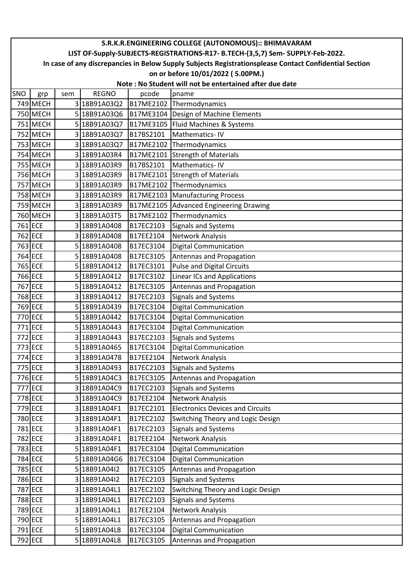|     | S.R.K.R.ENGINEERING COLLEGE (AUTONOMOUS):: BHIMAVARAM                                                                                       |     |              |           |                                         |  |  |  |  |  |  |
|-----|---------------------------------------------------------------------------------------------------------------------------------------------|-----|--------------|-----------|-----------------------------------------|--|--|--|--|--|--|
|     | LIST OF-Supply-SUBJECTS-REGISTRATIONS-R17- B.TECH-(3,5,7) Sem- SUPPLY-Feb-2022.                                                             |     |              |           |                                         |  |  |  |  |  |  |
|     | In case of any discrepancies in Below Supply Subjects Registrationsplease Contact Confidential Section<br>on or before 10/01/2022 (5.00PM.) |     |              |           |                                         |  |  |  |  |  |  |
|     | Note: No Student will not be entertained after due date                                                                                     |     |              |           |                                         |  |  |  |  |  |  |
| SNO |                                                                                                                                             | sem | <b>REGNO</b> | pcode     |                                         |  |  |  |  |  |  |
|     | grp<br>749 MECH                                                                                                                             |     | 3 18B91A03Q2 | B17ME2102 | pname<br>Thermodynamics                 |  |  |  |  |  |  |
|     | 750 MECH                                                                                                                                    |     | 5 18B91A03Q6 | B17ME3104 | Design of Machine Elements              |  |  |  |  |  |  |
|     | 751 MECH                                                                                                                                    |     | 5 18B91A03Q7 | B17ME3105 | Fluid Machines & Systems                |  |  |  |  |  |  |
|     | 752 MECH                                                                                                                                    |     | 3 18B91A03Q7 | B17BS2101 | Mathematics-IV                          |  |  |  |  |  |  |
|     | 753 MECH                                                                                                                                    |     | 3 18B91A03Q7 | B17ME2102 | Thermodynamics                          |  |  |  |  |  |  |
|     | 754 MECH                                                                                                                                    |     | 3 18B91A03R4 | B17ME2101 | <b>Strength of Materials</b>            |  |  |  |  |  |  |
|     | 755 MECH                                                                                                                                    |     | 3 18B91A03R9 | B17BS2101 | Mathematics-IV                          |  |  |  |  |  |  |
|     | 756 MECH                                                                                                                                    |     | 3 18B91A03R9 | B17ME2101 | <b>Strength of Materials</b>            |  |  |  |  |  |  |
|     | 757 MECH                                                                                                                                    |     | 3 18B91A03R9 | B17ME2102 | Thermodynamics                          |  |  |  |  |  |  |
|     | 758 MECH                                                                                                                                    |     | 3 18B91A03R9 | B17ME2103 | <b>Manufacturing Process</b>            |  |  |  |  |  |  |
|     | 759 MECH                                                                                                                                    |     | 3 18B91A03R9 | B17ME2105 | Advanced Engineering Drawing            |  |  |  |  |  |  |
|     | 760 MECH                                                                                                                                    |     | 3 18B91A03T5 | B17ME2102 | Thermodynamics                          |  |  |  |  |  |  |
|     | 761 ECE                                                                                                                                     |     | 3 18B91A0408 | B17EC2103 | Signals and Systems                     |  |  |  |  |  |  |
|     | 762 ECE                                                                                                                                     |     | 3 18B91A0408 | B17EE2104 | Network Analysis                        |  |  |  |  |  |  |
|     | 763 ECE                                                                                                                                     |     | 5 18B91A0408 | B17EC3104 | <b>Digital Communication</b>            |  |  |  |  |  |  |
|     | 764 ECE                                                                                                                                     |     | 5 18B91A0408 | B17EC3105 | Antennas and Propagation                |  |  |  |  |  |  |
|     | 765 ECE                                                                                                                                     |     | 5 18B91A0412 | B17EC3101 | <b>Pulse and Digital Circuits</b>       |  |  |  |  |  |  |
|     | 766 ECE                                                                                                                                     |     | 5 18B91A0412 | B17EC3102 | <b>Linear ICs and Applications</b>      |  |  |  |  |  |  |
|     | 767 ECE                                                                                                                                     |     | 5 18B91A0412 | B17EC3105 | Antennas and Propagation                |  |  |  |  |  |  |
|     | 768 ECE                                                                                                                                     |     | 3 18B91A0412 | B17EC2103 | <b>Signals and Systems</b>              |  |  |  |  |  |  |
|     | 769 ECE                                                                                                                                     |     | 5 18B91A0439 | B17EC3104 | <b>Digital Communication</b>            |  |  |  |  |  |  |
|     | 770 ECE                                                                                                                                     |     | 5 18B91A0442 | B17EC3104 | <b>Digital Communication</b>            |  |  |  |  |  |  |
|     | 771 ECE                                                                                                                                     |     | 5 18B91A0443 | B17EC3104 | <b>Digital Communication</b>            |  |  |  |  |  |  |
|     | 772 ECE                                                                                                                                     |     | 3 18B91A0443 | B17EC2103 | <b>Signals and Systems</b>              |  |  |  |  |  |  |
|     | 773 ECE                                                                                                                                     |     | 5 18B91A0465 | B17EC3104 | Digital Communication                   |  |  |  |  |  |  |
|     | 774 ECE                                                                                                                                     |     | 3 18B91A0478 | B17EE2104 | Network Analysis                        |  |  |  |  |  |  |
|     | 775 ECE                                                                                                                                     |     | 3 18B91A0493 | B17EC2103 | <b>Signals and Systems</b>              |  |  |  |  |  |  |
|     | 776 ECE                                                                                                                                     |     | 5 18B91A04C3 | B17EC3105 | Antennas and Propagation                |  |  |  |  |  |  |
|     | 777 ECE                                                                                                                                     |     | 3 18B91A04C9 | B17EC2103 | <b>Signals and Systems</b>              |  |  |  |  |  |  |
|     | 778 ECE                                                                                                                                     |     | 3 18B91A04C9 | B17EE2104 | Network Analysis                        |  |  |  |  |  |  |
|     | 779 ECE                                                                                                                                     |     | 3 18B91A04F1 | B17EC2101 | <b>Electronics Devices and Circuits</b> |  |  |  |  |  |  |
|     | 780 ECE                                                                                                                                     |     | 3 18B91A04F1 | B17EC2102 | Switching Theory and Logic Design       |  |  |  |  |  |  |
|     | 781 ECE                                                                                                                                     |     | 3 18B91A04F1 | B17EC2103 | <b>Signals and Systems</b>              |  |  |  |  |  |  |
|     | 782 ECE                                                                                                                                     |     | 3 18B91A04F1 | B17EE2104 | Network Analysis                        |  |  |  |  |  |  |
|     | 783 ECE                                                                                                                                     |     | 5 18B91A04F1 | B17EC3104 | <b>Digital Communication</b>            |  |  |  |  |  |  |
|     | 784 ECE                                                                                                                                     |     | 5 18B91A04G6 | B17EC3104 | <b>Digital Communication</b>            |  |  |  |  |  |  |
|     | 785 ECE                                                                                                                                     |     | 5 18B91A04I2 | B17EC3105 | Antennas and Propagation                |  |  |  |  |  |  |
|     | 786 ECE                                                                                                                                     |     | 3 18B91A04I2 | B17EC2103 | <b>Signals and Systems</b>              |  |  |  |  |  |  |
|     | 787 ECE                                                                                                                                     |     | 3 18B91A04L1 | B17EC2102 | Switching Theory and Logic Design       |  |  |  |  |  |  |
|     | 788 ECE                                                                                                                                     |     | 3 18B91A04L1 | B17EC2103 | <b>Signals and Systems</b>              |  |  |  |  |  |  |
|     | 789 ECE                                                                                                                                     |     | 3 18B91A04L1 | B17EE2104 | Network Analysis                        |  |  |  |  |  |  |
|     | 790 ECE                                                                                                                                     |     | 5 18B91A04L1 | B17EC3105 | Antennas and Propagation                |  |  |  |  |  |  |
|     | 791 ECE                                                                                                                                     |     | 5 18B91A04L8 | B17EC3104 | <b>Digital Communication</b>            |  |  |  |  |  |  |
|     | 792 ECE                                                                                                                                     |     | 5 18B91A04L8 | B17EC3105 | Antennas and Propagation                |  |  |  |  |  |  |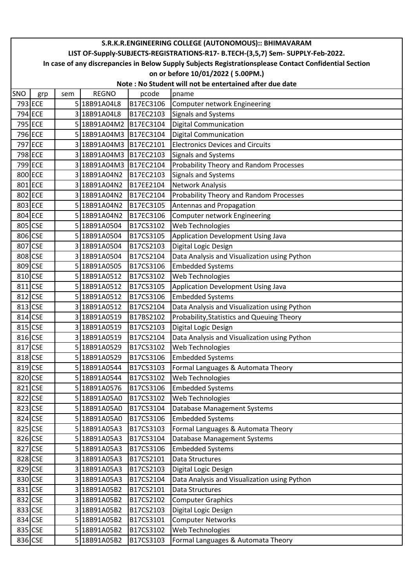|            | S.R.K.R.ENGINEERING COLLEGE (AUTONOMOUS):: BHIMAVARAM                                                  |     |              |           |                                                         |  |  |  |  |
|------------|--------------------------------------------------------------------------------------------------------|-----|--------------|-----------|---------------------------------------------------------|--|--|--|--|
|            | LIST OF-Supply-SUBJECTS-REGISTRATIONS-R17- B.TECH-(3,5,7) Sem- SUPPLY-Feb-2022.                        |     |              |           |                                                         |  |  |  |  |
|            | In case of any discrepancies in Below Supply Subjects Registrationsplease Contact Confidential Section |     |              |           |                                                         |  |  |  |  |
|            |                                                                                                        |     |              |           | on or before 10/01/2022 (5.00PM.)                       |  |  |  |  |
|            |                                                                                                        |     |              |           | Note: No Student will not be entertained after due date |  |  |  |  |
| <b>SNO</b> | grp                                                                                                    | sem | <b>REGNO</b> | pcode     | pname                                                   |  |  |  |  |
|            | 793 ECE                                                                                                |     | 5 18B91A04L8 | B17EC3106 | Computer network Engineering                            |  |  |  |  |
|            | 794 ECE                                                                                                |     | 3 18B91A04L8 | B17EC2103 | <b>Signals and Systems</b>                              |  |  |  |  |
|            | 795 ECE                                                                                                |     | 5 18B91A04M2 | B17EC3104 | <b>Digital Communication</b>                            |  |  |  |  |
|            | 796 ECE                                                                                                |     | 5 18B91A04M3 | B17EC3104 | <b>Digital Communication</b>                            |  |  |  |  |
|            | 797 ECE                                                                                                |     | 3 18B91A04M3 | B17EC2101 | <b>Electronics Devices and Circuits</b>                 |  |  |  |  |
|            | 798 ECE                                                                                                |     | 3 18B91A04M3 | B17EC2103 | Signals and Systems                                     |  |  |  |  |
|            | 799 ECE                                                                                                |     | 3 18B91A04M3 | B17EC2104 | Probability Theory and Random Processes                 |  |  |  |  |
|            | 800 ECE                                                                                                |     | 3 18B91A04N2 | B17EC2103 | <b>Signals and Systems</b>                              |  |  |  |  |
|            | 801 ECE                                                                                                |     | 3 18B91A04N2 | B17EE2104 | Network Analysis                                        |  |  |  |  |
|            | 802 ECE                                                                                                |     | 3 18B91A04N2 | B17EC2104 | Probability Theory and Random Processes                 |  |  |  |  |
|            | 803 ECE                                                                                                |     | 5 18B91A04N2 | B17EC3105 | Antennas and Propagation                                |  |  |  |  |
|            | 804 ECE                                                                                                |     | 5 18B91A04N2 | B17EC3106 | <b>Computer network Engineering</b>                     |  |  |  |  |
|            | 805 CSE                                                                                                |     | 5 18B91A0504 | B17CS3102 | Web Technologies                                        |  |  |  |  |
|            | 806 CSE                                                                                                |     | 5 18B91A0504 | B17CS3105 | Application Development Using Java                      |  |  |  |  |
|            | 807 CSE                                                                                                |     | 3 18B91A0504 | B17CS2103 | Digital Logic Design                                    |  |  |  |  |
|            | 808 CSE                                                                                                |     | 3 18B91A0504 | B17CS2104 | Data Analysis and Visualization using Python            |  |  |  |  |
|            | 809 CSE                                                                                                |     | 5 18B91A0505 | B17CS3106 | <b>Embedded Systems</b>                                 |  |  |  |  |
|            | 810 CSE                                                                                                |     | 5 18B91A0512 | B17CS3102 | Web Technologies                                        |  |  |  |  |
|            | 811 CSE                                                                                                |     | 5 18B91A0512 | B17CS3105 | Application Development Using Java                      |  |  |  |  |
|            | 812 CSE                                                                                                |     | 5 18B91A0512 | B17CS3106 | <b>Embedded Systems</b>                                 |  |  |  |  |
|            | 813 CSE                                                                                                |     | 318B91A0512  | B17CS2104 | Data Analysis and Visualization using Python            |  |  |  |  |
|            | 814 CSE                                                                                                |     | 3 18B91A0519 | B17BS2102 | Probability, Statistics and Queuing Theory              |  |  |  |  |
|            | 815 CSE                                                                                                |     | 3 18B91A0519 | B17CS2103 | Digital Logic Design                                    |  |  |  |  |
|            | 816 CSE                                                                                                |     | 3 18B91A0519 | B17CS2104 | Data Analysis and Visualization using Python            |  |  |  |  |
| 817 CSE    |                                                                                                        |     | 5 18B91A0529 | B17CS3102 | Web Technologies                                        |  |  |  |  |
|            | 818 CSE                                                                                                |     | 5 18B91A0529 | B17CS3106 | <b>Embedded Systems</b>                                 |  |  |  |  |
|            | 819 CSE                                                                                                |     | 5 18B91A0544 | B17CS3103 | Formal Languages & Automata Theory                      |  |  |  |  |
|            | 820 CSE                                                                                                |     | 5 18B91A0544 | B17CS3102 | Web Technologies                                        |  |  |  |  |
|            | 821 CSE                                                                                                |     | 5 18B91A0576 | B17CS3106 | <b>Embedded Systems</b>                                 |  |  |  |  |
|            | 822 CSE                                                                                                |     | 5 18B91A05A0 | B17CS3102 | Web Technologies                                        |  |  |  |  |
|            | 823 CSE                                                                                                |     | 5 18B91A05A0 | B17CS3104 | Database Management Systems                             |  |  |  |  |
|            | 824 CSE                                                                                                |     | 5 18B91A05A0 | B17CS3106 | <b>Embedded Systems</b>                                 |  |  |  |  |
|            | 825 CSE                                                                                                |     | 5 18B91A05A3 | B17CS3103 | Formal Languages & Automata Theory                      |  |  |  |  |
|            | 826 CSE                                                                                                |     | 5 18B91A05A3 | B17CS3104 | Database Management Systems                             |  |  |  |  |
|            | 827 CSE                                                                                                |     | 5 18B91A05A3 | B17CS3106 | <b>Embedded Systems</b>                                 |  |  |  |  |
|            | 828 CSE                                                                                                |     | 3 18B91A05A3 | B17CS2101 | Data Structures                                         |  |  |  |  |
|            | 829 CSE                                                                                                |     | 3 18B91A05A3 | B17CS2103 | Digital Logic Design                                    |  |  |  |  |
|            | 830 CSE                                                                                                |     | 3 18B91A05A3 | B17CS2104 | Data Analysis and Visualization using Python            |  |  |  |  |
|            | 831 CSE                                                                                                |     | 3 18B91A05B2 | B17CS2101 | Data Structures                                         |  |  |  |  |
|            | 832 CSE                                                                                                |     | 3 18B91A05B2 | B17CS2102 | <b>Computer Graphics</b>                                |  |  |  |  |
|            | 833 CSE                                                                                                |     | 3 18B91A05B2 | B17CS2103 | Digital Logic Design                                    |  |  |  |  |
|            | 834 CSE                                                                                                |     | 5 18B91A05B2 | B17CS3101 | <b>Computer Networks</b>                                |  |  |  |  |
|            | 835 CSE                                                                                                |     | 5 18B91A05B2 | B17CS3102 | Web Technologies                                        |  |  |  |  |
|            | 836 CSE                                                                                                |     | 5 18B91A05B2 | B17CS3103 | Formal Languages & Automata Theory                      |  |  |  |  |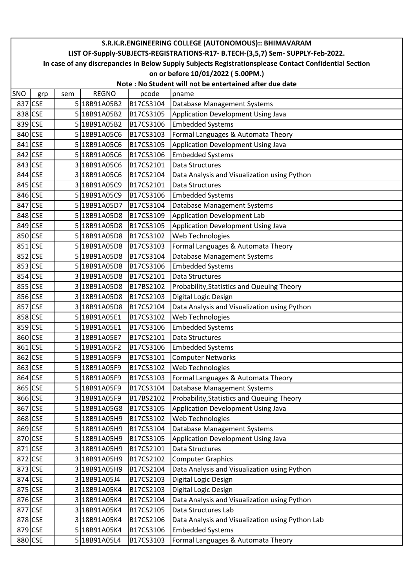|     | S.R.K.R.ENGINEERING COLLEGE (AUTONOMOUS):: BHIMAVARAM                                                  |     |              |           |                                                  |  |  |  |  |  |  |
|-----|--------------------------------------------------------------------------------------------------------|-----|--------------|-----------|--------------------------------------------------|--|--|--|--|--|--|
|     | LIST OF-Supply-SUBJECTS-REGISTRATIONS-R17- B.TECH-(3,5,7) Sem- SUPPLY-Feb-2022.                        |     |              |           |                                                  |  |  |  |  |  |  |
|     | In case of any discrepancies in Below Supply Subjects Registrationsplease Contact Confidential Section |     |              |           |                                                  |  |  |  |  |  |  |
|     | on or before 10/01/2022 (5.00PM.)                                                                      |     |              |           |                                                  |  |  |  |  |  |  |
|     | Note: No Student will not be entertained after due date                                                |     |              |           |                                                  |  |  |  |  |  |  |
| SNO | grp                                                                                                    | sem | <b>REGNO</b> | pcode     | pname                                            |  |  |  |  |  |  |
|     | 837 CSE                                                                                                |     | 5 18B91A05B2 | B17CS3104 | <b>Database Management Systems</b>               |  |  |  |  |  |  |
|     | 838 CSE                                                                                                |     | 5 18B91A05B2 | B17CS3105 | Application Development Using Java               |  |  |  |  |  |  |
|     | 839 CSE                                                                                                |     | 5 18B91A05B2 | B17CS3106 | <b>Embedded Systems</b>                          |  |  |  |  |  |  |
|     | 840 CSE                                                                                                |     | 5 18B91A05C6 | B17CS3103 | Formal Languages & Automata Theory               |  |  |  |  |  |  |
|     | 841 CSE                                                                                                |     | 5 18B91A05C6 | B17CS3105 | Application Development Using Java               |  |  |  |  |  |  |
|     | 842 CSE                                                                                                |     | 5 18B91A05C6 | B17CS3106 | <b>Embedded Systems</b>                          |  |  |  |  |  |  |
|     | 843 CSE                                                                                                |     | 3 18B91A05C6 | B17CS2101 | Data Structures                                  |  |  |  |  |  |  |
|     | 844 CSE                                                                                                |     | 3 18B91A05C6 | B17CS2104 | Data Analysis and Visualization using Python     |  |  |  |  |  |  |
|     | 845 CSE                                                                                                |     | 3 18B91A05C9 | B17CS2101 | Data Structures                                  |  |  |  |  |  |  |
|     | 846 CSE                                                                                                |     | 5 18B91A05C9 | B17CS3106 | <b>Embedded Systems</b>                          |  |  |  |  |  |  |
|     | 847 CSE                                                                                                |     | 5 18B91A05D7 | B17CS3104 | Database Management Systems                      |  |  |  |  |  |  |
|     | 848 CSE                                                                                                |     | 5 18B91A05D8 | B17CS3109 | <b>Application Development Lab</b>               |  |  |  |  |  |  |
|     | 849 CSE                                                                                                |     | 5 18B91A05D8 | B17CS3105 | Application Development Using Java               |  |  |  |  |  |  |
|     | 850 CSE                                                                                                |     | 5 18B91A05D8 | B17CS3102 | Web Technologies                                 |  |  |  |  |  |  |
|     | 851 CSE                                                                                                |     | 5 18B91A05D8 | B17CS3103 | Formal Languages & Automata Theory               |  |  |  |  |  |  |
|     | 852 CSE                                                                                                |     | 5 18B91A05D8 | B17CS3104 | Database Management Systems                      |  |  |  |  |  |  |
|     | 853 CSE                                                                                                |     | 5 18B91A05D8 | B17CS3106 | <b>Embedded Systems</b>                          |  |  |  |  |  |  |
|     | 854 CSE                                                                                                |     | 318B91A05D8  | B17CS2101 | Data Structures                                  |  |  |  |  |  |  |
|     | 855 CSE                                                                                                |     | 3 18B91A05D8 | B17BS2102 | Probability, Statistics and Queuing Theory       |  |  |  |  |  |  |
|     | 856 CSE                                                                                                |     | 3 18B91A05D8 | B17CS2103 | Digital Logic Design                             |  |  |  |  |  |  |
|     | 857 CSE                                                                                                |     | 3 18B91A05D8 | B17CS2104 | Data Analysis and Visualization using Python     |  |  |  |  |  |  |
|     | 858 CSE                                                                                                |     | 5 18B91A05E1 | B17CS3102 | Web Technologies                                 |  |  |  |  |  |  |
|     | 859 CSE                                                                                                |     | 5 18B91A05E1 | B17CS3106 | <b>Embedded Systems</b>                          |  |  |  |  |  |  |
|     | 860 CSE                                                                                                |     | 3 18B91A05E7 | B17CS2101 | Data Structures                                  |  |  |  |  |  |  |
|     | 861 CSE                                                                                                |     | 5 18B91A05F2 | B17CS3106 | <b>Embedded Systems</b>                          |  |  |  |  |  |  |
|     | 862 CSE                                                                                                |     | 5 18B91A05F9 | B17CS3101 | <b>Computer Networks</b>                         |  |  |  |  |  |  |
|     | 863 CSE                                                                                                |     | 5 18B91A05F9 | B17CS3102 | Web Technologies                                 |  |  |  |  |  |  |
|     | 864 CSE                                                                                                |     | 5 18B91A05F9 | B17CS3103 | Formal Languages & Automata Theory               |  |  |  |  |  |  |
|     | 865 CSE                                                                                                |     | 5 18B91A05F9 | B17CS3104 | Database Management Systems                      |  |  |  |  |  |  |
|     | 866 CSE                                                                                                |     | 3 18B91A05F9 | B17BS2102 | Probability, Statistics and Queuing Theory       |  |  |  |  |  |  |
|     | 867 CSE                                                                                                |     | 5 18B91A05G8 | B17CS3105 | Application Development Using Java               |  |  |  |  |  |  |
|     | 868 CSE                                                                                                |     | 5 18B91A05H9 | B17CS3102 | Web Technologies                                 |  |  |  |  |  |  |
|     | 869 CSE                                                                                                |     | 5 18B91A05H9 | B17CS3104 | Database Management Systems                      |  |  |  |  |  |  |
|     | 870 CSE                                                                                                |     | 5 18B91A05H9 | B17CS3105 | Application Development Using Java               |  |  |  |  |  |  |
|     | 871 CSE                                                                                                |     | 3 18B91A05H9 | B17CS2101 | Data Structures                                  |  |  |  |  |  |  |
|     | 872 CSE                                                                                                |     | 3 18B91A05H9 | B17CS2102 | <b>Computer Graphics</b>                         |  |  |  |  |  |  |
|     | 873 CSE                                                                                                |     | 3 18B91A05H9 | B17CS2104 | Data Analysis and Visualization using Python     |  |  |  |  |  |  |
|     | 874 CSE                                                                                                |     | 3 18B91A05J4 | B17CS2103 | Digital Logic Design                             |  |  |  |  |  |  |
|     | 875 CSE                                                                                                |     | 3 18B91A05K4 | B17CS2103 | Digital Logic Design                             |  |  |  |  |  |  |
|     | 876 CSE                                                                                                |     | 3 18B91A05K4 | B17CS2104 | Data Analysis and Visualization using Python     |  |  |  |  |  |  |
|     | 877 CSE                                                                                                |     | 3 18B91A05K4 | B17CS2105 | Data Structures Lab                              |  |  |  |  |  |  |
|     | 878 CSE                                                                                                |     | 3 18B91A05K4 | B17CS2106 | Data Analysis and Visualization using Python Lab |  |  |  |  |  |  |
|     | 879 CSE                                                                                                |     | 5 18B91A05K4 | B17CS3106 | <b>Embedded Systems</b>                          |  |  |  |  |  |  |
|     | 880 CSE                                                                                                |     | 5 18B91A05L4 | B17CS3103 | Formal Languages & Automata Theory               |  |  |  |  |  |  |
|     |                                                                                                        |     |              |           |                                                  |  |  |  |  |  |  |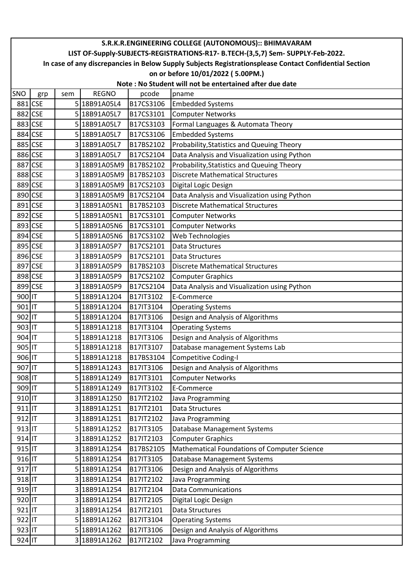|        | S.R.K.R.ENGINEERING COLLEGE (AUTONOMOUS):: BHIMAVARAM                                                  |     |              |           |                                                         |  |  |  |  |
|--------|--------------------------------------------------------------------------------------------------------|-----|--------------|-----------|---------------------------------------------------------|--|--|--|--|
|        | LIST OF-Supply-SUBJECTS-REGISTRATIONS-R17- B.TECH-(3,5,7) Sem- SUPPLY-Feb-2022.                        |     |              |           |                                                         |  |  |  |  |
|        | In case of any discrepancies in Below Supply Subjects Registrationsplease Contact Confidential Section |     |              |           |                                                         |  |  |  |  |
|        |                                                                                                        |     |              |           | on or before 10/01/2022 (5.00PM.)                       |  |  |  |  |
|        |                                                                                                        |     |              |           | Note: No Student will not be entertained after due date |  |  |  |  |
| SNO    | grp                                                                                                    | sem | <b>REGNO</b> | pcode     | pname                                                   |  |  |  |  |
|        | 881 CSE                                                                                                |     | 5 18B91A05L4 | B17CS3106 | <b>Embedded Systems</b>                                 |  |  |  |  |
|        | 882 CSE                                                                                                |     | 5 18B91A05L7 | B17CS3101 | <b>Computer Networks</b>                                |  |  |  |  |
|        | 883 CSE                                                                                                |     | 5 18B91A05L7 | B17CS3103 | Formal Languages & Automata Theory                      |  |  |  |  |
|        | 884 CSE                                                                                                |     | 5 18B91A05L7 | B17CS3106 | <b>Embedded Systems</b>                                 |  |  |  |  |
|        | 885 CSE                                                                                                |     | 3 18B91A05L7 | B17BS2102 | Probability, Statistics and Queuing Theory              |  |  |  |  |
|        | 886 CSE                                                                                                |     | 3 18B91A05L7 | B17CS2104 | Data Analysis and Visualization using Python            |  |  |  |  |
|        | 887 CSE                                                                                                |     | 3 18B91A05M9 | B17BS2102 | Probability, Statistics and Queuing Theory              |  |  |  |  |
|        | 888 CSE                                                                                                |     | 3 18B91A05M9 | B17BS2103 | <b>Discrete Mathematical Structures</b>                 |  |  |  |  |
|        | 889 CSE                                                                                                |     | 3 18B91A05M9 | B17CS2103 | Digital Logic Design                                    |  |  |  |  |
|        | 890 CSE                                                                                                |     | 3 18B91A05M9 | B17CS2104 | Data Analysis and Visualization using Python            |  |  |  |  |
|        | 891 CSE                                                                                                |     | 3 18B91A05N1 | B17BS2103 | <b>Discrete Mathematical Structures</b>                 |  |  |  |  |
|        | 892 CSE                                                                                                |     | 5 18B91A05N1 | B17CS3101 | <b>Computer Networks</b>                                |  |  |  |  |
|        | 893 CSE                                                                                                |     | 5 18B91A05N6 | B17CS3101 | <b>Computer Networks</b>                                |  |  |  |  |
|        | 894 CSE                                                                                                |     | 5 18B91A05N6 | B17CS3102 | Web Technologies                                        |  |  |  |  |
|        | 895 CSE                                                                                                |     | 3 18B91A05P7 | B17CS2101 | <b>Data Structures</b>                                  |  |  |  |  |
|        | 896 CSE                                                                                                |     | 3 18B91A05P9 | B17CS2101 | <b>Data Structures</b>                                  |  |  |  |  |
|        | 897 CSE                                                                                                |     | 3 18B91A05P9 | B17BS2103 | <b>Discrete Mathematical Structures</b>                 |  |  |  |  |
|        | 898 CSE                                                                                                |     | 3 18B91A05P9 | B17CS2102 | <b>Computer Graphics</b>                                |  |  |  |  |
|        | 899 CSE                                                                                                |     | 3 18B91A05P9 | B17CS2104 | Data Analysis and Visualization using Python            |  |  |  |  |
| 900 IT |                                                                                                        |     | 5 18B91A1204 | B17IT3102 | E-Commerce                                              |  |  |  |  |
| 901 IT |                                                                                                        |     | 5 18B91A1204 | B17IT3104 | <b>Operating Systems</b>                                |  |  |  |  |
| 902 IT |                                                                                                        |     | 5 18B91A1204 | B17IT3106 | Design and Analysis of Algorithms                       |  |  |  |  |
| 903 IT |                                                                                                        |     | 5 18B91A1218 | B17IT3104 | <b>Operating Systems</b>                                |  |  |  |  |
| 904 IT |                                                                                                        |     | 5 18B91A1218 | B17IT3106 | Design and Analysis of Algorithms                       |  |  |  |  |
| 905 IT |                                                                                                        |     | 5 18B91A1218 | B17IT3107 | Database management Systems Lab                         |  |  |  |  |
| 906 IT |                                                                                                        |     | 5 18B91A1218 | B17BS3104 | <b>Competitive Coding-I</b>                             |  |  |  |  |
| 907 IT |                                                                                                        |     | 5 18B91A1243 | B17IT3106 | Design and Analysis of Algorithms                       |  |  |  |  |
| 908 IT |                                                                                                        |     | 5 18B91A1249 | B17IT3101 | <b>Computer Networks</b>                                |  |  |  |  |
| 909 IT |                                                                                                        |     | 5 18B91A1249 | B17IT3102 | E-Commerce                                              |  |  |  |  |
| 910 IT |                                                                                                        |     | 3 18B91A1250 | B17IT2102 | Java Programming                                        |  |  |  |  |
| 911 IT |                                                                                                        |     | 3 18B91A1251 | B17IT2101 | Data Structures                                         |  |  |  |  |
| 912 IT |                                                                                                        |     | 3 18B91A1251 | B17IT2102 | Java Programming                                        |  |  |  |  |
| 913 IT |                                                                                                        |     | 5 18B91A1252 | B17IT3105 | Database Management Systems                             |  |  |  |  |
| 914 IT |                                                                                                        |     | 3 18B91A1252 | B17IT2103 | <b>Computer Graphics</b>                                |  |  |  |  |
| 915 IT |                                                                                                        |     | 3 18B91A1254 | B17BS2105 | Mathematical Foundations of Computer Science            |  |  |  |  |
| 916 IT |                                                                                                        |     | 5 18B91A1254 | B17IT3105 | Database Management Systems                             |  |  |  |  |
| 917 IT |                                                                                                        |     | 5 18B91A1254 | B17IT3106 | Design and Analysis of Algorithms                       |  |  |  |  |
| 918 IT |                                                                                                        |     | 3 18B91A1254 | B17IT2102 | Java Programming                                        |  |  |  |  |
| 919 IT |                                                                                                        |     | 3 18B91A1254 | B17IT2104 | <b>Data Communications</b>                              |  |  |  |  |
| 920 IT |                                                                                                        |     | 3 18B91A1254 | B17IT2105 | Digital Logic Design                                    |  |  |  |  |
| 921 IT |                                                                                                        |     | 3 18B91A1254 | B17IT2101 | Data Structures                                         |  |  |  |  |
| 922 IT |                                                                                                        |     | 5 18B91A1262 | B17IT3104 | <b>Operating Systems</b>                                |  |  |  |  |
| 923 IT |                                                                                                        |     | 5 18B91A1262 | B17IT3106 | Design and Analysis of Algorithms                       |  |  |  |  |
| 924 IT |                                                                                                        |     | 3 18B91A1262 | B17IT2102 | Java Programming                                        |  |  |  |  |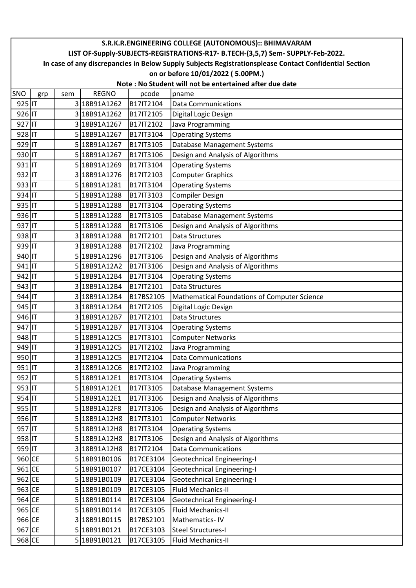|        | S.R.K.R.ENGINEERING COLLEGE (AUTONOMOUS):: BHIMAVARAM                                                  |     |              |           |                                              |  |  |  |  |  |
|--------|--------------------------------------------------------------------------------------------------------|-----|--------------|-----------|----------------------------------------------|--|--|--|--|--|
|        | LIST OF-Supply-SUBJECTS-REGISTRATIONS-R17- B.TECH-(3,5,7) Sem- SUPPLY-Feb-2022.                        |     |              |           |                                              |  |  |  |  |  |
|        | In case of any discrepancies in Below Supply Subjects Registrationsplease Contact Confidential Section |     |              |           |                                              |  |  |  |  |  |
|        | on or before 10/01/2022 (5.00PM.)                                                                      |     |              |           |                                              |  |  |  |  |  |
|        | Note: No Student will not be entertained after due date                                                |     |              |           |                                              |  |  |  |  |  |
| SNO    | grp                                                                                                    | sem | <b>REGNO</b> | pcode     | pname                                        |  |  |  |  |  |
| 925 IT |                                                                                                        |     | 3 18B91A1262 | B17IT2104 | <b>Data Communications</b>                   |  |  |  |  |  |
| 926 IT |                                                                                                        |     | 3 18B91A1262 | B17IT2105 | Digital Logic Design                         |  |  |  |  |  |
| 927 IT |                                                                                                        |     | 3 18B91A1267 | B17IT2102 | Java Programming                             |  |  |  |  |  |
| 928 IT |                                                                                                        |     | 5 18B91A1267 | B17IT3104 | <b>Operating Systems</b>                     |  |  |  |  |  |
| 929 IT |                                                                                                        |     | 5 18B91A1267 | B17IT3105 | Database Management Systems                  |  |  |  |  |  |
| 930 IT |                                                                                                        |     | 5 18B91A1267 | B17IT3106 | Design and Analysis of Algorithms            |  |  |  |  |  |
| 931 IT |                                                                                                        |     | 5 18B91A1269 | B17IT3104 | <b>Operating Systems</b>                     |  |  |  |  |  |
| 932 IT |                                                                                                        |     | 3 18B91A1276 | B17IT2103 | <b>Computer Graphics</b>                     |  |  |  |  |  |
| 933 IT |                                                                                                        |     | 5 18B91A1281 | B17IT3104 | <b>Operating Systems</b>                     |  |  |  |  |  |
| 934 IT |                                                                                                        |     | 5 18B91A1288 | B17IT3103 | <b>Compiler Design</b>                       |  |  |  |  |  |
| 935 IT |                                                                                                        |     | 5 18B91A1288 | B17IT3104 | <b>Operating Systems</b>                     |  |  |  |  |  |
| 936 IT |                                                                                                        |     | 5 18B91A1288 | B17IT3105 | Database Management Systems                  |  |  |  |  |  |
| 937 IT |                                                                                                        |     | 5 18B91A1288 | B17IT3106 | Design and Analysis of Algorithms            |  |  |  |  |  |
| 938 IT |                                                                                                        |     | 3 18B91A1288 | B17IT2101 | Data Structures                              |  |  |  |  |  |
| 939 IT |                                                                                                        |     | 3 18B91A1288 | B17IT2102 | Java Programming                             |  |  |  |  |  |
| 940 IT |                                                                                                        |     | 5 18B91A1296 | B17IT3106 | Design and Analysis of Algorithms            |  |  |  |  |  |
| 941 IT |                                                                                                        |     | 5 18B91A12A2 | B17IT3106 | Design and Analysis of Algorithms            |  |  |  |  |  |
| 942 IT |                                                                                                        |     | 5 18B91A12B4 | B17IT3104 | <b>Operating Systems</b>                     |  |  |  |  |  |
| 943 IT |                                                                                                        |     | 3 18B91A12B4 | B17IT2101 | Data Structures                              |  |  |  |  |  |
| 944 IT |                                                                                                        |     | 3 18B91A12B4 | B17BS2105 | Mathematical Foundations of Computer Science |  |  |  |  |  |
| 945 IT |                                                                                                        |     | 3 18B91A12B4 | B17IT2105 | Digital Logic Design                         |  |  |  |  |  |
| 946 IT |                                                                                                        |     | 3 18B91A12B7 | B17IT2101 | Data Structures                              |  |  |  |  |  |
| 947 IT |                                                                                                        |     | 5 18B91A12B7 | B17IT3104 | <b>Operating Systems</b>                     |  |  |  |  |  |
| 948 IT |                                                                                                        |     | 5 18B91A12C5 | B17IT3101 | <b>Computer Networks</b>                     |  |  |  |  |  |
| 949 IT |                                                                                                        |     | 3 18B91A12C5 | B17IT2102 | Java Programming                             |  |  |  |  |  |
| 950 IT |                                                                                                        |     | 3 18B91A12C5 | B17IT2104 | <b>Data Communications</b>                   |  |  |  |  |  |
| 951 IT |                                                                                                        |     | 3 18B91A12C6 | B17IT2102 | Java Programming                             |  |  |  |  |  |
| 952 IT |                                                                                                        |     | 5 18B91A12E1 | B17IT3104 | <b>Operating Systems</b>                     |  |  |  |  |  |
| 953 IT |                                                                                                        |     | 5 18B91A12E1 | B17IT3105 | Database Management Systems                  |  |  |  |  |  |
| 954 IT |                                                                                                        |     | 5 18B91A12E1 | B17IT3106 | Design and Analysis of Algorithms            |  |  |  |  |  |
| 955 IT |                                                                                                        |     | 5 18B91A12F8 | B17IT3106 | Design and Analysis of Algorithms            |  |  |  |  |  |
| 956 IT |                                                                                                        |     | 5 18B91A12H8 | B17IT3101 | <b>Computer Networks</b>                     |  |  |  |  |  |
| 957 IT |                                                                                                        |     | 5 18B91A12H8 | B17IT3104 | <b>Operating Systems</b>                     |  |  |  |  |  |
| 958 IT |                                                                                                        |     | 5 18B91A12H8 | B17IT3106 | Design and Analysis of Algorithms            |  |  |  |  |  |
| 959 IT |                                                                                                        |     | 3 18B91A12H8 | B17IT2104 | <b>Data Communications</b>                   |  |  |  |  |  |
| 960 CE |                                                                                                        |     | 5 18B91B0106 | B17CE3104 | <b>Geotechnical Engineering-I</b>            |  |  |  |  |  |
| 961 CE |                                                                                                        |     | 5 18B91B0107 | B17CE3104 | <b>Geotechnical Engineering-I</b>            |  |  |  |  |  |
| 962 CE |                                                                                                        |     | 5 18B91B0109 | B17CE3104 | <b>Geotechnical Engineering-I</b>            |  |  |  |  |  |
| 963 CE |                                                                                                        |     | 5 18B91B0109 | B17CE3105 | Fluid Mechanics-II                           |  |  |  |  |  |
| 964 CE |                                                                                                        |     | 5 18B91B0114 | B17CE3104 | <b>Geotechnical Engineering-I</b>            |  |  |  |  |  |
| 965 CE |                                                                                                        |     | 5 18B91B0114 | B17CE3105 | Fluid Mechanics-II                           |  |  |  |  |  |
| 966 CE |                                                                                                        |     | 3 18B91B0115 | B17BS2101 | Mathematics-IV                               |  |  |  |  |  |
| 967 CE |                                                                                                        |     | 5 18B91B0121 | B17CE3103 | <b>Steel Structures-I</b>                    |  |  |  |  |  |
| 968 CE |                                                                                                        |     | 5 18B91B0121 | B17CE3105 | Fluid Mechanics-II                           |  |  |  |  |  |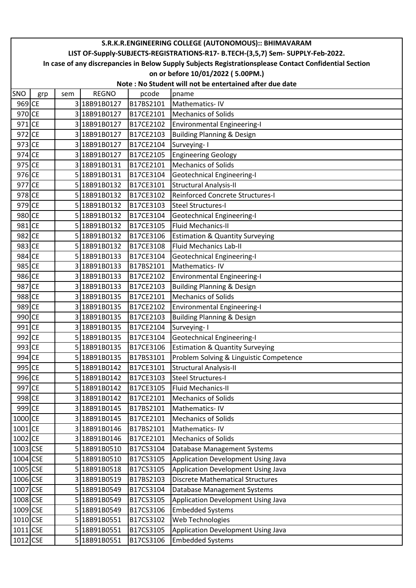|                       | S.R.K.R.ENGINEERING COLLEGE (AUTONOMOUS):: BHIMAVARAM                                                  |     |              |           |                                                         |  |  |  |  |
|-----------------------|--------------------------------------------------------------------------------------------------------|-----|--------------|-----------|---------------------------------------------------------|--|--|--|--|
|                       | LIST OF-Supply-SUBJECTS-REGISTRATIONS-R17- B.TECH-(3,5,7) Sem- SUPPLY-Feb-2022.                        |     |              |           |                                                         |  |  |  |  |
|                       | In case of any discrepancies in Below Supply Subjects Registrationsplease Contact Confidential Section |     |              |           |                                                         |  |  |  |  |
|                       |                                                                                                        |     |              |           | on or before 10/01/2022 (5.00PM.)                       |  |  |  |  |
|                       |                                                                                                        |     |              |           | Note: No Student will not be entertained after due date |  |  |  |  |
| SNO                   | grp                                                                                                    | sem | <b>REGNO</b> | pcode     | pname                                                   |  |  |  |  |
| 969 CE                |                                                                                                        |     | 3 18B91B0127 | B17BS2101 | Mathematics-IV                                          |  |  |  |  |
| 970 CE                |                                                                                                        |     | 3 18B91B0127 | B17CE2101 | <b>Mechanics of Solids</b>                              |  |  |  |  |
| 971 CE                |                                                                                                        |     | 3 18B91B0127 | B17CE2102 | <b>Environmental Engineering-I</b>                      |  |  |  |  |
| 972 CE                |                                                                                                        |     | 3 18B91B0127 | B17CE2103 | <b>Building Planning &amp; Design</b>                   |  |  |  |  |
| 973 CE                |                                                                                                        |     | 3 18B91B0127 | B17CE2104 | Surveying-1                                             |  |  |  |  |
| 974 CE                |                                                                                                        |     | 3 18B91B0127 | B17CE2105 | <b>Engineering Geology</b>                              |  |  |  |  |
| 975 CE                |                                                                                                        |     | 3 18B91B0131 | B17CE2101 | <b>Mechanics of Solids</b>                              |  |  |  |  |
| 976 CE                |                                                                                                        |     | 5 18B91B0131 | B17CE3104 | <b>Geotechnical Engineering-I</b>                       |  |  |  |  |
| 977 CE                |                                                                                                        |     | 5 18B91B0132 | B17CE3101 | <b>Structural Analysis-II</b>                           |  |  |  |  |
| 978 CE                |                                                                                                        |     | 5 18B91B0132 | B17CE3102 | <b>Reinforced Concrete Structures-I</b>                 |  |  |  |  |
| 979 CE                |                                                                                                        |     | 5 18B91B0132 | B17CE3103 | <b>Steel Structures-I</b>                               |  |  |  |  |
| 980 CE                |                                                                                                        |     | 5 18B91B0132 | B17CE3104 | <b>Geotechnical Engineering-I</b>                       |  |  |  |  |
| 981 CE                |                                                                                                        |     | 5 18B91B0132 | B17CE3105 | <b>Fluid Mechanics-II</b>                               |  |  |  |  |
| 982 CE                |                                                                                                        |     | 5 18B91B0132 | B17CE3106 | <b>Estimation &amp; Quantity Surveying</b>              |  |  |  |  |
| 983 CE                |                                                                                                        |     | 5 18B91B0132 | B17CE3108 | <b>Fluid Mechanics Lab-II</b>                           |  |  |  |  |
| 984 CE                |                                                                                                        |     | 5 18B91B0133 | B17CE3104 | <b>Geotechnical Engineering-I</b>                       |  |  |  |  |
| 985 CE                |                                                                                                        |     | 3 18B91B0133 | B17BS2101 | Mathematics-IV                                          |  |  |  |  |
| 986 CE                |                                                                                                        |     | 3 18B91B0133 | B17CE2102 | <b>Environmental Engineering-I</b>                      |  |  |  |  |
| 987 CE                |                                                                                                        |     | 318B91B0133  | B17CE2103 | <b>Building Planning &amp; Design</b>                   |  |  |  |  |
| 988 CE                |                                                                                                        |     | 3 18B91B0135 | B17CE2101 | <b>Mechanics of Solids</b>                              |  |  |  |  |
| 989 CE                |                                                                                                        |     | 3 18B91B0135 | B17CE2102 | <b>Environmental Engineering-I</b>                      |  |  |  |  |
| 990 CE                |                                                                                                        |     | 3 18B91B0135 | B17CE2103 | <b>Building Planning &amp; Design</b>                   |  |  |  |  |
| 991 CE                |                                                                                                        |     | 3 18B91B0135 | B17CE2104 | Surveying-1                                             |  |  |  |  |
| 992 CE                |                                                                                                        |     | 5 18B91B0135 | B17CE3104 | <b>Geotechnical Engineering-I</b>                       |  |  |  |  |
| 993 CE                |                                                                                                        |     | 5 18B91B0135 | B17CE3106 | <b>Estimation &amp; Quantity Surveying</b>              |  |  |  |  |
| 994 CE                |                                                                                                        |     | 5 18B91B0135 | B17BS3101 | Problem Solving & Linguistic Competence                 |  |  |  |  |
| 995 CE                |                                                                                                        |     | 5 18B91B0142 | B17CE3101 | <b>Structural Analysis-II</b>                           |  |  |  |  |
| 996 CE                |                                                                                                        |     | 5 18B91B0142 | B17CE3103 | Steel Structures-I                                      |  |  |  |  |
| 997 CE                |                                                                                                        |     | 5 18B91B0142 | B17CE3105 | <b>Fluid Mechanics-II</b>                               |  |  |  |  |
| 998 CE                |                                                                                                        |     | 3 18B91B0142 | B17CE2101 | <b>Mechanics of Solids</b>                              |  |  |  |  |
| 999 CE                |                                                                                                        |     | 318B91B0145  | B17BS2101 | Mathematics-IV                                          |  |  |  |  |
| 1000 CE               |                                                                                                        |     | 3 18B91B0145 | B17CE2101 | <b>Mechanics of Solids</b>                              |  |  |  |  |
| 1001 CE               |                                                                                                        |     | 3 18B91B0146 | B17BS2101 | Mathematics-IV                                          |  |  |  |  |
| 1002 CE               |                                                                                                        |     | 3 18B91B0146 | B17CE2101 | <b>Mechanics of Solids</b>                              |  |  |  |  |
| $1003$ <sub>CSE</sub> |                                                                                                        |     | 5 18B91B0510 | B17CS3104 | Database Management Systems                             |  |  |  |  |
| 1004 CSE              |                                                                                                        |     | 5 18B91B0510 | B17CS3105 | Application Development Using Java                      |  |  |  |  |
| 1005 CSE              |                                                                                                        |     | 5 18B91B0518 | B17CS3105 | Application Development Using Java                      |  |  |  |  |
| 1006 CSE              |                                                                                                        |     | 3 18B91B0519 | B17BS2103 | <b>Discrete Mathematical Structures</b>                 |  |  |  |  |
| 1007 CSE              |                                                                                                        |     | 5 18B91B0549 | B17CS3104 | Database Management Systems                             |  |  |  |  |
| 1008 CSE              |                                                                                                        |     | 5 18B91B0549 | B17CS3105 | Application Development Using Java                      |  |  |  |  |
| 1009 CSE              |                                                                                                        |     | 5 18B91B0549 | B17CS3106 | <b>Embedded Systems</b>                                 |  |  |  |  |
| 1010 CSE              |                                                                                                        |     | 5 18B91B0551 | B17CS3102 | Web Technologies                                        |  |  |  |  |
| 1011 CSE              |                                                                                                        |     | 5 18B91B0551 | B17CS3105 | Application Development Using Java                      |  |  |  |  |
| $1012$ CSE            |                                                                                                        |     | 5 18B91B0551 | B17CS3106 | <b>Embedded Systems</b>                                 |  |  |  |  |
|                       |                                                                                                        |     |              |           |                                                         |  |  |  |  |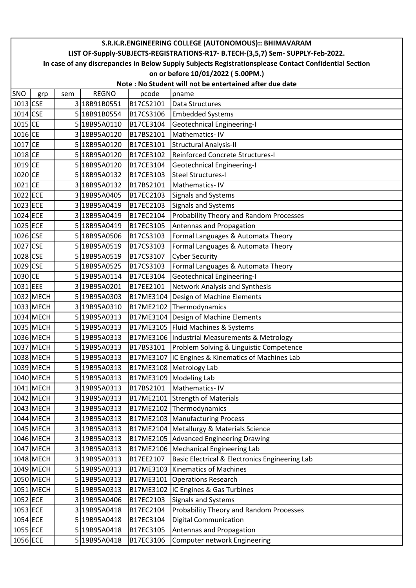|            | S.R.K.R.ENGINEERING COLLEGE (AUTONOMOUS):: BHIMAVARAM                                                  |     |              |           |                                                         |  |  |  |  |
|------------|--------------------------------------------------------------------------------------------------------|-----|--------------|-----------|---------------------------------------------------------|--|--|--|--|
|            | LIST OF-Supply-SUBJECTS-REGISTRATIONS-R17- B.TECH-(3,5,7) Sem- SUPPLY-Feb-2022.                        |     |              |           |                                                         |  |  |  |  |
|            | In case of any discrepancies in Below Supply Subjects Registrationsplease Contact Confidential Section |     |              |           |                                                         |  |  |  |  |
|            |                                                                                                        |     |              |           | on or before 10/01/2022 (5.00PM.)                       |  |  |  |  |
|            |                                                                                                        |     |              |           | Note: No Student will not be entertained after due date |  |  |  |  |
| SNO        | grp                                                                                                    | sem | <b>REGNO</b> | pcode     | pname                                                   |  |  |  |  |
| 1013 CSE   |                                                                                                        |     | 3 18B91B0551 | B17CS2101 | Data Structures                                         |  |  |  |  |
| $1014$ CSE |                                                                                                        |     | 5 18B91B0554 | B17CS3106 | <b>Embedded Systems</b>                                 |  |  |  |  |
| 1015 CE    |                                                                                                        |     | 5 18B95A0110 | B17CE3104 | Geotechnical Engineering-I                              |  |  |  |  |
| 1016 CE    |                                                                                                        |     | 3 18B95A0120 | B17BS2101 | Mathematics-IV                                          |  |  |  |  |
| 1017 CE    |                                                                                                        |     | 5 18B95A0120 | B17CE3101 | <b>Structural Analysis-II</b>                           |  |  |  |  |
| 1018 CE    |                                                                                                        |     | 5 18B95A0120 | B17CE3102 | Reinforced Concrete Structures-I                        |  |  |  |  |
| 1019 CE    |                                                                                                        |     | 518B95A0120  | B17CE3104 | Geotechnical Engineering-I                              |  |  |  |  |
| 1020 CE    |                                                                                                        |     | 5 18B95A0132 | B17CE3103 | <b>Steel Structures-I</b>                               |  |  |  |  |
| 1021 CE    |                                                                                                        |     | 3 18B95A0132 | B17BS2101 | Mathematics-IV                                          |  |  |  |  |
| 1022 ECE   |                                                                                                        |     | 3 18B95A0405 | B17EC2103 | <b>Signals and Systems</b>                              |  |  |  |  |
| 1023 ECE   |                                                                                                        |     | 3 18B95A0419 | B17EC2103 | <b>Signals and Systems</b>                              |  |  |  |  |
| 1024 ECE   |                                                                                                        |     | 3 18B95A0419 | B17EC2104 | Probability Theory and Random Processes                 |  |  |  |  |
| 1025 ECE   |                                                                                                        |     | 5 18B95A0419 | B17EC3105 | Antennas and Propagation                                |  |  |  |  |
| 1026 CSE   |                                                                                                        |     | 5 18B95A0506 | B17CS3103 | Formal Languages & Automata Theory                      |  |  |  |  |
| 1027 CSE   |                                                                                                        |     | 5 18B95A0519 | B17CS3103 | Formal Languages & Automata Theory                      |  |  |  |  |
| 1028 CSE   |                                                                                                        |     | 5 18B95A0519 | B17CS3107 | <b>Cyber Security</b>                                   |  |  |  |  |
| 1029 CSE   |                                                                                                        |     | 5 18B95A0525 | B17CS3103 | Formal Languages & Automata Theory                      |  |  |  |  |
| 1030 CE    |                                                                                                        |     | 5 19B95A0114 | B17CE3104 | <b>Geotechnical Engineering-I</b>                       |  |  |  |  |
| 1031 EEE   |                                                                                                        |     | 3 19B95A0201 | B17EE2101 | Network Analysis and Synthesis                          |  |  |  |  |
|            | 1032 MECH                                                                                              |     | 5 19B95A0303 | B17ME3104 | Design of Machine Elements                              |  |  |  |  |
|            | 1033 MECH                                                                                              |     | 3 19B95A0310 | B17ME2102 | Thermodynamics                                          |  |  |  |  |
|            | 1034 MECH                                                                                              |     | 5 19B95A0313 | B17ME3104 | Design of Machine Elements                              |  |  |  |  |
|            | 1035 MECH                                                                                              |     | 5 19B95A0313 | B17ME3105 | Fluid Machines & Systems                                |  |  |  |  |
|            | 1036 MECH                                                                                              |     | 5 19B95A0313 |           | B17ME3106 Industrial Measurements & Metrology           |  |  |  |  |
|            | 1037 MECH                                                                                              |     | 5 19B95A0313 | B17BS3101 | Problem Solving & Linguistic Competence                 |  |  |  |  |
|            | 1038 MECH                                                                                              |     | 5 19B95A0313 | B17ME3107 | IC Engines & Kinematics of Machines Lab                 |  |  |  |  |
|            | 1039 MECH                                                                                              |     | 5 19B95A0313 | B17ME3108 | Metrology Lab                                           |  |  |  |  |
|            | 1040 MECH                                                                                              |     | 5 19B95A0313 | B17ME3109 | <b>Modeling Lab</b>                                     |  |  |  |  |
|            | 1041 MECH                                                                                              |     | 3 19B95A0313 | B17BS2101 | Mathematics-IV                                          |  |  |  |  |
|            | 1042 MECH                                                                                              |     | 3 19B95A0313 | B17ME2101 | <b>Strength of Materials</b>                            |  |  |  |  |
|            | 1043 MECH                                                                                              |     | 3 19B95A0313 | B17ME2102 | Thermodynamics                                          |  |  |  |  |
|            | 1044 MECH                                                                                              |     | 3 19B95A0313 | B17ME2103 | Manufacturing Process                                   |  |  |  |  |
|            | 1045 MECH                                                                                              |     | 3 19B95A0313 | B17ME2104 | Metallurgy & Materials Science                          |  |  |  |  |
|            | 1046 MECH                                                                                              |     | 3 19B95A0313 | B17ME2105 | <b>Advanced Engineering Drawing</b>                     |  |  |  |  |
|            | 1047 MECH                                                                                              |     | 3 19B95A0313 | B17ME2106 | Mechanical Engineering Lab                              |  |  |  |  |
|            | 1048 MECH                                                                                              |     | 3 19B95A0313 | B17EE2107 | Basic Electrical & Electronics Engineering Lab          |  |  |  |  |
|            | 1049 MECH                                                                                              |     | 5 19B95A0313 | B17ME3103 | <b>Kinematics of Machines</b>                           |  |  |  |  |
|            | 1050 MECH                                                                                              |     | 5 19B95A0313 | B17ME3101 | <b>Operations Research</b>                              |  |  |  |  |
|            | 1051 MECH                                                                                              |     | 5 19B95A0313 | B17ME3102 | IC Engines & Gas Turbines                               |  |  |  |  |
| 1052 ECE   |                                                                                                        |     | 3 19B95A0406 | B17EC2103 | Signals and Systems                                     |  |  |  |  |
| 1053 ECE   |                                                                                                        |     | 3 19B95A0418 | B17EC2104 | Probability Theory and Random Processes                 |  |  |  |  |
| 1054 ECE   |                                                                                                        |     | 5 19B95A0418 | B17EC3104 | <b>Digital Communication</b>                            |  |  |  |  |
| 1055 ECE   |                                                                                                        |     | 5 19B95A0418 | B17EC3105 | Antennas and Propagation                                |  |  |  |  |
| 1056 ECE   |                                                                                                        |     | 5 19B95A0418 | B17EC3106 | Computer network Engineering                            |  |  |  |  |